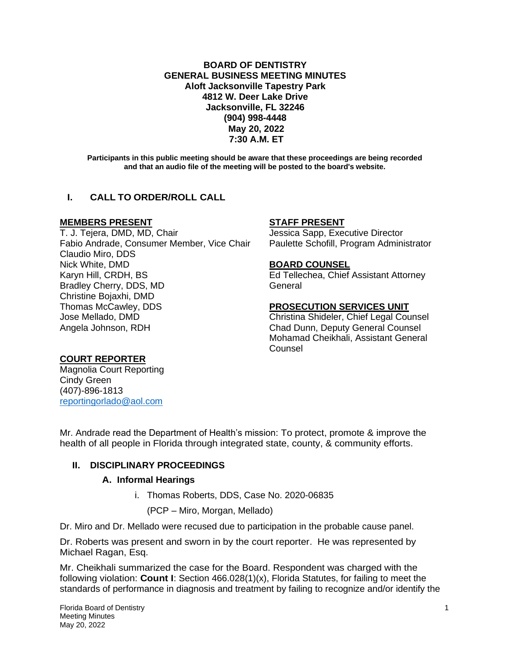**BOARD OF DENTISTRY GENERAL BUSINESS MEETING MINUTES Aloft Jacksonville Tapestry Park 4812 W. Deer Lake Drive Jacksonville, FL 32246 (904) 998-4448 May 20, 2022 7:30 A.M. ET**

**Participants in this public meeting should be aware that these proceedings are being recorded and that an audio file of the meeting will be posted to the board's website.**

# **I. CALL TO ORDER/ROLL CALL**

## **MEMBERS PRESENT STAFF PRESENT**

T. J. Tejera, DMD, MD, Chair **Jessica Sapp, Executive Director** Fabio Andrade, Consumer Member, Vice Chair Paulette Schofill, Program Administrator Claudio Miro, DDS Nick White, DMD **BOARD COUNSEL** Karyn Hill, CRDH, BS **Ed Tellechea, Chief Assistant Attorney** Bradley Cherry, DDS, MD General Christine Bojaxhi, DMD Thomas McCawley, DDS **PROSECUTION SERVICES UNIT** Jose Mellado, DMD Christina Shideler, Chief Legal Counsel Angela Johnson, RDH Chad Dunn, Deputy General Counsel

Mohamad Cheikhali, Assistant General **Counsel** 

## **COURT REPORTER**

Magnolia Court Reporting Cindy Green (407)-896-1813 [reportingorlado@aol.com](mailto:reportingorlado@aol.com)

Mr. Andrade read the Department of Health's mission: To protect, promote & improve the health of all people in Florida through integrated state, county, & community efforts.

## **II. DISCIPLINARY PROCEEDINGS**

## **A. Informal Hearings**

i. Thomas Roberts, DDS, Case No. 2020-06835

(PCP – Miro, Morgan, Mellado)

Dr. Miro and Dr. Mellado were recused due to participation in the probable cause panel.

Dr. Roberts was present and sworn in by the court reporter. He was represented by Michael Ragan, Esq.

Mr. Cheikhali summarized the case for the Board. Respondent was charged with the following violation: **Count I**: Section 466.028(1)(x), Florida Statutes, for failing to meet the standards of performance in diagnosis and treatment by failing to recognize and/or identify the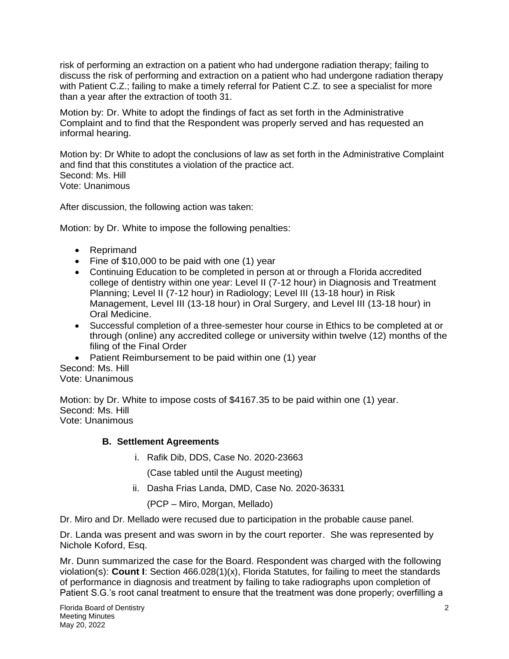risk of performing an extraction on a patient who had undergone radiation therapy; failing to discuss the risk of performing and extraction on a patient who had undergone radiation therapy with Patient C.Z.; failing to make a timely referral for Patient C.Z. to see a specialist for more than a year after the extraction of tooth 31.

Motion by: Dr. White to adopt the findings of fact as set forth in the Administrative Complaint and to find that the Respondent was properly served and has requested an informal hearing.

Motion by: Dr White to adopt the conclusions of law as set forth in the Administrative Complaint and find that this constitutes a violation of the practice act. Second: Ms. Hill Vote: Unanimous

After discussion, the following action was taken:

Motion: by Dr. White to impose the following penalties:

- Reprimand
- Fine of \$10,000 to be paid with one (1) year
- Continuing Education to be completed in person at or through a Florida accredited college of dentistry within one year: Level II (7-12 hour) in Diagnosis and Treatment Planning; Level II (7-12 hour) in Radiology; Level III (13-18 hour) in Risk Management, Level III (13-18 hour) in Oral Surgery, and Level III (13-18 hour) in Oral Medicine.
- Successful completion of a three-semester hour course in Ethics to be completed at or through (online) any accredited college or university within twelve (12) months of the filing of the Final Order
- Patient Reimbursement to be paid within one (1) year

Second: Ms. Hill Vote: Unanimous

Motion: by Dr. White to impose costs of \$4167.35 to be paid within one (1) year. Second: Ms. Hill Vote: Unanimous

## **B. Settlement Agreements**

i. Rafik Dib, DDS, Case No. 2020-23663

(Case tabled until the August meeting)

ii. Dasha Frias Landa, DMD, Case No. 2020-36331

(PCP – Miro, Morgan, Mellado)

Dr. Miro and Dr. Mellado were recused due to participation in the probable cause panel.

Dr. Landa was present and was sworn in by the court reporter. She was represented by Nichole Koford, Esq.

Mr. Dunn summarized the case for the Board. Respondent was charged with the following violation(s): **Count I**: Section 466.028(1)(x), Florida Statutes, for failing to meet the standards of performance in diagnosis and treatment by failing to take radiographs upon completion of Patient S.G.'s root canal treatment to ensure that the treatment was done properly; overfilling a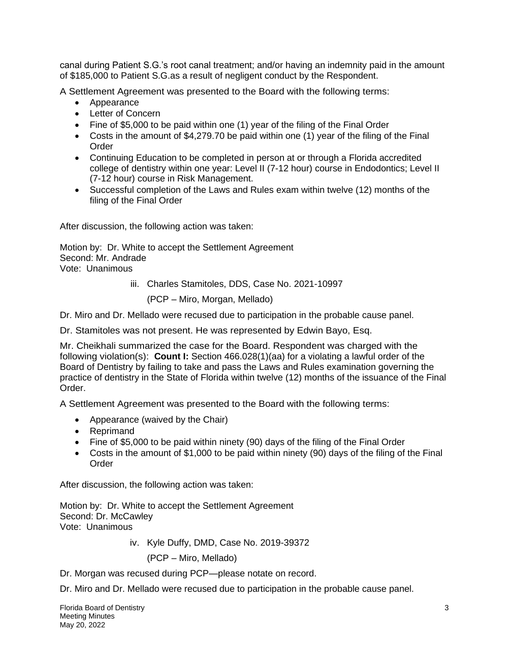canal during Patient S.G.'s root canal treatment; and/or having an indemnity paid in the amount of \$185,000 to Patient S.G.as a result of negligent conduct by the Respondent.

A Settlement Agreement was presented to the Board with the following terms:

- Appearance
- Letter of Concern
- Fine of \$5,000 to be paid within one (1) year of the filing of the Final Order
- Costs in the amount of \$4,279.70 be paid within one (1) year of the filing of the Final **Order**
- Continuing Education to be completed in person at or through a Florida accredited college of dentistry within one year: Level II (7-12 hour) course in Endodontics; Level II (7-12 hour) course in Risk Management.
- Successful completion of the Laws and Rules exam within twelve (12) months of the filing of the Final Order

After discussion, the following action was taken:

Motion by: Dr. White to accept the Settlement Agreement Second: Mr. Andrade Vote: Unanimous

iii. Charles Stamitoles, DDS, Case No. 2021-10997

(PCP – Miro, Morgan, Mellado)

Dr. Miro and Dr. Mellado were recused due to participation in the probable cause panel.

Dr. Stamitoles was not present. He was represented by Edwin Bayo, Esq.

Mr. Cheikhali summarized the case for the Board. Respondent was charged with the following violation(s): **Count I:** Section 466.028(1)(aa) for a violating a lawful order of the Board of Dentistry by failing to take and pass the Laws and Rules examination governing the practice of dentistry in the State of Florida within twelve (12) months of the issuance of the Final Order.

A Settlement Agreement was presented to the Board with the following terms:

- Appearance (waived by the Chair)
- Reprimand
- Fine of \$5,000 to be paid within ninety (90) days of the filing of the Final Order
- Costs in the amount of \$1,000 to be paid within ninety (90) days of the filing of the Final **Order**

After discussion, the following action was taken:

Motion by: Dr. White to accept the Settlement Agreement Second: Dr. McCawley Vote: Unanimous

iv. Kyle Duffy, DMD, Case No. 2019-39372

(PCP – Miro, Mellado)

Dr. Morgan was recused during PCP—please notate on record.

Dr. Miro and Dr. Mellado were recused due to participation in the probable cause panel.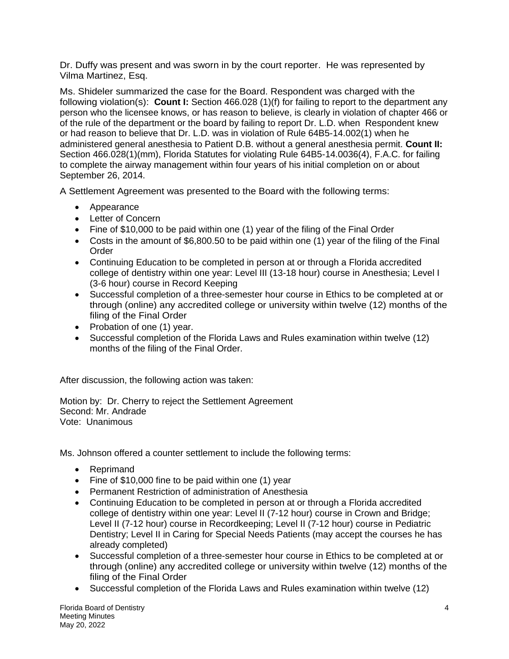Dr. Duffy was present and was sworn in by the court reporter. He was represented by Vilma Martinez, Esq.

Ms. Shideler summarized the case for the Board. Respondent was charged with the following violation(s): **Count I:** Section 466.028 (1)(f) for failing to report to the department any person who the licensee knows, or has reason to believe, is clearly in violation of chapter 466 or of the rule of the department or the board by failing to report Dr. L.D. when Respondent knew or had reason to believe that Dr. L.D. was in violation of Rule 64B5-14.002(1) when he administered general anesthesia to Patient D.B. without a general anesthesia permit. **Count II:** Section 466.028(1)(mm), Florida Statutes for violating Rule 64B5-14.0036(4), F.A.C. for failing to complete the airway management within four years of his initial completion on or about September 26, 2014.

A Settlement Agreement was presented to the Board with the following terms:

- Appearance
- Letter of Concern
- Fine of \$10,000 to be paid within one (1) year of the filing of the Final Order
- Costs in the amount of \$6,800.50 to be paid within one (1) year of the filing of the Final Order
- Continuing Education to be completed in person at or through a Florida accredited college of dentistry within one year: Level III (13-18 hour) course in Anesthesia; Level I (3-6 hour) course in Record Keeping
- Successful completion of a three-semester hour course in Ethics to be completed at or through (online) any accredited college or university within twelve (12) months of the filing of the Final Order
- Probation of one (1) year.
- Successful completion of the Florida Laws and Rules examination within twelve (12) months of the filing of the Final Order.

After discussion, the following action was taken:

Motion by: Dr. Cherry to reject the Settlement Agreement Second: Mr. Andrade Vote: Unanimous

Ms. Johnson offered a counter settlement to include the following terms:

- Reprimand
- Fine of \$10,000 fine to be paid within one (1) year
- Permanent Restriction of administration of Anesthesia
- Continuing Education to be completed in person at or through a Florida accredited college of dentistry within one year: Level II (7-12 hour) course in Crown and Bridge; Level II (7-12 hour) course in Recordkeeping; Level II (7-12 hour) course in Pediatric Dentistry; Level II in Caring for Special Needs Patients (may accept the courses he has already completed)
- Successful completion of a three-semester hour course in Ethics to be completed at or through (online) any accredited college or university within twelve (12) months of the filing of the Final Order
- Successful completion of the Florida Laws and Rules examination within twelve (12)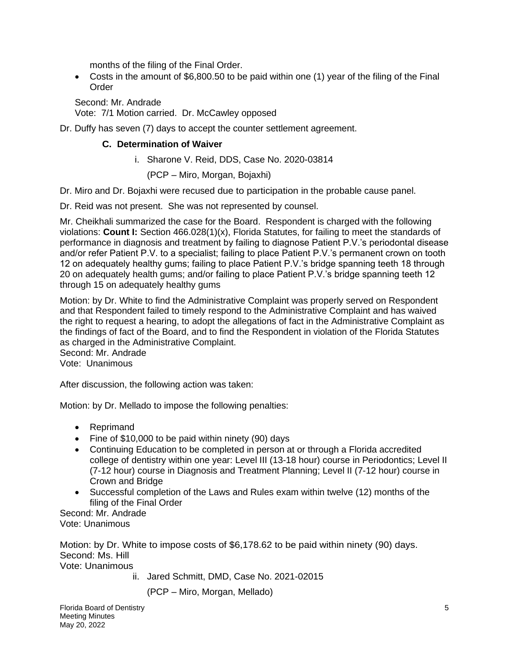months of the filing of the Final Order.

• Costs in the amount of \$6,800.50 to be paid within one (1) year of the filing of the Final Order

Second: Mr. Andrade Vote: 7/1 Motion carried. Dr. McCawley opposed

Dr. Duffy has seven (7) days to accept the counter settlement agreement.

# **C. Determination of Waiver**

i. Sharone V. Reid, DDS, Case No. 2020-03814

(PCP – Miro, Morgan, Bojaxhi)

Dr. Miro and Dr. Bojaxhi were recused due to participation in the probable cause panel.

Dr. Reid was not present. She was not represented by counsel.

Mr. Cheikhali summarized the case for the Board. Respondent is charged with the following violations: **Count I:** Section 466.028(1)(x), Florida Statutes, for failing to meet the standards of performance in diagnosis and treatment by failing to diagnose Patient P.V.'s periodontal disease and/or refer Patient P.V. to a specialist; failing to place Patient P.V.'s permanent crown on tooth 12 on adequately healthy gums; failing to place Patient P.V.'s bridge spanning teeth 18 through 20 on adequately health gums; and/or failing to place Patient P.V.'s bridge spanning teeth 12 through 15 on adequately healthy gums

Motion: by Dr. White to find the Administrative Complaint was properly served on Respondent and that Respondent failed to timely respond to the Administrative Complaint and has waived the right to request a hearing, to adopt the allegations of fact in the Administrative Complaint as the findings of fact of the Board, and to find the Respondent in violation of the Florida Statutes as charged in the Administrative Complaint. Second: Mr. Andrade

Vote: Unanimous

After discussion, the following action was taken:

Motion: by Dr. Mellado to impose the following penalties:

- Reprimand
- Fine of \$10,000 to be paid within ninety (90) days
- Continuing Education to be completed in person at or through a Florida accredited college of dentistry within one year: Level III (13-18 hour) course in Periodontics; Level II (7-12 hour) course in Diagnosis and Treatment Planning; Level II (7-12 hour) course in Crown and Bridge
- Successful completion of the Laws and Rules exam within twelve (12) months of the filing of the Final Order

Second: Mr. Andrade Vote: Unanimous

Motion: by Dr. White to impose costs of \$6,178.62 to be paid within ninety (90) days. Second: Ms. Hill Vote: Unanimous

ii. Jared Schmitt, DMD, Case No. 2021-02015

(PCP – Miro, Morgan, Mellado)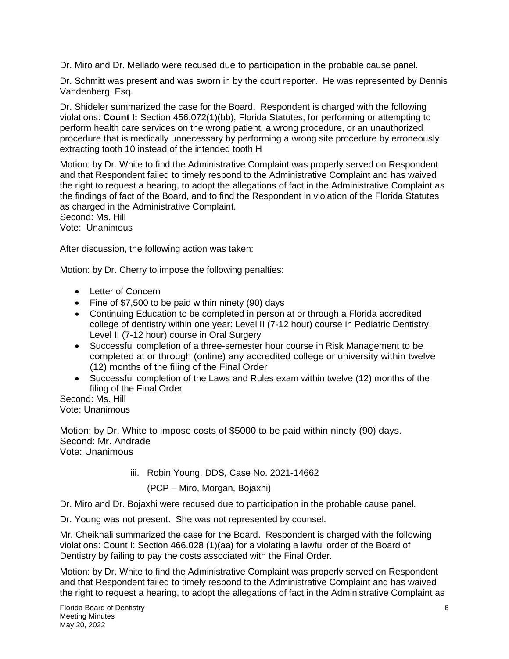Dr. Miro and Dr. Mellado were recused due to participation in the probable cause panel.

Dr. Schmitt was present and was sworn in by the court reporter. He was represented by Dennis Vandenberg, Esq.

Dr. Shideler summarized the case for the Board. Respondent is charged with the following violations: **Count I:** Section 456.072(1)(bb), Florida Statutes, for performing or attempting to perform health care services on the wrong patient, a wrong procedure, or an unauthorized procedure that is medically unnecessary by performing a wrong site procedure by erroneously extracting tooth 10 instead of the intended tooth H

Motion: by Dr. White to find the Administrative Complaint was properly served on Respondent and that Respondent failed to timely respond to the Administrative Complaint and has waived the right to request a hearing, to adopt the allegations of fact in the Administrative Complaint as the findings of fact of the Board, and to find the Respondent in violation of the Florida Statutes as charged in the Administrative Complaint.

Second: Ms. Hill Vote: Unanimous

After discussion, the following action was taken:

Motion: by Dr. Cherry to impose the following penalties:

- Letter of Concern
- Fine of \$7,500 to be paid within ninety (90) days
- Continuing Education to be completed in person at or through a Florida accredited college of dentistry within one year: Level II (7-12 hour) course in Pediatric Dentistry, Level II (7-12 hour) course in Oral Surgery
- Successful completion of a three-semester hour course in Risk Management to be completed at or through (online) any accredited college or university within twelve (12) months of the filing of the Final Order
- Successful completion of the Laws and Rules exam within twelve (12) months of the filing of the Final Order

Second: Ms. Hill Vote: Unanimous

Motion: by Dr. White to impose costs of \$5000 to be paid within ninety (90) days. Second: Mr. Andrade Vote: Unanimous

iii. Robin Young, DDS, Case No. 2021-14662

(PCP – Miro, Morgan, Bojaxhi)

Dr. Miro and Dr. Bojaxhi were recused due to participation in the probable cause panel.

Dr. Young was not present. She was not represented by counsel.

Mr. Cheikhali summarized the case for the Board. Respondent is charged with the following violations: Count I: Section 466.028 (1)(aa) for a violating a lawful order of the Board of Dentistry by failing to pay the costs associated with the Final Order.

Motion: by Dr. White to find the Administrative Complaint was properly served on Respondent and that Respondent failed to timely respond to the Administrative Complaint and has waived the right to request a hearing, to adopt the allegations of fact in the Administrative Complaint as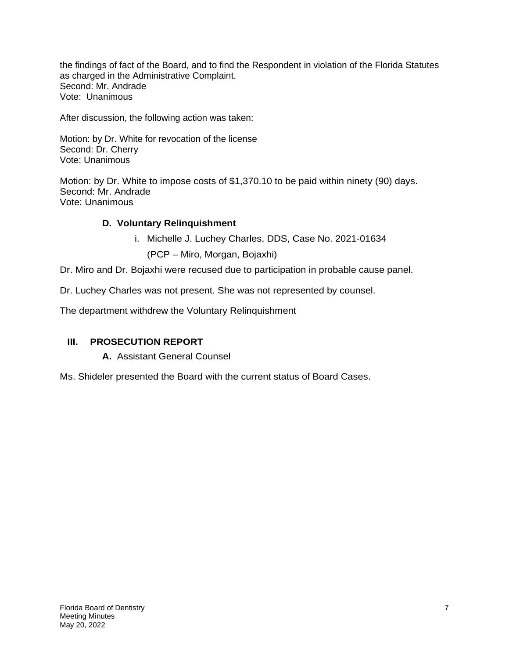the findings of fact of the Board, and to find the Respondent in violation of the Florida Statutes as charged in the Administrative Complaint. Second: Mr. Andrade Vote: Unanimous

After discussion, the following action was taken:

Motion: by Dr. White for revocation of the license Second: Dr. Cherry Vote: Unanimous

Motion: by Dr. White to impose costs of \$1,370.10 to be paid within ninety (90) days. Second: Mr. Andrade Vote: Unanimous

# **D. Voluntary Relinquishment**

i. Michelle J. Luchey Charles, DDS, Case No. 2021-01634

(PCP – Miro, Morgan, Bojaxhi)

Dr. Miro and Dr. Bojaxhi were recused due to participation in probable cause panel.

Dr. Luchey Charles was not present. She was not represented by counsel.

The department withdrew the Voluntary Relinquishment

# **III. PROSECUTION REPORT**

**A.** Assistant General Counsel

Ms. Shideler presented the Board with the current status of Board Cases.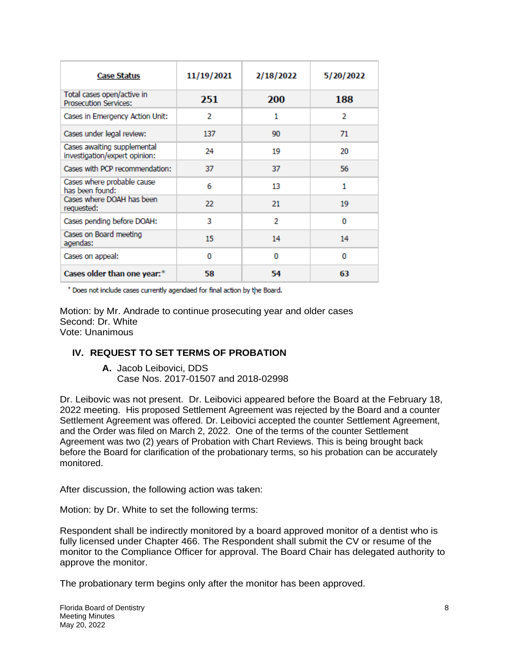| <b>Case Status</b>                                           | 11/19/2021 | 2/18/2022  | 5/20/2022 |
|--------------------------------------------------------------|------------|------------|-----------|
| Total cases open/active in<br><b>Prosecution Services:</b>   | 251        | <b>200</b> | 188       |
| Cases in Emergency Action Unit:                              | 2          | 1          | 2         |
| Cases under legal review:                                    | 137        | 90         | 71        |
| Cases awaiting supplemental<br>investigation/expert opinion: | 24         | 19         | 20        |
| Cases with PCP recommendation:                               | 37         | 37         | 56        |
| Cases where probable cause<br>has been found:                | 6          | 13         | 1         |
| Cases where DOAH has been<br>requested:                      | 22         | 21         | 19        |
| Cases pending before DOAH:                                   | 3          | 2          | 0         |
| Cases on Board meeting<br>agendas:                           | 15         | 14         | 14        |
| Cases on appeal:                                             | 0          | 0          | 0         |
| Cases older than one year:*                                  | 58         | 54         | 63        |

\* Does not include cases currently agendaed for final action by the Board.

Motion: by Mr. Andrade to continue prosecuting year and older cases Second: Dr. White Vote: Unanimous

## **IV. REQUEST TO SET TERMS OF PROBATION**

**A.** Jacob Leibovici, DDS Case Nos. 2017-01507 and 2018-02998

Dr. Leibovic was not present. Dr. Leibovici appeared before the Board at the February 18, 2022 meeting. His proposed Settlement Agreement was rejected by the Board and a counter Settlement Agreement was offered. Dr. Leibovici accepted the counter Settlement Agreement, and the Order was filed on March 2, 2022. One of the terms of the counter Settlement Agreement was two (2) years of Probation with Chart Reviews. This is being brought back before the Board for clarification of the probationary terms, so his probation can be accurately monitored.

After discussion, the following action was taken:

Motion: by Dr. White to set the following terms:

Respondent shall be indirectly monitored by a board approved monitor of a dentist who is fully licensed under Chapter 466. The Respondent shall submit the CV or resume of the monitor to the Compliance Officer for approval. The Board Chair has delegated authority to approve the monitor.

The probationary term begins only after the monitor has been approved.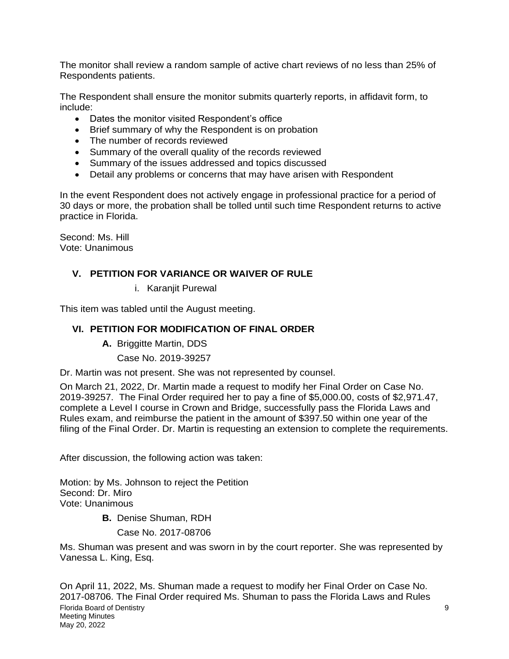The monitor shall review a random sample of active chart reviews of no less than 25% of Respondents patients.

The Respondent shall ensure the monitor submits quarterly reports, in affidavit form, to include:

- Dates the monitor visited Respondent's office
- Brief summary of why the Respondent is on probation
- The number of records reviewed
- Summary of the overall quality of the records reviewed
- Summary of the issues addressed and topics discussed
- Detail any problems or concerns that may have arisen with Respondent

In the event Respondent does not actively engage in professional practice for a period of 30 days or more, the probation shall be tolled until such time Respondent returns to active practice in Florida.

Second: Ms. Hill Vote: Unanimous

# **V. PETITION FOR VARIANCE OR WAIVER OF RULE**

i. Karanjit Purewal

This item was tabled until the August meeting.

# **VI. PETITION FOR MODIFICATION OF FINAL ORDER**

- **A.** Briggitte Martin, DDS
	- Case No. 2019-39257

Dr. Martin was not present. She was not represented by counsel.

On March 21, 2022, Dr. Martin made a request to modify her Final Order on Case No. 2019-39257. The Final Order required her to pay a fine of \$5,000.00, costs of \$2,971.47, complete a Level I course in Crown and Bridge, successfully pass the Florida Laws and Rules exam, and reimburse the patient in the amount of \$397.50 within one year of the filing of the Final Order. Dr. Martin is requesting an extension to complete the requirements.

After discussion, the following action was taken:

Motion: by Ms. Johnson to reject the Petition Second: Dr. Miro Vote: Unanimous

**B.** Denise Shuman, RDH

Case No. 2017-08706

Ms. Shuman was present and was sworn in by the court reporter. She was represented by Vanessa L. King, Esq.

Florida Board of Dentistry 9 Meeting Minutes May 20, 2022 On April 11, 2022, Ms. Shuman made a request to modify her Final Order on Case No. 2017-08706. The Final Order required Ms. Shuman to pass the Florida Laws and Rules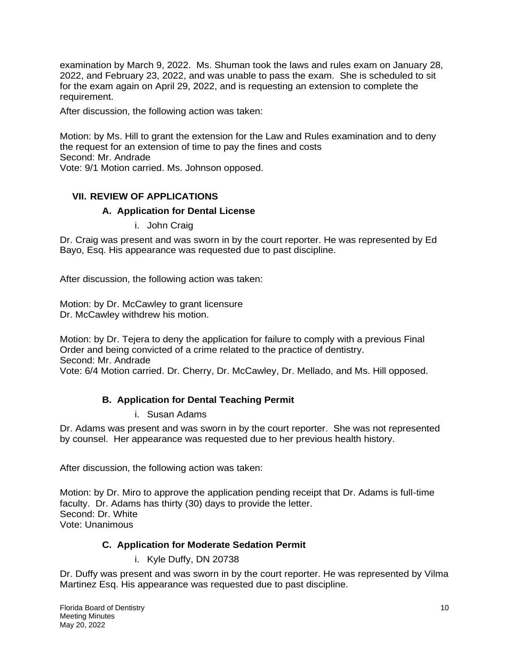examination by March 9, 2022. Ms. Shuman took the laws and rules exam on January 28, 2022, and February 23, 2022, and was unable to pass the exam. She is scheduled to sit for the exam again on April 29, 2022, and is requesting an extension to complete the requirement.

After discussion, the following action was taken:

Motion: by Ms. Hill to grant the extension for the Law and Rules examination and to deny the request for an extension of time to pay the fines and costs Second: Mr. Andrade Vote: 9/1 Motion carried. Ms. Johnson opposed.

# **VII. REVIEW OF APPLICATIONS**

## **A. Application for Dental License**

i. John Craig

Dr. Craig was present and was sworn in by the court reporter. He was represented by Ed Bayo, Esq. His appearance was requested due to past discipline.

After discussion, the following action was taken:

Motion: by Dr. McCawley to grant licensure Dr. McCawley withdrew his motion.

Motion: by Dr. Tejera to deny the application for failure to comply with a previous Final Order and being convicted of a crime related to the practice of dentistry. Second: Mr. Andrade Vote: 6/4 Motion carried. Dr. Cherry, Dr. McCawley, Dr. Mellado, and Ms. Hill opposed.

# **B. Application for Dental Teaching Permit**

## i. Susan Adams

Dr. Adams was present and was sworn in by the court reporter. She was not represented by counsel. Her appearance was requested due to her previous health history.

After discussion, the following action was taken:

Motion: by Dr. Miro to approve the application pending receipt that Dr. Adams is full-time faculty. Dr. Adams has thirty (30) days to provide the letter. Second: Dr. White Vote: Unanimous

# **C. Application for Moderate Sedation Permit**

i. Kyle Duffy, DN 20738

Dr. Duffy was present and was sworn in by the court reporter. He was represented by Vilma Martinez Esq. His appearance was requested due to past discipline.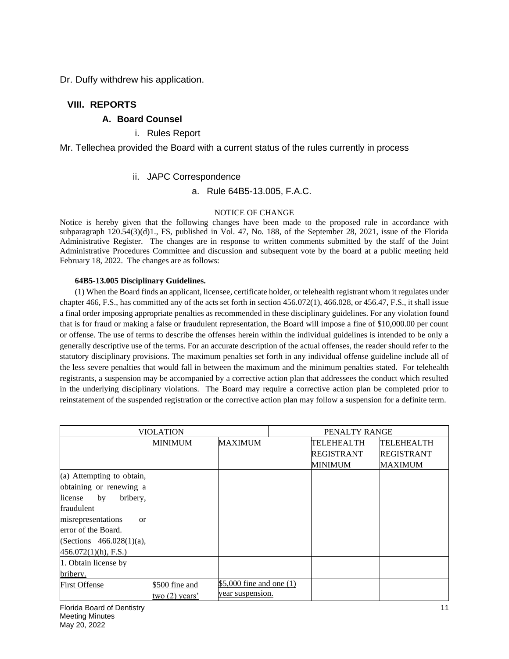Dr. Duffy withdrew his application.

## **VIII. REPORTS**

## **A. Board Counsel**

## i. Rules Report

Mr. Tellechea provided the Board with a current status of the rules currently in process

## ii. JAPC Correspondence

a. Rule 64B5-13.005, F.A.C.

### NOTICE OF CHANGE

Notice is hereby given that the following changes have been made to the proposed rule in accordance with subparagraph 120.54(3)(d)1., FS, published in Vol. 47, No. 188, of the September 28, 2021, issue of the Florida Administrative Register. The changes are in response to written comments submitted by the staff of the Joint Administrative Procedures Committee and discussion and subsequent vote by the board at a public meeting held February 18, 2022. The changes are as follows:

#### **64B5-13.005 Disciplinary Guidelines.**

(1) When the Board finds an applicant, licensee, certificate holder, or telehealth registrant whom it regulates under chapter 466, F.S., has committed any of the acts set forth in section 456.072(1), 466.028, or 456.47, F.S., it shall issue a final order imposing appropriate penalties as recommended in these disciplinary guidelines. For any violation found that is for fraud or making a false or fraudulent representation, the Board will impose a fine of \$10,000.00 per count or offense. The use of terms to describe the offenses herein within the individual guidelines is intended to be only a generally descriptive use of the terms. For an accurate description of the actual offenses, the reader should refer to the statutory disciplinary provisions. The maximum penalties set forth in any individual offense guideline include all of the less severe penalties that would fall in between the maximum and the minimum penalties stated. For telehealth registrants, a suspension may be accompanied by a corrective action plan that addressees the conduct which resulted in the underlying disciplinary violations. The Board may require a corrective action plan be completed prior to reinstatement of the suspended registration or the corrective action plan may follow a suspension for a definite term.

| VIOLATION                      |                                  |                            | PENALTY RANGE     |                   |  |
|--------------------------------|----------------------------------|----------------------------|-------------------|-------------------|--|
|                                | <b>MAXIMUM</b><br><b>MINIMUM</b> |                            | TELEHEALTH        | TELEHEALTH        |  |
|                                |                                  |                            | <b>REGISTRANT</b> | <b>REGISTRANT</b> |  |
|                                |                                  |                            | <b>MINIMUM</b>    | <b>MAXIMUM</b>    |  |
| (a) Attempting to obtain,      |                                  |                            |                   |                   |  |
| obtaining or renewing a        |                                  |                            |                   |                   |  |
| by<br>bribery,<br>license      |                                  |                            |                   |                   |  |
| fraudulent                     |                                  |                            |                   |                   |  |
| misrepresentations<br>$\alpha$ |                                  |                            |                   |                   |  |
| error of the Board.            |                                  |                            |                   |                   |  |
| (Sections $466.028(1)(a)$ ,    |                                  |                            |                   |                   |  |
| $456.072(1)(h)$ , F.S.)        |                                  |                            |                   |                   |  |
| 1. Obtain license by           |                                  |                            |                   |                   |  |
| bribery.                       |                                  |                            |                   |                   |  |
| <b>First Offense</b>           | \$500 fine and                   | \$5,000 fine and one $(1)$ |                   |                   |  |
|                                | two $(2)$ years'                 | year suspension.           |                   |                   |  |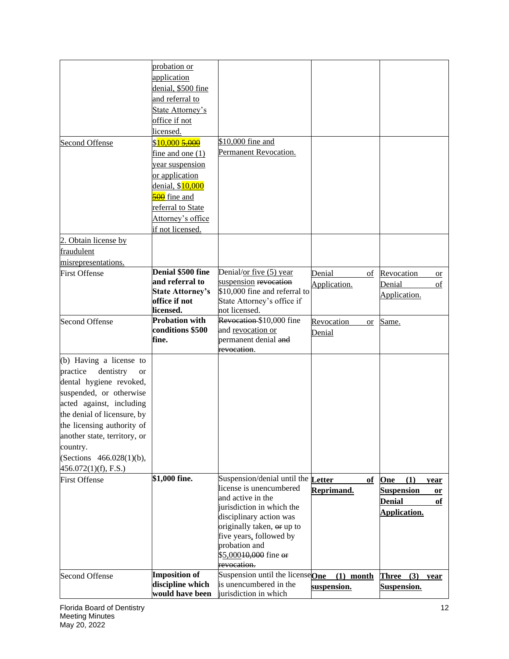| probation or<br>application<br>denial, \$500 fine<br>and referral to<br>State Attorney's<br>office if not<br>licensed.<br>\$10,000 fine and<br>\$10,000 5,000<br>Second Offense<br>Permanent Revocation.<br>fine and one $(1)$<br>year suspension<br>or application<br>denial, \$10,000<br>500 fine and<br>referral to State<br>Attorney's office<br>if not licensed.<br>fraudulent<br>misrepresentations.<br>Denial \$500 fine<br>Denial/or five (5) year<br><b>First Offense</b><br>Denial<br>Revocation<br>of<br><b>or</b><br>and referral to<br>suspension revocation<br>Application.<br>Denial<br>οf<br><b>State Attorney's</b><br>\$10,000 fine and referral to<br>Application.<br>office if not<br>State Attorney's office if<br>licensed.<br>not licensed.<br>Revocation \$10,000 fine<br><b>Probation with</b><br><b>Second Offense</b><br>Same.<br>Revocation<br><b>or</b><br>conditions \$500<br>and revocation or<br>Denial<br>permanent denial and<br>fine.<br>revocation.<br>dentistry<br><b>or</b><br>dental hygiene revoked,<br>suspended, or otherwise<br>acted against, including<br>the denial of licensure, by<br>the licensing authority of<br>another state, territory, or<br>country.<br>(Sections 466.028(1)(b),<br>456.072(1)(f), F.S.)<br>\$1,000 fine.<br>Suspension/denial until the<br><b>First Offense</b><br>Letter<br>of<br>One<br>(1)<br>year<br>license is unencumbered<br>Reprimand.<br><b>Suspension</b><br><b>or</b><br>and active in the<br><b>Denial</b><br>of<br>jurisdiction in which the<br>Application.<br>disciplinary action was<br>originally taken, or up to<br>five years, followed by<br>probation and<br>\$5,00010,000 fine or<br>revocation.<br><b>Imposition of</b><br>Suspension until the licenseOne<br><b>Second Offense</b><br>$(1)$ month<br><b>Three</b><br>(3)<br>year<br>discipline which<br>is unencumbered in the<br>suspension.<br>Suspension.<br>would have been<br>jurisdiction in which |                         |  |  |
|-----------------------------------------------------------------------------------------------------------------------------------------------------------------------------------------------------------------------------------------------------------------------------------------------------------------------------------------------------------------------------------------------------------------------------------------------------------------------------------------------------------------------------------------------------------------------------------------------------------------------------------------------------------------------------------------------------------------------------------------------------------------------------------------------------------------------------------------------------------------------------------------------------------------------------------------------------------------------------------------------------------------------------------------------------------------------------------------------------------------------------------------------------------------------------------------------------------------------------------------------------------------------------------------------------------------------------------------------------------------------------------------------------------------------------------------------------------------------------------------------------------------------------------------------------------------------------------------------------------------------------------------------------------------------------------------------------------------------------------------------------------------------------------------------------------------------------------------------------------------------------------------------------------------------------------------------------------|-------------------------|--|--|
|                                                                                                                                                                                                                                                                                                                                                                                                                                                                                                                                                                                                                                                                                                                                                                                                                                                                                                                                                                                                                                                                                                                                                                                                                                                                                                                                                                                                                                                                                                                                                                                                                                                                                                                                                                                                                                                                                                                                                           |                         |  |  |
|                                                                                                                                                                                                                                                                                                                                                                                                                                                                                                                                                                                                                                                                                                                                                                                                                                                                                                                                                                                                                                                                                                                                                                                                                                                                                                                                                                                                                                                                                                                                                                                                                                                                                                                                                                                                                                                                                                                                                           |                         |  |  |
|                                                                                                                                                                                                                                                                                                                                                                                                                                                                                                                                                                                                                                                                                                                                                                                                                                                                                                                                                                                                                                                                                                                                                                                                                                                                                                                                                                                                                                                                                                                                                                                                                                                                                                                                                                                                                                                                                                                                                           |                         |  |  |
|                                                                                                                                                                                                                                                                                                                                                                                                                                                                                                                                                                                                                                                                                                                                                                                                                                                                                                                                                                                                                                                                                                                                                                                                                                                                                                                                                                                                                                                                                                                                                                                                                                                                                                                                                                                                                                                                                                                                                           |                         |  |  |
|                                                                                                                                                                                                                                                                                                                                                                                                                                                                                                                                                                                                                                                                                                                                                                                                                                                                                                                                                                                                                                                                                                                                                                                                                                                                                                                                                                                                                                                                                                                                                                                                                                                                                                                                                                                                                                                                                                                                                           |                         |  |  |
|                                                                                                                                                                                                                                                                                                                                                                                                                                                                                                                                                                                                                                                                                                                                                                                                                                                                                                                                                                                                                                                                                                                                                                                                                                                                                                                                                                                                                                                                                                                                                                                                                                                                                                                                                                                                                                                                                                                                                           |                         |  |  |
|                                                                                                                                                                                                                                                                                                                                                                                                                                                                                                                                                                                                                                                                                                                                                                                                                                                                                                                                                                                                                                                                                                                                                                                                                                                                                                                                                                                                                                                                                                                                                                                                                                                                                                                                                                                                                                                                                                                                                           |                         |  |  |
|                                                                                                                                                                                                                                                                                                                                                                                                                                                                                                                                                                                                                                                                                                                                                                                                                                                                                                                                                                                                                                                                                                                                                                                                                                                                                                                                                                                                                                                                                                                                                                                                                                                                                                                                                                                                                                                                                                                                                           |                         |  |  |
|                                                                                                                                                                                                                                                                                                                                                                                                                                                                                                                                                                                                                                                                                                                                                                                                                                                                                                                                                                                                                                                                                                                                                                                                                                                                                                                                                                                                                                                                                                                                                                                                                                                                                                                                                                                                                                                                                                                                                           |                         |  |  |
|                                                                                                                                                                                                                                                                                                                                                                                                                                                                                                                                                                                                                                                                                                                                                                                                                                                                                                                                                                                                                                                                                                                                                                                                                                                                                                                                                                                                                                                                                                                                                                                                                                                                                                                                                                                                                                                                                                                                                           |                         |  |  |
|                                                                                                                                                                                                                                                                                                                                                                                                                                                                                                                                                                                                                                                                                                                                                                                                                                                                                                                                                                                                                                                                                                                                                                                                                                                                                                                                                                                                                                                                                                                                                                                                                                                                                                                                                                                                                                                                                                                                                           |                         |  |  |
|                                                                                                                                                                                                                                                                                                                                                                                                                                                                                                                                                                                                                                                                                                                                                                                                                                                                                                                                                                                                                                                                                                                                                                                                                                                                                                                                                                                                                                                                                                                                                                                                                                                                                                                                                                                                                                                                                                                                                           |                         |  |  |
|                                                                                                                                                                                                                                                                                                                                                                                                                                                                                                                                                                                                                                                                                                                                                                                                                                                                                                                                                                                                                                                                                                                                                                                                                                                                                                                                                                                                                                                                                                                                                                                                                                                                                                                                                                                                                                                                                                                                                           |                         |  |  |
|                                                                                                                                                                                                                                                                                                                                                                                                                                                                                                                                                                                                                                                                                                                                                                                                                                                                                                                                                                                                                                                                                                                                                                                                                                                                                                                                                                                                                                                                                                                                                                                                                                                                                                                                                                                                                                                                                                                                                           |                         |  |  |
|                                                                                                                                                                                                                                                                                                                                                                                                                                                                                                                                                                                                                                                                                                                                                                                                                                                                                                                                                                                                                                                                                                                                                                                                                                                                                                                                                                                                                                                                                                                                                                                                                                                                                                                                                                                                                                                                                                                                                           |                         |  |  |
|                                                                                                                                                                                                                                                                                                                                                                                                                                                                                                                                                                                                                                                                                                                                                                                                                                                                                                                                                                                                                                                                                                                                                                                                                                                                                                                                                                                                                                                                                                                                                                                                                                                                                                                                                                                                                                                                                                                                                           |                         |  |  |
|                                                                                                                                                                                                                                                                                                                                                                                                                                                                                                                                                                                                                                                                                                                                                                                                                                                                                                                                                                                                                                                                                                                                                                                                                                                                                                                                                                                                                                                                                                                                                                                                                                                                                                                                                                                                                                                                                                                                                           |                         |  |  |
|                                                                                                                                                                                                                                                                                                                                                                                                                                                                                                                                                                                                                                                                                                                                                                                                                                                                                                                                                                                                                                                                                                                                                                                                                                                                                                                                                                                                                                                                                                                                                                                                                                                                                                                                                                                                                                                                                                                                                           | 2. Obtain license by    |  |  |
|                                                                                                                                                                                                                                                                                                                                                                                                                                                                                                                                                                                                                                                                                                                                                                                                                                                                                                                                                                                                                                                                                                                                                                                                                                                                                                                                                                                                                                                                                                                                                                                                                                                                                                                                                                                                                                                                                                                                                           |                         |  |  |
|                                                                                                                                                                                                                                                                                                                                                                                                                                                                                                                                                                                                                                                                                                                                                                                                                                                                                                                                                                                                                                                                                                                                                                                                                                                                                                                                                                                                                                                                                                                                                                                                                                                                                                                                                                                                                                                                                                                                                           |                         |  |  |
|                                                                                                                                                                                                                                                                                                                                                                                                                                                                                                                                                                                                                                                                                                                                                                                                                                                                                                                                                                                                                                                                                                                                                                                                                                                                                                                                                                                                                                                                                                                                                                                                                                                                                                                                                                                                                                                                                                                                                           |                         |  |  |
|                                                                                                                                                                                                                                                                                                                                                                                                                                                                                                                                                                                                                                                                                                                                                                                                                                                                                                                                                                                                                                                                                                                                                                                                                                                                                                                                                                                                                                                                                                                                                                                                                                                                                                                                                                                                                                                                                                                                                           |                         |  |  |
|                                                                                                                                                                                                                                                                                                                                                                                                                                                                                                                                                                                                                                                                                                                                                                                                                                                                                                                                                                                                                                                                                                                                                                                                                                                                                                                                                                                                                                                                                                                                                                                                                                                                                                                                                                                                                                                                                                                                                           |                         |  |  |
|                                                                                                                                                                                                                                                                                                                                                                                                                                                                                                                                                                                                                                                                                                                                                                                                                                                                                                                                                                                                                                                                                                                                                                                                                                                                                                                                                                                                                                                                                                                                                                                                                                                                                                                                                                                                                                                                                                                                                           |                         |  |  |
|                                                                                                                                                                                                                                                                                                                                                                                                                                                                                                                                                                                                                                                                                                                                                                                                                                                                                                                                                                                                                                                                                                                                                                                                                                                                                                                                                                                                                                                                                                                                                                                                                                                                                                                                                                                                                                                                                                                                                           |                         |  |  |
|                                                                                                                                                                                                                                                                                                                                                                                                                                                                                                                                                                                                                                                                                                                                                                                                                                                                                                                                                                                                                                                                                                                                                                                                                                                                                                                                                                                                                                                                                                                                                                                                                                                                                                                                                                                                                                                                                                                                                           |                         |  |  |
|                                                                                                                                                                                                                                                                                                                                                                                                                                                                                                                                                                                                                                                                                                                                                                                                                                                                                                                                                                                                                                                                                                                                                                                                                                                                                                                                                                                                                                                                                                                                                                                                                                                                                                                                                                                                                                                                                                                                                           |                         |  |  |
|                                                                                                                                                                                                                                                                                                                                                                                                                                                                                                                                                                                                                                                                                                                                                                                                                                                                                                                                                                                                                                                                                                                                                                                                                                                                                                                                                                                                                                                                                                                                                                                                                                                                                                                                                                                                                                                                                                                                                           |                         |  |  |
|                                                                                                                                                                                                                                                                                                                                                                                                                                                                                                                                                                                                                                                                                                                                                                                                                                                                                                                                                                                                                                                                                                                                                                                                                                                                                                                                                                                                                                                                                                                                                                                                                                                                                                                                                                                                                                                                                                                                                           |                         |  |  |
|                                                                                                                                                                                                                                                                                                                                                                                                                                                                                                                                                                                                                                                                                                                                                                                                                                                                                                                                                                                                                                                                                                                                                                                                                                                                                                                                                                                                                                                                                                                                                                                                                                                                                                                                                                                                                                                                                                                                                           | (b) Having a license to |  |  |
|                                                                                                                                                                                                                                                                                                                                                                                                                                                                                                                                                                                                                                                                                                                                                                                                                                                                                                                                                                                                                                                                                                                                                                                                                                                                                                                                                                                                                                                                                                                                                                                                                                                                                                                                                                                                                                                                                                                                                           | practice                |  |  |
|                                                                                                                                                                                                                                                                                                                                                                                                                                                                                                                                                                                                                                                                                                                                                                                                                                                                                                                                                                                                                                                                                                                                                                                                                                                                                                                                                                                                                                                                                                                                                                                                                                                                                                                                                                                                                                                                                                                                                           |                         |  |  |
|                                                                                                                                                                                                                                                                                                                                                                                                                                                                                                                                                                                                                                                                                                                                                                                                                                                                                                                                                                                                                                                                                                                                                                                                                                                                                                                                                                                                                                                                                                                                                                                                                                                                                                                                                                                                                                                                                                                                                           |                         |  |  |
|                                                                                                                                                                                                                                                                                                                                                                                                                                                                                                                                                                                                                                                                                                                                                                                                                                                                                                                                                                                                                                                                                                                                                                                                                                                                                                                                                                                                                                                                                                                                                                                                                                                                                                                                                                                                                                                                                                                                                           |                         |  |  |
|                                                                                                                                                                                                                                                                                                                                                                                                                                                                                                                                                                                                                                                                                                                                                                                                                                                                                                                                                                                                                                                                                                                                                                                                                                                                                                                                                                                                                                                                                                                                                                                                                                                                                                                                                                                                                                                                                                                                                           |                         |  |  |
|                                                                                                                                                                                                                                                                                                                                                                                                                                                                                                                                                                                                                                                                                                                                                                                                                                                                                                                                                                                                                                                                                                                                                                                                                                                                                                                                                                                                                                                                                                                                                                                                                                                                                                                                                                                                                                                                                                                                                           |                         |  |  |
|                                                                                                                                                                                                                                                                                                                                                                                                                                                                                                                                                                                                                                                                                                                                                                                                                                                                                                                                                                                                                                                                                                                                                                                                                                                                                                                                                                                                                                                                                                                                                                                                                                                                                                                                                                                                                                                                                                                                                           |                         |  |  |
|                                                                                                                                                                                                                                                                                                                                                                                                                                                                                                                                                                                                                                                                                                                                                                                                                                                                                                                                                                                                                                                                                                                                                                                                                                                                                                                                                                                                                                                                                                                                                                                                                                                                                                                                                                                                                                                                                                                                                           |                         |  |  |
|                                                                                                                                                                                                                                                                                                                                                                                                                                                                                                                                                                                                                                                                                                                                                                                                                                                                                                                                                                                                                                                                                                                                                                                                                                                                                                                                                                                                                                                                                                                                                                                                                                                                                                                                                                                                                                                                                                                                                           |                         |  |  |
|                                                                                                                                                                                                                                                                                                                                                                                                                                                                                                                                                                                                                                                                                                                                                                                                                                                                                                                                                                                                                                                                                                                                                                                                                                                                                                                                                                                                                                                                                                                                                                                                                                                                                                                                                                                                                                                                                                                                                           |                         |  |  |
|                                                                                                                                                                                                                                                                                                                                                                                                                                                                                                                                                                                                                                                                                                                                                                                                                                                                                                                                                                                                                                                                                                                                                                                                                                                                                                                                                                                                                                                                                                                                                                                                                                                                                                                                                                                                                                                                                                                                                           |                         |  |  |
|                                                                                                                                                                                                                                                                                                                                                                                                                                                                                                                                                                                                                                                                                                                                                                                                                                                                                                                                                                                                                                                                                                                                                                                                                                                                                                                                                                                                                                                                                                                                                                                                                                                                                                                                                                                                                                                                                                                                                           |                         |  |  |
|                                                                                                                                                                                                                                                                                                                                                                                                                                                                                                                                                                                                                                                                                                                                                                                                                                                                                                                                                                                                                                                                                                                                                                                                                                                                                                                                                                                                                                                                                                                                                                                                                                                                                                                                                                                                                                                                                                                                                           |                         |  |  |
|                                                                                                                                                                                                                                                                                                                                                                                                                                                                                                                                                                                                                                                                                                                                                                                                                                                                                                                                                                                                                                                                                                                                                                                                                                                                                                                                                                                                                                                                                                                                                                                                                                                                                                                                                                                                                                                                                                                                                           |                         |  |  |
|                                                                                                                                                                                                                                                                                                                                                                                                                                                                                                                                                                                                                                                                                                                                                                                                                                                                                                                                                                                                                                                                                                                                                                                                                                                                                                                                                                                                                                                                                                                                                                                                                                                                                                                                                                                                                                                                                                                                                           |                         |  |  |
|                                                                                                                                                                                                                                                                                                                                                                                                                                                                                                                                                                                                                                                                                                                                                                                                                                                                                                                                                                                                                                                                                                                                                                                                                                                                                                                                                                                                                                                                                                                                                                                                                                                                                                                                                                                                                                                                                                                                                           |                         |  |  |
|                                                                                                                                                                                                                                                                                                                                                                                                                                                                                                                                                                                                                                                                                                                                                                                                                                                                                                                                                                                                                                                                                                                                                                                                                                                                                                                                                                                                                                                                                                                                                                                                                                                                                                                                                                                                                                                                                                                                                           |                         |  |  |
|                                                                                                                                                                                                                                                                                                                                                                                                                                                                                                                                                                                                                                                                                                                                                                                                                                                                                                                                                                                                                                                                                                                                                                                                                                                                                                                                                                                                                                                                                                                                                                                                                                                                                                                                                                                                                                                                                                                                                           |                         |  |  |
|                                                                                                                                                                                                                                                                                                                                                                                                                                                                                                                                                                                                                                                                                                                                                                                                                                                                                                                                                                                                                                                                                                                                                                                                                                                                                                                                                                                                                                                                                                                                                                                                                                                                                                                                                                                                                                                                                                                                                           |                         |  |  |
|                                                                                                                                                                                                                                                                                                                                                                                                                                                                                                                                                                                                                                                                                                                                                                                                                                                                                                                                                                                                                                                                                                                                                                                                                                                                                                                                                                                                                                                                                                                                                                                                                                                                                                                                                                                                                                                                                                                                                           |                         |  |  |
|                                                                                                                                                                                                                                                                                                                                                                                                                                                                                                                                                                                                                                                                                                                                                                                                                                                                                                                                                                                                                                                                                                                                                                                                                                                                                                                                                                                                                                                                                                                                                                                                                                                                                                                                                                                                                                                                                                                                                           |                         |  |  |
|                                                                                                                                                                                                                                                                                                                                                                                                                                                                                                                                                                                                                                                                                                                                                                                                                                                                                                                                                                                                                                                                                                                                                                                                                                                                                                                                                                                                                                                                                                                                                                                                                                                                                                                                                                                                                                                                                                                                                           |                         |  |  |
|                                                                                                                                                                                                                                                                                                                                                                                                                                                                                                                                                                                                                                                                                                                                                                                                                                                                                                                                                                                                                                                                                                                                                                                                                                                                                                                                                                                                                                                                                                                                                                                                                                                                                                                                                                                                                                                                                                                                                           |                         |  |  |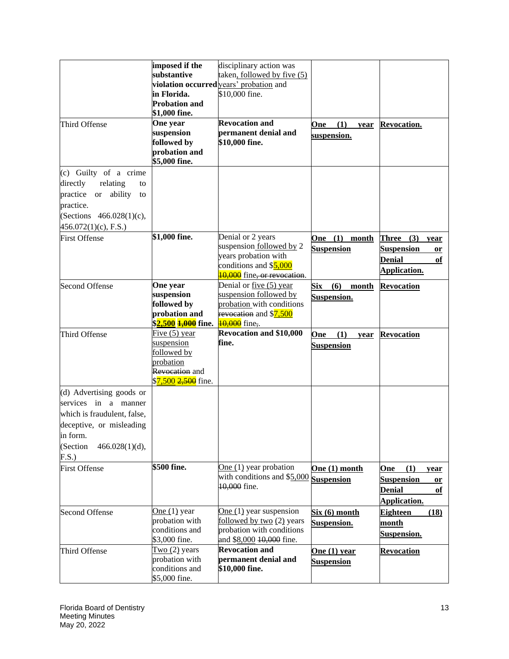|                                        | imposed if the                               | disciplinary action was                 |                     |                         |
|----------------------------------------|----------------------------------------------|-----------------------------------------|---------------------|-------------------------|
|                                        | substantive                                  | taken, followed by five (5)             |                     |                         |
|                                        |                                              | violation occurred years' probation and |                     |                         |
|                                        | in Florida.                                  | \$10,000 fine.                          |                     |                         |
|                                        | <b>Probation and</b>                         |                                         |                     |                         |
|                                        | \$1,000 fine.                                |                                         |                     |                         |
| Third Offense                          | One year                                     | <b>Revocation and</b>                   | (1)<br>One<br>year  | Revocation.             |
|                                        | suspension                                   | permanent denial and                    | suspension.         |                         |
|                                        | followed by                                  | \$10,000 fine.                          |                     |                         |
|                                        | probation and                                |                                         |                     |                         |
|                                        | \$5,000 fine.                                |                                         |                     |                         |
| (c) Guilty of a crime                  |                                              |                                         |                     |                         |
| directly<br>relating<br>to             |                                              |                                         |                     |                         |
| practice<br>ability<br><b>or</b><br>to |                                              |                                         |                     |                         |
| practice.                              |                                              |                                         |                     |                         |
|                                        |                                              |                                         |                     |                         |
| (Sections 466.028(1)(c),               |                                              |                                         |                     |                         |
| $456.072(1)(c)$ , F.S.)                |                                              |                                         |                     |                         |
| <b>First Offense</b>                   | \$1,000 fine.                                | Denial or 2 years                       | One $(1)$ month     | Three $(3)$ year        |
|                                        |                                              | suspension followed by 2                | <b>Suspension</b>   | <b>Suspension</b><br>or |
|                                        |                                              | years probation with                    |                     | <b>Denial</b><br>of     |
|                                        |                                              | conditions and \$5,000                  |                     | Application.            |
|                                        |                                              | 10,000 fine, or revocation.             |                     |                         |
| <b>Second Offense</b>                  | One year                                     | Denial or five (5) year                 | Six<br>(6)<br>month | Revocation              |
|                                        | suspension                                   | suspension followed by                  | <b>Suspension.</b>  |                         |
|                                        | followed by                                  | probation with conditions               |                     |                         |
|                                        | probation and                                | revocation and \$ <mark>7,500</mark>    |                     |                         |
|                                        | \$ <mark>2,500 <del>1,000</del> fine.</mark> | 10,000 fine,.                           |                     |                         |
| Third Offense                          | Five $(5)$ year                              | <b>Revocation and \$10,000</b>          | (1)<br>One<br>year  | <b>Revocation</b>       |
|                                        | suspension                                   | fine.                                   | <b>Suspension</b>   |                         |
|                                        | followed by                                  |                                         |                     |                         |
|                                        | probation                                    |                                         |                     |                         |
|                                        | Revocation and<br>\$7,500 2,500 fine.        |                                         |                     |                         |
| (d) Advertising goods or               |                                              |                                         |                     |                         |
| services in a manner                   |                                              |                                         |                     |                         |
|                                        |                                              |                                         |                     |                         |
| which is fraudulent, false,            |                                              |                                         |                     |                         |
| deceptive, or misleading               |                                              |                                         |                     |                         |
| in form.                               |                                              |                                         |                     |                         |
| (Section<br>$466.028(1)(d)$ ,          |                                              |                                         |                     |                         |
| F.S.)                                  |                                              |                                         |                     |                         |
| <b>First Offense</b>                   | \$500 fine.                                  | One $(1)$ year probation                | One (1) month       | (1)<br>One<br>year      |
|                                        |                                              | with conditions and \$5,000             | <b>Suspension</b>   | <b>Suspension</b><br>or |
|                                        |                                              | 10,000 fine.                            |                     | <b>Denial</b><br>оf     |
|                                        |                                              |                                         |                     |                         |
|                                        | One $(1)$ year                               | One $(1)$ year suspension               |                     | Application.            |
| <b>Second Offense</b>                  | probation with                               | followed by two (2) years               | Six (6) month       | (18)<br><b>Eighteen</b> |
|                                        |                                              |                                         | Suspension.         | <u>month</u>            |
|                                        |                                              |                                         |                     |                         |
|                                        | conditions and                               | probation with conditions               |                     | <b>Suspension.</b>      |
|                                        | \$3,000 fine.                                | and \$8,000 +0,000 fine.                |                     |                         |
| Third Offense                          | Two $(2)$ years                              | <b>Revocation and</b>                   | One (1) year        | <b>Revocation</b>       |
|                                        | probation with<br>conditions and             | permanent denial and<br>\$10,000 fine.  | <b>Suspension</b>   |                         |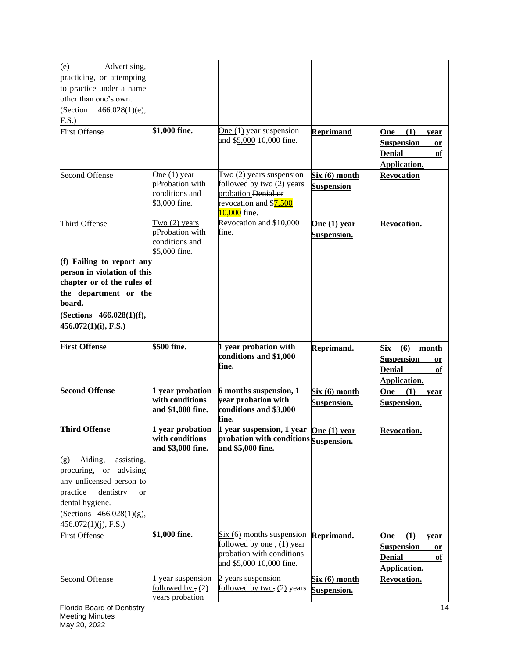| (e)<br>Advertising,                |                                     |                                                                                                          |                   |                         |
|------------------------------------|-------------------------------------|----------------------------------------------------------------------------------------------------------|-------------------|-------------------------|
| practicing, or attempting          |                                     |                                                                                                          |                   |                         |
| to practice under a name           |                                     |                                                                                                          |                   |                         |
| other than one's own.              |                                     |                                                                                                          |                   |                         |
| (Section<br>$466.028(1)(e)$ ,      |                                     |                                                                                                          |                   |                         |
| F.S.)                              |                                     |                                                                                                          |                   |                         |
| <b>First Offense</b>               | \$1,000 fine.                       | One $(1)$ year suspension                                                                                | <b>Reprimand</b>  | (1)<br>One<br>year      |
|                                    |                                     | and \$5,000 10,000 fine.                                                                                 |                   | <b>Suspension</b><br>or |
|                                    |                                     |                                                                                                          |                   | <b>Denial</b><br>оf     |
|                                    |                                     |                                                                                                          |                   | Application.            |
| <b>Second Offense</b>              | One $(1)$ year                      | Two $(2)$ years suspension                                                                               | Six (6) month     | <b>Revocation</b>       |
|                                    | pProbation with                     | followed by two (2) years                                                                                | <b>Suspension</b> |                         |
|                                    | conditions and<br>\$3,000 fine.     | probation Denial or<br>revocation and \$7,500                                                            |                   |                         |
|                                    |                                     | <b>10,000</b> fine.                                                                                      |                   |                         |
| Third Offense                      | Two $(2)$ years                     | Revocation and \$10,000                                                                                  | One $(1)$ year    | <b>Revocation.</b>      |
|                                    | pProbation with                     | fine.                                                                                                    | Suspension.       |                         |
|                                    | conditions and                      |                                                                                                          |                   |                         |
|                                    | \$5,000 fine.                       |                                                                                                          |                   |                         |
| (f) Failing to report any          |                                     |                                                                                                          |                   |                         |
| person in violation of this        |                                     |                                                                                                          |                   |                         |
| chapter or of the rules of         |                                     |                                                                                                          |                   |                         |
| the department or the<br>board.    |                                     |                                                                                                          |                   |                         |
|                                    |                                     |                                                                                                          |                   |                         |
| (Sections 466.028(1)(f),           |                                     |                                                                                                          |                   |                         |
| $456.072(1)(i)$ , F.S.)            |                                     |                                                                                                          |                   |                         |
| <b>First Offense</b>               | \$500 fine.                         | 1 year probation with                                                                                    | Reprimand.        | (6)<br>Six<br>month     |
|                                    |                                     | conditions and \$1,000                                                                                   |                   | <b>Suspension</b><br>or |
|                                    |                                     | fine.                                                                                                    |                   | <b>Denial</b><br>of     |
|                                    |                                     |                                                                                                          |                   | Application.            |
| <b>Second Offense</b>              | 1 year probation                    | 6 months suspension, 1                                                                                   | Six (6) month     | One<br>(1)<br>year      |
|                                    | with conditions                     | year probation with                                                                                      | Suspension.       | Suspension.             |
|                                    | and \$1,000 fine.                   | conditions and \$3,000                                                                                   |                   |                         |
|                                    |                                     | fine.                                                                                                    |                   |                         |
| <b>Third Offense</b>               | 1 year probation<br>with conditions | $\overline{1}$ year suspension, 1 year $\overline{One(1)}$ year<br>probation with conditions Suspension. |                   | <b>Revocation.</b>      |
|                                    | and \$3,000 fine.                   | and \$5,000 fine.                                                                                        |                   |                         |
| Aiding,<br>assisting,<br>(g)       |                                     |                                                                                                          |                   |                         |
| procuring, or advising             |                                     |                                                                                                          |                   |                         |
| any unlicensed person to           |                                     |                                                                                                          |                   |                         |
| dentistry<br>practice<br><b>or</b> |                                     |                                                                                                          |                   |                         |
| dental hygiene.                    |                                     |                                                                                                          |                   |                         |
| (Sections 466.028(1)(g),           |                                     |                                                                                                          |                   |                         |
| $456.072(1)(j)$ , F.S.)            |                                     |                                                                                                          |                   |                         |
| <b>First Offense</b>               | \$1,000 fine.                       | $Six (6)$ months suspension                                                                              | Reprimand.        | (1)<br>One<br>year      |
|                                    |                                     | followed by one, (1) year                                                                                |                   | <b>Suspension</b><br>or |
|                                    |                                     | probation with conditions<br>and \$5,000 10,000 fine.                                                    |                   | <b>Denial</b><br>оf     |
|                                    |                                     |                                                                                                          |                   | Application.            |
| <b>Second Offense</b>              | 1 year suspension                   | 2 years suspension                                                                                       | Six (6) month     | Revocation.             |
|                                    | followed by, $(2)$                  | followed by two, (2) years                                                                               | Suspension.       |                         |
|                                    | years probation                     |                                                                                                          |                   |                         |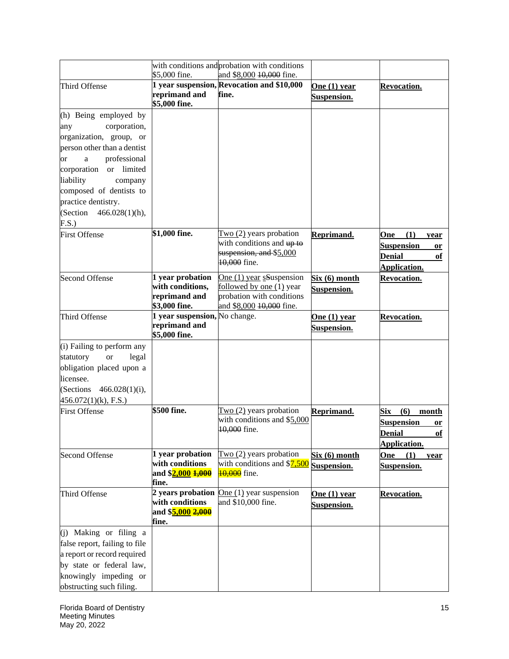|                                                                                                                                                                         |                                                                        | with conditions and probation with conditions                                                                 |                                      |                                                                                                     |
|-------------------------------------------------------------------------------------------------------------------------------------------------------------------------|------------------------------------------------------------------------|---------------------------------------------------------------------------------------------------------------|--------------------------------------|-----------------------------------------------------------------------------------------------------|
|                                                                                                                                                                         | \$5,000 fine.                                                          | and \$8,000 10,000 fine.                                                                                      |                                      |                                                                                                     |
| Third Offense                                                                                                                                                           | reprimand and<br>\$5,000 fine.                                         | 1 year suspension, Revocation and \$10,000<br>fine.                                                           | One (1) year<br>Suspension.          | Revocation.                                                                                         |
| (h) Being employed by<br>corporation,<br>any<br>organization, group, or                                                                                                 |                                                                        |                                                                                                               |                                      |                                                                                                     |
| person other than a dentist<br>professional<br>$\mathbf{a}$<br><sub>or</sub><br>corporation or limited<br>liability<br>company                                          |                                                                        |                                                                                                               |                                      |                                                                                                     |
| composed of dentists to<br>practice dentistry.<br>(Section $466.028(1)(h)$ ,<br>F.S.)                                                                                   |                                                                        |                                                                                                               |                                      |                                                                                                     |
| <b>First Offense</b>                                                                                                                                                    | \$1,000 fine.                                                          | $Two(2)$ years probation<br>with conditions and up to<br>suspension, and \$5,000<br>10,000 fine.              | Reprimand.                           | (1)<br>One<br>year<br><b>Suspension</b><br>or<br><b>Denial</b><br>of<br>Application.                |
| <b>Second Offense</b>                                                                                                                                                   | 1 year probation<br>with conditions,<br>reprimand and<br>\$3,000 fine. | One (1) year sSuspension<br>followed by one (1) year<br>probation with conditions<br>and \$8,000 10,000 fine. | Six (6) month<br>Suspension.         | <b>Revocation.</b>                                                                                  |
| Third Offense                                                                                                                                                           | 1 year suspension, No change.<br>reprimand and<br>\$5,000 fine.        |                                                                                                               | One $(1)$ year<br><b>Suspension.</b> | <b>Revocation.</b>                                                                                  |
| (i) Failing to perform any<br>statutory<br><b>or</b><br>legal<br>obligation placed upon a<br>licensee.<br>(Sections<br>$466.028(1)(i)$ ,<br>$456.072(1)(k)$ , F.S.)     |                                                                        |                                                                                                               |                                      |                                                                                                     |
| <b>First Offense</b>                                                                                                                                                    | \$500 fine.                                                            | Two (2) years probation<br>with conditions and \$5,000<br>10,000 fine.                                        | Reprimand.                           | $\textbf{Six} \quad (6)$<br>month<br><b>Suspension</b><br>or<br><b>Denial</b><br>of<br>Application. |
| <b>Second Offense</b>                                                                                                                                                   | 1 year probation<br>with conditions<br>and \$2,000 1,000<br>fine.      | Two $(2)$ years probation<br>with conditions and $$7,500$<br><b>10.000</b> fine.                              | Six(6) month<br>Suspension.          | <b>One</b><br>(1)<br>year<br>Suspension.                                                            |
| Third Offense                                                                                                                                                           | with conditions<br>and \$ <mark>5,000 2,000</mark><br>fine.            | 2 years probation $One(1)$ year suspension<br>and \$10,000 fine.                                              | One $(1)$ year<br>Suspension.        | Revocation.                                                                                         |
| (j) Making or filing a<br>false report, failing to file<br>a report or record required<br>by state or federal law,<br>knowingly impeding or<br>obstructing such filing. |                                                                        |                                                                                                               |                                      |                                                                                                     |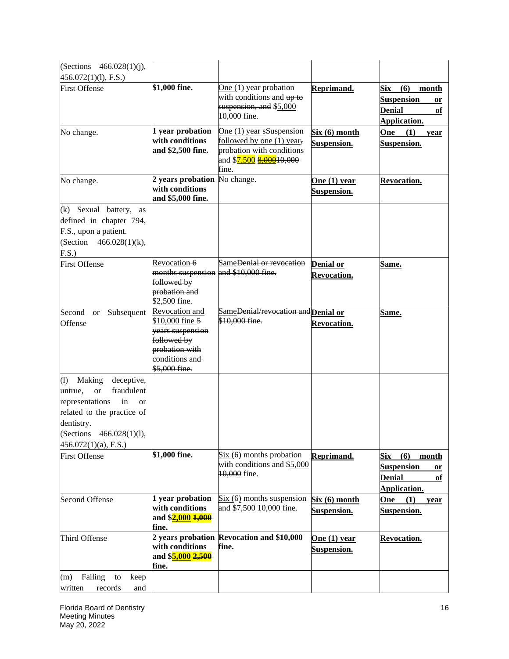| (Sections $466.028(1)(i)$ ,                                                                                                                                                                                    |                                                                                                                           |                                                                                                |                                        |                                                                                       |
|----------------------------------------------------------------------------------------------------------------------------------------------------------------------------------------------------------------|---------------------------------------------------------------------------------------------------------------------------|------------------------------------------------------------------------------------------------|----------------------------------------|---------------------------------------------------------------------------------------|
| 456.072(1)(1), F.S.)                                                                                                                                                                                           |                                                                                                                           |                                                                                                |                                        |                                                                                       |
| <b>First Offense</b>                                                                                                                                                                                           | \$1,000 fine.                                                                                                             | One (1) year probation<br>with conditions and up to<br>suspension, and \$5,000<br>10,000 fine. | Reprimand.                             | Six<br>(6)<br>month<br><b>Suspension</b><br>or<br><b>Denial</b><br>of<br>Application. |
| No change.                                                                                                                                                                                                     | 1 year probation<br>with conditions<br>and \$2,500 fine.                                                                  | One (1) year sSuspension<br>followed by one (1) year,<br>probation with conditions<br>fine.    | Six (6) month<br>Suspension.           | (1)<br>One<br>year<br>Suspension.                                                     |
| No change.                                                                                                                                                                                                     | 2 years probation<br>with conditions<br>and \$5,000 fine.                                                                 | No change.                                                                                     | One $(1)$ year<br>Suspension.          | Revocation.                                                                           |
| (k) Sexual battery, as<br>defined in chapter 794,<br>F.S., upon a patient.<br>(Section $466.028(1)(k)$ ,<br>F.S.)                                                                                              |                                                                                                                           |                                                                                                |                                        |                                                                                       |
| <b>First Offense</b>                                                                                                                                                                                           | Revocation-6<br>months suspension and \$10,000 fine.<br>followed by<br>probation and<br>\$2,500 fine.                     | SameDenial or revocation                                                                       | <b>Denial or</b><br><b>Revocation.</b> | Same.                                                                                 |
| Second<br>Subsequent<br><b>or</b><br>Offense                                                                                                                                                                   | Revocation and<br>\$10,000 fine 5<br>years suspension<br>followed by<br>probation with<br>conditions and<br>\$5,000 fine. | SameDenial/revocation and Denial or<br>\$10,000 fine.                                          | <b>Revocation.</b>                     | Same.                                                                                 |
| Making<br>deceptive,<br>(1)<br>fraudulent<br>untrue,<br><b>or</b><br>representations<br>in<br><sub>or</sub><br>related to the practice of<br>dentistry.<br>(Sections 466.028(1)(1),<br>$456.072(1)(a)$ , F.S.) |                                                                                                                           |                                                                                                |                                        |                                                                                       |
| <b>First Offense</b>                                                                                                                                                                                           | \$1,000 fine.                                                                                                             | $Six (6)$ months probation<br>with conditions and \$5,000<br>10,000 fine.                      | Reprimand.                             | (6)<br>Six<br>month<br><b>Suspension</b><br>or<br><b>Denial</b><br>of<br>Application. |
| <b>Second Offense</b>                                                                                                                                                                                          | 1 year probation<br>with conditions<br>and \$2,000 1,000<br>fine.                                                         | $Six (6)$ months suspension<br>and \$7,500 10,000 fine.                                        | Six(6) month<br>Suspension.            | One<br>(1)<br>year<br>Suspension.                                                     |
| Third Offense                                                                                                                                                                                                  | with conditions<br>and \$5,000 2,500<br>fine.                                                                             | 2 years probation Revocation and \$10,000<br>fine.                                             | One (1) year<br>Suspension.            | <b>Revocation.</b>                                                                    |
| Failing<br>to<br>keep<br>(m)<br>written<br>records<br>and                                                                                                                                                      |                                                                                                                           |                                                                                                |                                        |                                                                                       |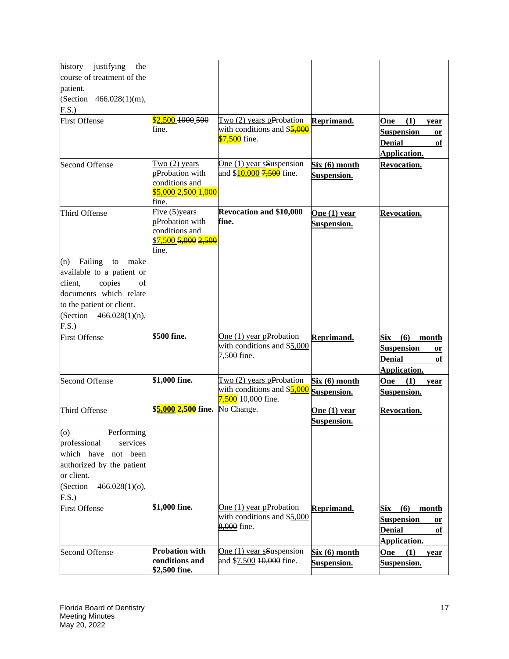| history<br>justifying<br>the     |                                   |                                        |                    |                           |
|----------------------------------|-----------------------------------|----------------------------------------|--------------------|---------------------------|
| course of treatment of the       |                                   |                                        |                    |                           |
| patient.                         |                                   |                                        |                    |                           |
| (Section 466.028(1)(m),          |                                   |                                        |                    |                           |
| F.S.)                            |                                   |                                        |                    |                           |
| <b>First Offense</b>             | \$2,500 1000 500                  | Two $(2)$ years pProbation             | Reprimand.         | (1)<br>One<br>year        |
|                                  | fine.                             | with conditions and \$5,000            |                    | <b>Suspension</b><br>or   |
|                                  |                                   | \$7,500 fine.                          |                    | <b>Denial</b><br>оf       |
|                                  |                                   |                                        |                    | Application.              |
| <b>Second Offense</b>            | Two $(2)$ years                   | One (1) year sSuspension               | Six(6) month       | Revocation.               |
|                                  | pProbation with                   | and \$ <mark>10,000</mark> 7,500 fine. | Suspension.        |                           |
|                                  | conditions and                    |                                        |                    |                           |
|                                  | \$5,000 <del>2,500 1,000</del>    |                                        |                    |                           |
|                                  | fine.<br>Five $(5)$ years         | <b>Revocation and \$10,000</b>         |                    |                           |
| Third Offense                    | pProbation with                   | fine.                                  | One $(1)$ year     | Revocation.               |
|                                  | conditions and                    |                                        | Suspension.        |                           |
|                                  | <u>\$7,500 5,000 2,500</u>        |                                        |                    |                           |
|                                  | fine.                             |                                        |                    |                           |
| Failing<br>to<br>make<br>(n)     |                                   |                                        |                    |                           |
| available to a patient or        |                                   |                                        |                    |                           |
| client,<br>copies<br>of          |                                   |                                        |                    |                           |
| documents which relate           |                                   |                                        |                    |                           |
| to the patient or client.        |                                   |                                        |                    |                           |
| (Section $466.028(1)(n)$ ,       |                                   |                                        |                    |                           |
| F.S.)                            |                                   |                                        |                    |                           |
| <b>First Offense</b>             | \$500 fine.                       | One $(1)$ year pProbation              | Reprimand.         | (6)<br>Six<br>month       |
|                                  |                                   | with conditions and \$5,000            |                    | <b>Suspension</b><br>or   |
|                                  |                                   | 7,500 fine.                            |                    | <b>Denial</b><br>of       |
|                                  |                                   |                                        |                    | <b>Application.</b>       |
| <b>Second Offense</b>            | \$1,000 fine.                     | Two $(2)$ years pProbation             | Six (6) month      | One<br>(1)<br>year        |
|                                  |                                   | with conditions and \$5,000            | Suspension.        | <b>Suspension.</b>        |
|                                  |                                   | 7,500 10,000 fine.                     |                    |                           |
| Third Offense                    | \$ <mark>5,000 2,500</mark> fine. | No Change.                             | One (1) year       | <u>Revocation.</u>        |
|                                  |                                   |                                        | Suspension.        |                           |
| $\left( 0 \right)$<br>Performing |                                   |                                        |                    |                           |
| professional<br>services         |                                   |                                        |                    |                           |
| which have not been              |                                   |                                        |                    |                           |
| authorized by the patient        |                                   |                                        |                    |                           |
| or client.                       |                                   |                                        |                    |                           |
| (Section<br>$466.028(1)(o)$ ,    |                                   |                                        |                    |                           |
| F.S.)                            |                                   |                                        |                    |                           |
| <b>First Offense</b>             | \$1,000 fine.                     | One (1) year pProbation                | Reprimand.         | (6)<br>Six<br>month       |
|                                  |                                   | with conditions and \$5,000            |                    | <b>Suspension</b><br>or   |
|                                  |                                   | 8,000 fine.                            |                    | <b>Denial</b><br>оf       |
|                                  |                                   |                                        |                    | Application.              |
| <b>Second Offense</b>            | Probation with                    | One (1) year sSuspension               | Six(6) month       | <b>One</b><br>(1)<br>year |
|                                  | conditions and                    | and \$7,500 10,000 fine.               | <b>Suspension.</b> | Suspension.               |
|                                  | \$2,500 fine.                     |                                        |                    |                           |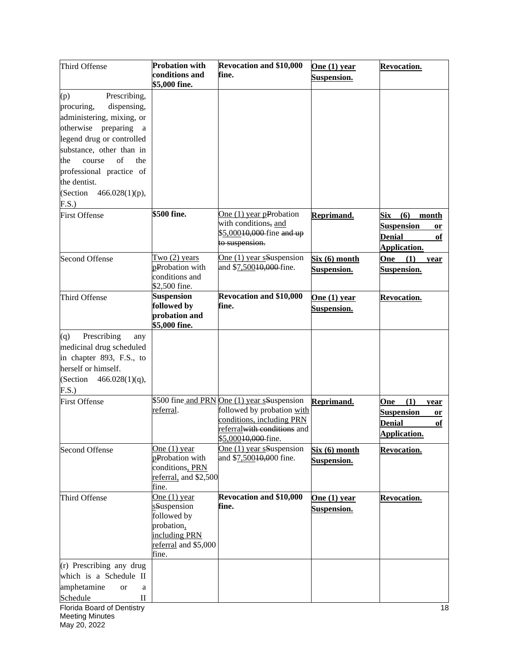| Third Offense                     | <b>Probation with</b><br>conditions and<br>\$5,000 fine. | <b>Revocation and \$10,000</b><br>fine.                                        | One $(1)$ year<br><b>Suspension.</b> | Revocation.                                    |
|-----------------------------------|----------------------------------------------------------|--------------------------------------------------------------------------------|--------------------------------------|------------------------------------------------|
| Prescribing,<br>(p)               |                                                          |                                                                                |                                      |                                                |
| dispensing,<br>procuring,         |                                                          |                                                                                |                                      |                                                |
| administering, mixing, or         |                                                          |                                                                                |                                      |                                                |
| otherwise preparing a             |                                                          |                                                                                |                                      |                                                |
| legend drug or controlled         |                                                          |                                                                                |                                      |                                                |
| substance, other than in          |                                                          |                                                                                |                                      |                                                |
| of<br>the<br>the<br>course        |                                                          |                                                                                |                                      |                                                |
| professional practice of          |                                                          |                                                                                |                                      |                                                |
| the dentist.                      |                                                          |                                                                                |                                      |                                                |
| (Section<br>$466.028(1)(p)$ ,     |                                                          |                                                                                |                                      |                                                |
| F.S.)                             |                                                          |                                                                                |                                      |                                                |
| <b>First Offense</b>              | $$500$ fine.                                             | One $(1)$ year pProbation<br>with conditions, and<br>\$5,00010,000 fine and up | Reprimand.                           | Six<br>(6)<br>month<br><b>Suspension</b><br>or |
|                                   |                                                          | to suspension.                                                                 |                                      | <b>Denial</b><br>of<br>Application.            |
| <b>Second Offense</b>             | Two $(2)$ years                                          | One (1) year sSuspension                                                       | Six(6) month                         | (1)<br>One<br>year                             |
|                                   | pProbation with                                          | and \$7,50010,000 fine.                                                        | <b>Suspension.</b>                   | Suspension.                                    |
|                                   | conditions and                                           |                                                                                |                                      |                                                |
| Third Offense                     | \$2,500 fine.<br><b>Suspension</b>                       | <b>Revocation and \$10,000</b>                                                 | One $(1)$ year                       | <b>Revocation.</b>                             |
|                                   | followed by                                              | fine.                                                                          |                                      |                                                |
|                                   | probation and                                            |                                                                                | <b>Suspension.</b>                   |                                                |
|                                   | \$5,000 fine.                                            |                                                                                |                                      |                                                |
| Prescribing<br>(q)<br>any         |                                                          |                                                                                |                                      |                                                |
| medicinal drug scheduled          |                                                          |                                                                                |                                      |                                                |
| in chapter 893, F.S., to          |                                                          |                                                                                |                                      |                                                |
| herself or himself.               |                                                          |                                                                                |                                      |                                                |
| (Section<br>$466.028(1)(q)$ ,     |                                                          |                                                                                |                                      |                                                |
| F.S.)                             |                                                          |                                                                                |                                      |                                                |
| <b>First Offense</b>              |                                                          | \$500 fine and PRN One (1) year sSuspension                                    | Reprimand.                           | (1)<br>One                                     |
|                                   | referral.                                                | followed by probation with                                                     |                                      | year<br><b>Suspension</b>                      |
|                                   |                                                          | conditions, including PRN                                                      |                                      | or                                             |
|                                   |                                                          | referralwith conditions and                                                    |                                      | <b>Denial</b><br>of                            |
|                                   |                                                          | \$5,00010,000 fine.                                                            |                                      | <b>Application.</b>                            |
| <b>Second Offense</b>             | One $(1)$ year                                           | One $(1)$ year sSuspension                                                     | Six (6) month                        | <b>Revocation.</b>                             |
|                                   | pProbation with                                          | and \$7,500 <del>10,0</del> 00 fine.                                           | Suspension.                          |                                                |
|                                   | conditions, PRN                                          |                                                                                |                                      |                                                |
|                                   | referral, and \$2,500                                    |                                                                                |                                      |                                                |
|                                   | fine.                                                    |                                                                                |                                      |                                                |
| Third Offense                     | One $(1)$ year                                           | Revocation and \$10,000                                                        | One $(1)$ year                       | <b>Revocation.</b>                             |
|                                   | sSuspension                                              | fine.                                                                          | <b>Suspension.</b>                   |                                                |
|                                   | followed by                                              |                                                                                |                                      |                                                |
|                                   | probation,                                               |                                                                                |                                      |                                                |
|                                   | including PRN                                            |                                                                                |                                      |                                                |
|                                   | referral and \$5,000<br>fine.                            |                                                                                |                                      |                                                |
| (r) Prescribing any drug          |                                                          |                                                                                |                                      |                                                |
| which is a Schedule II            |                                                          |                                                                                |                                      |                                                |
| amphetamine<br><sub>or</sub><br>a |                                                          |                                                                                |                                      |                                                |
| Schedule<br>$\mathbf{I}$          |                                                          |                                                                                |                                      |                                                |
| Florida Board of Dentistry        |                                                          |                                                                                |                                      | 18                                             |
| <b>Meeting Minutes</b>            |                                                          |                                                                                |                                      |                                                |
| May 20, 2022                      |                                                          |                                                                                |                                      |                                                |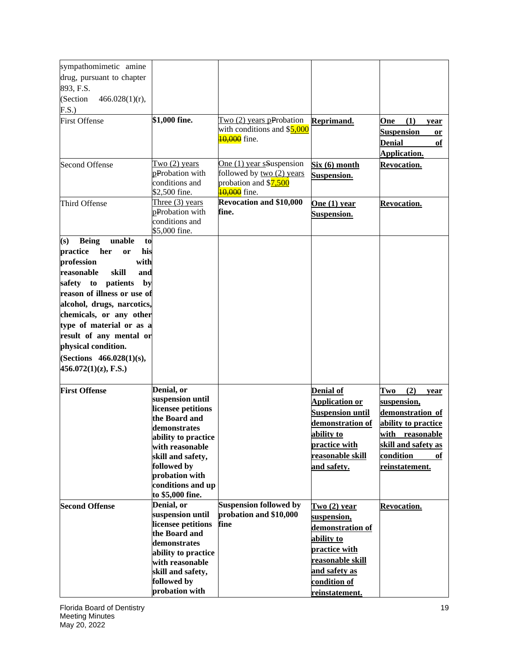| sympathomimetic amine               |                     |                                |                         |                            |
|-------------------------------------|---------------------|--------------------------------|-------------------------|----------------------------|
| drug, pursuant to chapter           |                     |                                |                         |                            |
| 893, F.S.                           |                     |                                |                         |                            |
| (Section<br>$466.028(1)(r)$ ,       |                     |                                |                         |                            |
|                                     |                     |                                |                         |                            |
| F.S.)                               | \$1,000 fine.       | Two $(2)$ years pProbation     |                         |                            |
| <b>First Offense</b>                |                     | with conditions and \$5,000    | Reprimand.              | (1)<br>One<br>year         |
|                                     |                     | 10,000 fine.                   |                         | <b>Suspension</b><br>or    |
|                                     |                     |                                |                         | <b>Denial</b><br>of        |
|                                     |                     |                                |                         | Application.               |
| <b>Second Offense</b>               | Two $(2)$ years     | One $(1)$ year sSuspension     | Six (6) month           | Revocation.                |
|                                     | pProbation with     | followed by two (2) years      | <b>Suspension.</b>      |                            |
|                                     | conditions and      | probation and \$7,500          |                         |                            |
|                                     | \$2,500 fine.       | 10,000 fine.                   |                         |                            |
| Third Offense                       | Three $(3)$ years   | <b>Revocation and \$10,000</b> | One $(1)$ year          | <b>Revocation.</b>         |
|                                     | pProbation with     | fine.                          | Suspension.             |                            |
|                                     | conditions and      |                                |                         |                            |
|                                     | \$5,000 fine.       |                                |                         |                            |
| unable<br><b>Being</b><br>(s)<br>to |                     |                                |                         |                            |
| practice<br>his<br>her<br>or        |                     |                                |                         |                            |
| profession<br>with                  |                     |                                |                         |                            |
| skill<br>reasonable<br>and          |                     |                                |                         |                            |
| safety to<br>patients<br>by         |                     |                                |                         |                            |
| reason of illness or use of         |                     |                                |                         |                            |
| alcohol, drugs, narcotics,          |                     |                                |                         |                            |
| chemicals, or any other             |                     |                                |                         |                            |
| type of material or as a            |                     |                                |                         |                            |
| result of any mental or             |                     |                                |                         |                            |
| physical condition.                 |                     |                                |                         |                            |
| (Sections 466.028(1)(s),            |                     |                                |                         |                            |
| $456.072(1)(z)$ , F.S.)             |                     |                                |                         |                            |
|                                     |                     |                                |                         |                            |
| <b>First Offense</b>                | Denial, or          |                                | <b>Denial of</b>        | (2)<br>Two                 |
|                                     | suspension until    |                                |                         | year                       |
|                                     | licensee petitions  |                                | <b>Application or</b>   | suspension,                |
|                                     | the Board and       |                                | <b>Suspension until</b> | demonstration of           |
|                                     | demonstrates        |                                | demonstration of        | ability to practice        |
|                                     | ability to practice |                                | ability to              | with reasonable            |
|                                     | with reasonable     |                                | practice with           | <u>skill and safety as</u> |
|                                     | skill and safety,   |                                | reasonable skill        | condition<br>of            |
|                                     | followed by         |                                | and safety.             | reinstatement.             |
|                                     | probation with      |                                |                         |                            |
|                                     | conditions and up   |                                |                         |                            |
|                                     | to \$5,000 fine.    |                                |                         |                            |
| <b>Second Offense</b>               | Denial, or          | <b>Suspension followed by</b>  | Two(2) year             | <b>Revocation.</b>         |
|                                     | suspension until    | probation and \$10,000         | suspension,             |                            |
|                                     | licensee petitions  | fine                           | demonstration of        |                            |
|                                     | the Board and       |                                | ability to              |                            |
|                                     | demonstrates        |                                | practice with           |                            |
|                                     | ability to practice |                                | reasonable skill        |                            |
|                                     | with reasonable     |                                |                         |                            |
|                                     | skill and safety,   |                                | and safety as           |                            |
|                                     | followed by         |                                | condition of            |                            |
|                                     | probation with      |                                | reinstatement.          |                            |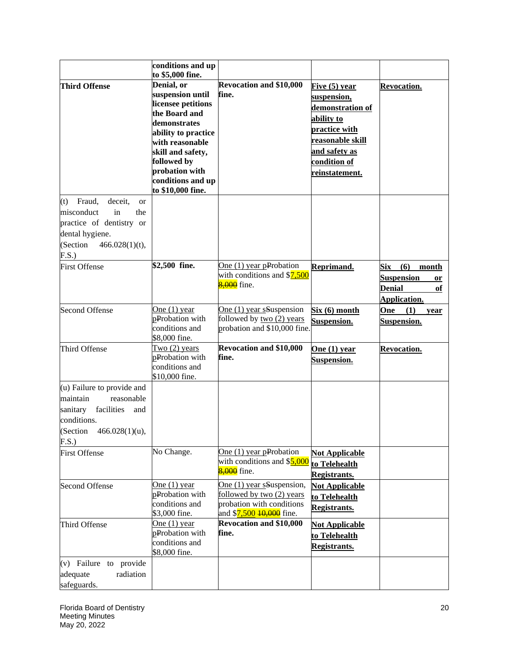|                                           | conditions and up   |                                        |                         |                         |
|-------------------------------------------|---------------------|----------------------------------------|-------------------------|-------------------------|
|                                           | to \$5,000 fine.    |                                        |                         |                         |
| <b>Third Offense</b>                      | Denial, or          | <b>Revocation and \$10,000</b>         | Five (5) year           | Revocation.             |
|                                           | suspension until    | fine.                                  | suspension,             |                         |
|                                           | licensee petitions  |                                        | demonstration of        |                         |
|                                           | the Board and       |                                        | ability to              |                         |
|                                           | demonstrates        |                                        | practice with           |                         |
|                                           | ability to practice |                                        |                         |                         |
|                                           | with reasonable     |                                        | <u>reasonable skill</u> |                         |
|                                           | skill and safety,   |                                        | and safety as           |                         |
|                                           | followed by         |                                        | condition of            |                         |
|                                           | probation with      |                                        | reinstatement.          |                         |
|                                           | conditions and up   |                                        |                         |                         |
|                                           | to \$10,000 fine.   |                                        |                         |                         |
| Fraud,<br>deceit,<br>(t)<br><sub>or</sub> |                     |                                        |                         |                         |
| misconduct<br>in<br>the                   |                     |                                        |                         |                         |
| practice of dentistry or                  |                     |                                        |                         |                         |
| dental hygiene.                           |                     |                                        |                         |                         |
| (Section<br>$466.028(1)(t)$ ,             |                     |                                        |                         |                         |
| F.S.)                                     |                     |                                        |                         |                         |
| <b>First Offense</b>                      | \$2,500 fine.       | One $(1)$ year pProbation              | Reprimand.              | (6)<br>Six<br>month     |
|                                           |                     | with conditions and \$7,500            |                         | <b>Suspension</b><br>or |
|                                           |                     | 8,000 fine.                            |                         | <b>Denial</b><br>of     |
|                                           |                     |                                        |                         | Application.            |
|                                           | One $(1)$ year      | One (1) year sSuspension               |                         |                         |
| <b>Second Offense</b>                     | pProbation with     | followed by two (2) years              | Six(6) month            | One<br>(1)<br>year      |
|                                           | conditions and      | probation and \$10,000 fine.           | Suspension.             | Suspension.             |
|                                           | \$8,000 fine.       |                                        |                         |                         |
| Third Offense                             | Two $(2)$ years     | <b>Revocation and \$10,000</b>         |                         | <b>Revocation.</b>      |
|                                           | pProbation with     | fine.                                  | One (1) year            |                         |
|                                           | conditions and      |                                        | Suspension.             |                         |
|                                           | \$10,000 fine.      |                                        |                         |                         |
| (u) Failure to provide and                |                     |                                        |                         |                         |
| maintain<br>reasonable                    |                     |                                        |                         |                         |
|                                           |                     |                                        |                         |                         |
| sanitary<br>facilities<br>and             |                     |                                        |                         |                         |
| conditions.                               |                     |                                        |                         |                         |
| (Section $466.028(1)(u)$ ,                |                     |                                        |                         |                         |
| F.S.)                                     |                     |                                        |                         |                         |
| <b>First Offense</b>                      | No Change.          | One $(1)$ year pProbation              | <b>Not Applicable</b>   |                         |
|                                           |                     | with conditions and \$5,000            | to Telehealth           |                         |
|                                           |                     | 8,000 fine.                            | Registrants.            |                         |
| <b>Second Offense</b>                     | One $(1)$ year      | One (1) year sSuspension,              | <b>Not Applicable</b>   |                         |
|                                           | pProbation with     | followed by two (2) years              | to Telehealth           |                         |
|                                           | conditions and      | probation with conditions              | <b>Registrants.</b>     |                         |
|                                           | \$3,000 fine.       | and \$ <mark>7,500 10,000</mark> fine. |                         |                         |
| Third Offense                             | One $(1)$ year      | <b>Revocation and \$10,000</b>         | <b>Not Applicable</b>   |                         |
|                                           | pProbation with     | fine.                                  | to Telehealth           |                         |
|                                           | conditions and      |                                        | <b>Registrants.</b>     |                         |
|                                           | \$8,000 fine.       |                                        |                         |                         |
| (v) Failure to provide                    |                     |                                        |                         |                         |
| adequate<br>radiation                     |                     |                                        |                         |                         |
| safeguards.                               |                     |                                        |                         |                         |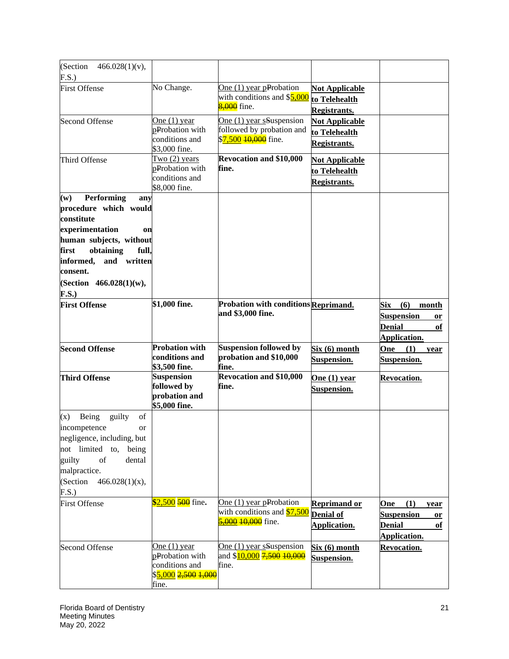| (Section<br>$466.028(1)(v)$ ,<br>F.S.)                                                                                                                                                                                               |                                                                                                   |                                                                                                        |                                                               |                                                                                              |
|--------------------------------------------------------------------------------------------------------------------------------------------------------------------------------------------------------------------------------------|---------------------------------------------------------------------------------------------------|--------------------------------------------------------------------------------------------------------|---------------------------------------------------------------|----------------------------------------------------------------------------------------------|
| <b>First Offense</b>                                                                                                                                                                                                                 | No Change.                                                                                        | One $(1)$ year pProbation<br>with conditions and \$5,000<br>8,000 fine.                                | <b>Not Applicable</b><br>to Telehealth<br><b>Registrants.</b> |                                                                                              |
| <b>Second Offense</b>                                                                                                                                                                                                                | One $(1)$ year<br>pProbation with<br>conditions and<br>\$3,000 fine.                              | One (1) year sSuspension<br>followed by probation and<br>\$ <mark>7,500 <del>10,000</del> fine.</mark> | <b>Not Applicable</b><br>to Telehealth<br><b>Registrants.</b> |                                                                                              |
| Third Offense                                                                                                                                                                                                                        | Two $(2)$ years<br>pProbation with<br>conditions and<br>\$8,000 fine.                             | <b>Revocation and \$10,000</b><br>fine.                                                                | <b>Not Applicable</b><br>to Telehealth<br><b>Registrants.</b> |                                                                                              |
| Performing<br>(w)<br>any<br>procedure which would<br>constitute<br>experimentation<br>on<br>human subjects, without<br>first<br>obtaining<br>full,<br>informed,<br>and<br>written<br>consent.<br>(Section $466.028(1)(w)$ ,<br>F.S.) |                                                                                                   |                                                                                                        |                                                               |                                                                                              |
| <b>First Offense</b>                                                                                                                                                                                                                 | \$1,000 fine.                                                                                     | Probation with conditions Reprimand.<br>and \$3,000 fine.                                              |                                                               | Six<br>(6)<br>month<br><b>Suspension</b><br><b>or</b><br><b>Denial</b><br>of<br>Application. |
| <b>Second Offense</b>                                                                                                                                                                                                                | <b>Probation with</b><br>conditions and<br>\$3,500 fine.                                          | <b>Suspension followed by</b><br>probation and \$10,000<br>fine.                                       | Six (6) month<br>Suspension.                                  | One<br>(1)<br>year<br>Suspension.                                                            |
| <b>Third Offense</b>                                                                                                                                                                                                                 | <b>Suspension</b><br>followed by<br>probation and<br>\$5,000 fine.                                | <b>Revocation and \$10,000</b><br>fine.                                                                | One $(1)$ year<br>Suspension.                                 | Revocation.                                                                                  |
| Being<br>guilty<br>(x)<br>of<br>incompetence<br>or<br>negligence, including, but<br>not limited to,<br>being<br>guilty<br>of<br>dental<br>malpractice.<br>(Section<br>$466.028(1)(x)$ ,<br>F.S.)                                     |                                                                                                   |                                                                                                        |                                                               |                                                                                              |
| <b>First Offense</b>                                                                                                                                                                                                                 | $$2,500$ 500 fine.                                                                                | One $(1)$ year pProbation<br>with conditions and \$7,500<br>5,000 10,000 fine.                         | <b>Reprimand or</b><br><b>Denial of</b><br>Application.       | (1)<br>One<br>year<br><b>Suspension</b><br>or<br><b>Denial</b><br>of<br>Application.         |
| <b>Second Offense</b>                                                                                                                                                                                                                | One $(1)$ year<br>pProbation with<br>conditions and<br>\$ <mark>5,000</mark> 2,500 1,000<br>fine. | One $(1)$ year sSuspension<br>and \$ <mark>10,000</mark> 7,500 10,000<br>fine.                         | Six (6) month<br><b>Suspension.</b>                           | <b>Revocation.</b>                                                                           |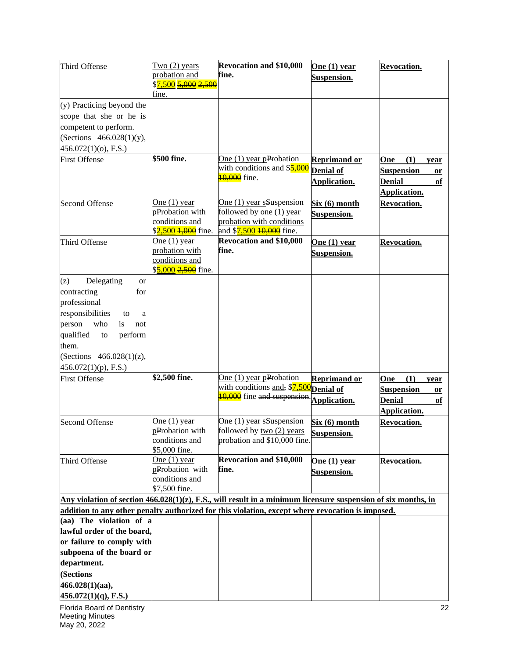| Third Offense                                                                                                                                                                                                            | $Two(2)$ years<br>probation and<br>\$ <mark>7,500 <del>5,000</del> 2,500</mark>       | <b>Revocation and \$10,000</b><br>fine.                                                                       | One $(1)$ year<br>Suspension.                           | <b>Revocation.</b>                                                                   |
|--------------------------------------------------------------------------------------------------------------------------------------------------------------------------------------------------------------------------|---------------------------------------------------------------------------------------|---------------------------------------------------------------------------------------------------------------|---------------------------------------------------------|--------------------------------------------------------------------------------------|
| (y) Practicing beyond the<br>scope that she or he is                                                                                                                                                                     | fine.                                                                                 |                                                                                                               |                                                         |                                                                                      |
| competent to perform.<br>(Sections 466.028(1)(y),<br>456.072(1)(o), F.S.)                                                                                                                                                |                                                                                       |                                                                                                               |                                                         |                                                                                      |
| <b>First Offense</b>                                                                                                                                                                                                     | $$500$ fine.                                                                          | One $(1)$ year pProbation<br>with conditions and \$5,000<br><b>10,000</b> fine.                               | <b>Reprimand or</b><br><b>Denial of</b><br>Application. | (1)<br>One<br>year<br><b>Suspension</b><br>or<br><b>Denial</b><br>of<br>Application. |
| <b>Second Offense</b>                                                                                                                                                                                                    | One $(1)$ year<br>pProbation with<br>conditions and<br>\$2,500 <del>1,000</del> fine. | One (1) year sSuspension<br>followed by one (1) year<br>probation with conditions<br>and \$7,500 10,000 fine. | Six (6) month<br>Suspension.                            | Revocation.                                                                          |
| Third Offense                                                                                                                                                                                                            | One $(1)$ year<br>probation with<br>conditions and<br>\$5,000 2,500 fine.             | <b>Revocation and \$10,000</b><br>fine.                                                                       | One $(1)$ year<br>Suspension.                           | <b>Revocation.</b>                                                                   |
| Delegating<br>(z)<br>or<br>contracting<br>for<br>professional<br>responsibilities<br>to<br>a<br>who<br>person<br>is<br>not<br>qualified<br>perform<br>to<br>them.<br>(Sections $466.028(1)(z)$ ,<br>456.072(1)(p), F.S.) |                                                                                       |                                                                                                               |                                                         |                                                                                      |
| <b>First Offense</b>                                                                                                                                                                                                     | \$2,500 fine.                                                                         | One $(1)$ year pProbation<br>with conditions and, \$7,500<br>10,000 fine and suspension.                      | <b>Reprimand or</b><br>Denial of<br>Application.        | (1)<br>One<br>year<br><b>Suspension</b><br>or<br><b>Denial</b><br>of<br>Application. |
| <b>Second Offense</b>                                                                                                                                                                                                    | One $(1)$ year<br>pProbation with<br>conditions and<br>\$5,000 fine.                  | One (1) year sSuspension<br>followed by two (2) years<br>probation and \$10,000 fine.                         | <u>Six (6) month</u><br>Suspension.                     | <b>Revocation.</b>                                                                   |
| Third Offense                                                                                                                                                                                                            | One (1) year<br>pProbation with<br>conditions and<br>\$7,500 fine.                    | <b>Revocation and \$10,000</b><br>fine.                                                                       | One $(1)$ year<br><b>Suspension.</b>                    | <b>Revocation.</b>                                                                   |
| Any violation of section $466.028(1)(z)$ , F.S., will result in a minimum licensure suspension of six months, in<br>addition to any other penalty authorized for this violation, except where revocation is imposed.     |                                                                                       |                                                                                                               |                                                         |                                                                                      |
| (aa) The violation of a<br>lawful order of the board,<br>or failure to comply with<br>subpoena of the board or<br>department.<br>(Sections<br>466.028(1)(aa),<br>$456.072(1)(q)$ , F.S.)                                 |                                                                                       |                                                                                                               |                                                         |                                                                                      |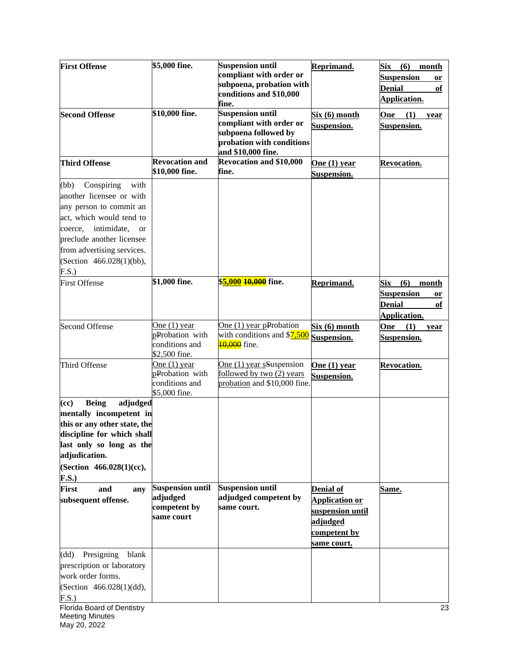| <b>First Offense</b>                                                                                                                                                                                                                                 | \$5,000 fine.                                                        | <b>Suspension until</b><br>compliant with order or<br>subpoena, probation with<br>conditions and \$10,000<br>fine.            | Reprimand.                                                                                               | <b>Six</b><br>(6)<br>month<br><b>Suspension</b><br>or<br><b>Denial</b><br>of<br>Application. |
|------------------------------------------------------------------------------------------------------------------------------------------------------------------------------------------------------------------------------------------------------|----------------------------------------------------------------------|-------------------------------------------------------------------------------------------------------------------------------|----------------------------------------------------------------------------------------------------------|----------------------------------------------------------------------------------------------|
| <b>Second Offense</b>                                                                                                                                                                                                                                | \$10,000 fine.                                                       | <b>Suspension until</b><br>compliant with order or<br>subpoena followed by<br>probation with conditions<br>and \$10,000 fine. | <u>Six (6) month</u><br>Suspension.                                                                      | One<br>(1)<br>year<br>Suspension.                                                            |
| <b>Third Offense</b>                                                                                                                                                                                                                                 | <b>Revocation and</b><br>\$10,000 fine.                              | <b>Revocation and \$10,000</b><br>fine.                                                                                       | One $(1)$ year<br>Suspension.                                                                            | <b>Revocation.</b>                                                                           |
| with<br>Conspiring<br>(bb)<br>another licensee or with<br>any person to commit an<br>act, which would tend to<br>intimidate,<br>coerce,<br><b>or</b><br>preclude another licensee<br>from advertising services.<br>(Section 466.028(1)(bb),<br>F.S.) |                                                                      |                                                                                                                               |                                                                                                          |                                                                                              |
| <b>First Offense</b>                                                                                                                                                                                                                                 | \$1,000 fine.                                                        | \$ <mark>5,000 <del>10,000</del> fine.</mark>                                                                                 | Reprimand.                                                                                               | (6)<br>Six<br>month<br><b>Suspension</b><br>or<br><b>Denial</b><br>оf<br>Application.        |
| <b>Second Offense</b>                                                                                                                                                                                                                                | One $(1)$ year<br>pProbation with<br>conditions and<br>\$2,500 fine. | One $(1)$ year pProbation<br>with conditions and \$7,500<br><b>10,000</b> fine.                                               | Six (6) month<br>Suspension.                                                                             | One<br>(1)<br>year<br>Suspension.                                                            |
| Third Offense                                                                                                                                                                                                                                        | One $(1)$ year<br>pProbation with<br>conditions and<br>\$5,000 fine. | One (1) year sSuspension<br>followed by two (2) years<br>probation and \$10,000 fine.                                         | One $(1)$ year<br>Suspension.                                                                            | Revocation.                                                                                  |
| <b>Being</b><br>adjudged<br>(cc)<br>mentally incompetent in<br>this or any other state, the<br>discipline for which shall<br>last only so long as the<br>adjudication.<br>(Section 466.028(1)(cc),<br><b>F.S.)</b>                                   |                                                                      |                                                                                                                               |                                                                                                          |                                                                                              |
| <b>First</b><br>and<br>any<br>subsequent offense.                                                                                                                                                                                                    | <b>Suspension until</b><br>adjudged<br>competent by<br>same court    | <b>Suspension until</b><br>adjudged competent by<br>same court.                                                               | <b>Denial of</b><br><b>Application or</b><br>suspension until<br>adjudged<br>competent by<br>same court. | <u>Same.</u>                                                                                 |
| Presigning<br>blank<br>(dd)<br>prescription or laboratory<br>work order forms.<br>(Section 466.028(1)(dd),<br>F.S.)                                                                                                                                  |                                                                      |                                                                                                                               |                                                                                                          |                                                                                              |
| Florida Board of Dentistry<br><b>Meeting Minutes</b><br>May 20, 2022                                                                                                                                                                                 |                                                                      |                                                                                                                               |                                                                                                          | 23                                                                                           |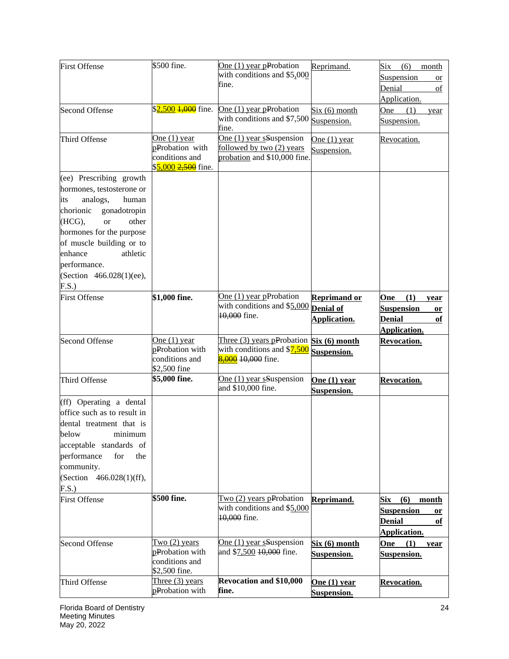| <b>First Offense</b>         | \$500 fine.                           | One (1) year pProbation                                   | Reprimand.          | Six<br>(6)<br>month            |
|------------------------------|---------------------------------------|-----------------------------------------------------------|---------------------|--------------------------------|
|                              |                                       | with conditions and \$5,000                               |                     | Suspension<br><b>or</b>        |
|                              |                                       | fine.                                                     |                     | Denial<br>of                   |
|                              |                                       |                                                           |                     | Application.                   |
| <b>Second Offense</b>        | \$2,500 <del>1,000</del> fine.        | One $(1)$ year pProbation                                 | Six (6) month       | One<br>(1)<br>year             |
|                              |                                       | with conditions and \$7,500<br>fine.                      | Suspension.         | Suspension.                    |
| Third Offense                | One $(1)$ year                        | One (1) year sSuspension                                  | One $(1)$ year      | Revocation.                    |
|                              | pProbation with                       | followed by two (2) years                                 | Suspension.         |                                |
|                              | conditions and<br>\$5,000 2,500 fine. | probation and \$10,000 fine.                              |                     |                                |
| (ee) Prescribing growth      |                                       |                                                           |                     |                                |
| hormones, testosterone or    |                                       |                                                           |                     |                                |
| analogs,<br>human<br>its     |                                       |                                                           |                     |                                |
| gonadotropin<br>chorionic    |                                       |                                                           |                     |                                |
| (HCG),<br><b>or</b><br>other |                                       |                                                           |                     |                                |
| hormones for the purpose     |                                       |                                                           |                     |                                |
| of muscle building or to     |                                       |                                                           |                     |                                |
| enhance<br>athletic          |                                       |                                                           |                     |                                |
| performance.                 |                                       |                                                           |                     |                                |
| (Section 466.028(1)(ee),     |                                       |                                                           |                     |                                |
| F.S.)                        |                                       |                                                           |                     |                                |
| <b>First Offense</b>         | \$1,000 fine.                         | One $(1)$ year pProbation<br>with conditions and \$5,000  | <b>Reprimand or</b> | (1)<br>One<br>year             |
|                              |                                       | 10,000 fine.                                              | <b>Denial of</b>    | <b>Suspension</b><br><b>or</b> |
|                              |                                       |                                                           | Application.        | <b>Denial</b><br>of            |
|                              |                                       |                                                           |                     | Application.                   |
| <b>Second Offense</b>        | One $(1)$ year<br>pProbation with     | Three (3) years pProbation<br>with conditions and \$7,500 | Six (6) month       | <b>Revocation.</b>             |
|                              | conditions and                        | 8,000 10,000 fine.                                        | Suspension.         |                                |
|                              | \$2,500 fine                          |                                                           |                     |                                |
| Third Offense                | \$5,000 fine.                         | One (1) year sSuspension                                  | One $(1)$ year      | Revocation.                    |
|                              |                                       | and \$10,000 fine.                                        | Suspension.         |                                |
| (ff) Operating a dental      |                                       |                                                           |                     |                                |
| office such as to result in  |                                       |                                                           |                     |                                |
| dental treatment that is     |                                       |                                                           |                     |                                |
| below minimum                |                                       |                                                           |                     |                                |
| acceptable standards of      |                                       |                                                           |                     |                                |
| performance<br>for<br>the    |                                       |                                                           |                     |                                |
| community.                   |                                       |                                                           |                     |                                |
| (Section 466.028(1)(ff),     |                                       |                                                           |                     |                                |
| F.S.)                        |                                       |                                                           |                     |                                |
| <b>First Offense</b>         | \$500 fine.                           | Two (2) years pProbation                                  | Reprimand.          | Six<br>(6)<br>month            |
|                              |                                       | with conditions and \$5,000                               |                     | <b>Suspension</b><br>or        |
|                              |                                       | 10,000 fine.                                              |                     | <b>Denial</b><br>of            |
|                              |                                       |                                                           |                     | Application.                   |
| <b>Second Offense</b>        | Two $(2)$ years                       | One (1) year sSuspension                                  | Six (6) month       | One<br>(1)<br>year             |
|                              | pProbation with<br>conditions and     | and \$7,500 10,000 fine.                                  | Suspension.         | Suspension.                    |
|                              | \$2,500 fine.                         |                                                           |                     |                                |
| Third Offense                | Three $(3)$ years                     | <b>Revocation and \$10,000</b>                            | One $(1)$ year      | Revocation.                    |
|                              | pProbation with                       | fine.                                                     | <b>Suspension.</b>  |                                |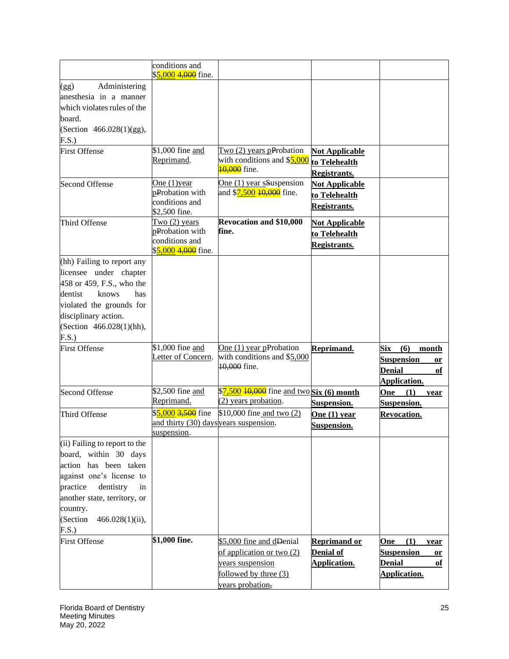|                                                                                                                                                                                                                                   | conditions and<br>\$5,000 4,000 fine.                                                  |                                                                                                                        |                                                               |                                                                                              |
|-----------------------------------------------------------------------------------------------------------------------------------------------------------------------------------------------------------------------------------|----------------------------------------------------------------------------------------|------------------------------------------------------------------------------------------------------------------------|---------------------------------------------------------------|----------------------------------------------------------------------------------------------|
| Administering<br>(gg)<br>anesthesia in a manner<br>which violates rules of the<br>board.<br>(Section 466.028(1)(gg),<br>F.S.                                                                                                      |                                                                                        |                                                                                                                        |                                                               |                                                                                              |
| <b>First Offense</b>                                                                                                                                                                                                              | $\overline{$1,000}$$ fine and<br>Reprimand.                                            | Two $(2)$ years pProbation<br>with conditions and \$5,000<br><b>10,000</b> fine.                                       | <b>Not Applicable</b><br>to Telehealth<br>Registrants.        |                                                                                              |
| <b>Second Offense</b>                                                                                                                                                                                                             | One $(1)$ year<br>pProbation with<br>conditions and<br>\$2,500 fine.                   | One (1) year sSuspension<br>and \$ <mark>7,500 <del>10,000</del> fine.</mark>                                          | <b>Not Applicable</b><br>to Telehealth<br><b>Registrants.</b> |                                                                                              |
| Third Offense                                                                                                                                                                                                                     | Two $(2)$ years<br>pProbation with<br>conditions and<br>\$5,000 4,000 fine.            | <b>Revocation and \$10,000</b><br>fine.                                                                                | <u>Not Applicable</u><br>to Telehealth<br><b>Registrants.</b> |                                                                                              |
| (hh) Failing to report any<br>licensee under chapter<br>458 or 459, F.S., who the<br>dentist<br>knows<br>has<br>violated the grounds for<br>disciplinary action.<br>(Section 466.028(1)(hh),<br>F.S.)                             |                                                                                        |                                                                                                                        |                                                               |                                                                                              |
| <b>First Offense</b>                                                                                                                                                                                                              | \$1,000 fine and<br>Letter of Concern.                                                 | One $(1)$ year pProbation<br>with conditions and \$5,000<br>10,000 fine.                                               | Reprimand.                                                    | <b>Six</b><br>(6)<br>month<br><b>Suspension</b><br>or<br><b>Denial</b><br>of<br>Application. |
| <b>Second Offense</b>                                                                                                                                                                                                             | \$2,500 fine and<br>Reprimand.                                                         | \$7,500 10,000 fine and two Six (6) month<br>(2) years probation.                                                      | Suspension.                                                   | One<br>(1)<br>year<br>Suspension.                                                            |
| Third Offense                                                                                                                                                                                                                     | \$5,000 <del>3,500</del> fine<br>and thirty (30) days years suspension.<br>suspension. | \$10,000 fine and two (2)                                                                                              | One $(1)$ year<br><b>Suspension.</b>                          | Revocation.                                                                                  |
| (ii) Failing to report to the<br>board, within 30 days<br>action has been taken<br>against one's license to<br>practice<br>dentistry<br>in<br>another state, territory, or<br>country.<br>(Section<br>$466.028(1)(ii)$ ,<br>F.S.) |                                                                                        |                                                                                                                        |                                                               |                                                                                              |
| <b>First Offense</b>                                                                                                                                                                                                              | \$1,000 fine.                                                                          | \$5,000 fine and dDenial<br>of application or two (2)<br>years suspension<br>followed by three (3)<br>years probation, | <b>Reprimand or</b><br><b>Denial of</b><br>Application.       | (1)<br><b>One</b><br>year<br><b>Suspension</b><br>or<br><b>Denial</b><br>of<br>Application.  |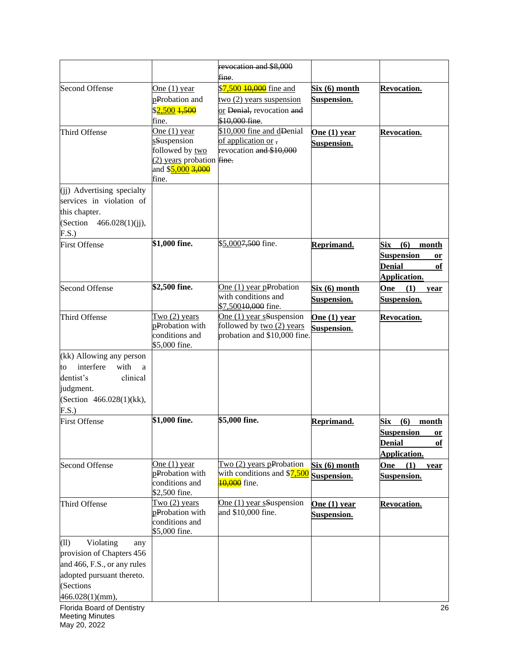|                                               |                                    | revocation and \$8,000                                |                    |                            |
|-----------------------------------------------|------------------------------------|-------------------------------------------------------|--------------------|----------------------------|
|                                               |                                    | fine.                                                 |                    |                            |
| <b>Second Offense</b>                         | One $(1)$ year                     | \$7,500 10,000 fine and                               | Six (6) month      | Revocation.                |
|                                               | pProbation and                     | two (2) years suspension                              | Suspension.        |                            |
|                                               | \$2,500 1,500<br>fine.             | or Denial, revocation and<br>\$10,000 fine.           |                    |                            |
| Third Offense                                 | One $(1)$ year                     | \$10,000 fine and dDenial                             | One $(1)$ year     | <b>Revocation.</b>         |
|                                               | sSuspension                        | of application or,                                    | Suspension.        |                            |
|                                               | followed by two                    | revocation and \$10,000                               |                    |                            |
|                                               | $(2)$ years probation fine.        |                                                       |                    |                            |
|                                               | and \$5,000 3,000<br>fine.         |                                                       |                    |                            |
| (ii) Advertising specialty                    |                                    |                                                       |                    |                            |
| services in violation of                      |                                    |                                                       |                    |                            |
| this chapter.                                 |                                    |                                                       |                    |                            |
| (Section $466.028(1)(ii)$ ,                   |                                    |                                                       |                    |                            |
| F.S.                                          |                                    |                                                       |                    |                            |
| <b>First Offense</b>                          | \$1,000 fine.                      | \$5,0007,500 fine.                                    | Reprimand.         | <b>Six</b><br>(6)<br>month |
|                                               |                                    |                                                       |                    | <b>Suspension</b><br>or    |
|                                               |                                    |                                                       |                    | <b>Denial</b><br>of        |
|                                               |                                    |                                                       |                    | <b>Application.</b>        |
| <b>Second Offense</b>                         | \$2,500 fine.                      | One $(1)$ year pProbation                             | Six (6) month      | <b>One</b><br>(1)<br>year  |
|                                               |                                    | with conditions and                                   | Suspension.        | <b>Suspension.</b>         |
|                                               |                                    | \$7,500 <del>10,000</del> fine.                       |                    |                            |
| Third Offense                                 | Two $(2)$ years<br>pProbation with | One (1) year sSuspension<br>followed by two (2) years | One $(1)$ year     | Revocation.                |
|                                               | conditions and                     | probation and \$10,000 fine.                          | Suspension.        |                            |
|                                               | \$5,000 fine.                      |                                                       |                    |                            |
| (kk) Allowing any person                      |                                    |                                                       |                    |                            |
| interfere<br>with<br>to<br>a                  |                                    |                                                       |                    |                            |
| dentist's<br>clinical                         |                                    |                                                       |                    |                            |
| judgment.                                     |                                    |                                                       |                    |                            |
| (Section 466.028(1)(kk),                      |                                    |                                                       |                    |                            |
| F.S.)                                         |                                    |                                                       |                    |                            |
| <b>First Offense</b>                          | \$1,000 fine.                      | \$5,000 fine.                                         | Reprimand.         | $(6)$ month<br>Six         |
|                                               |                                    |                                                       |                    | <b>Suspension</b><br>or    |
|                                               |                                    |                                                       |                    | <b>Denial</b><br>оf        |
|                                               |                                    |                                                       |                    | Application.               |
| <b>Second Offense</b>                         | One $(1)$ year                     | Two $(2)$ years pProbation                            | Six (6) month      | (1)<br>One<br>vear         |
|                                               | pProbation with<br>conditions and  | with conditions and \$7,500<br>10,000 fine.           | Suspension.        | Suspension.                |
|                                               | \$2,500 fine.                      |                                                       |                    |                            |
| Third Offense                                 | Two $(2)$ years                    | One (1) year sSuspension                              | One $(1)$ year     | <b>Revocation.</b>         |
|                                               | pProbation with                    | and \$10,000 fine.                                    | <b>Suspension.</b> |                            |
|                                               | conditions and                     |                                                       |                    |                            |
|                                               | \$5,000 fine.                      |                                                       |                    |                            |
| Violating<br>(11)<br>any                      |                                    |                                                       |                    |                            |
| provision of Chapters 456                     |                                    |                                                       |                    |                            |
| and 466, F.S., or any rules                   |                                    |                                                       |                    |                            |
| adopted pursuant thereto.                     |                                    |                                                       |                    |                            |
| (Sections                                     |                                    |                                                       |                    |                            |
| 466.028(1)(mm),<br>Florida Board of Dentistry |                                    |                                                       |                    | 26                         |
| <b>Meeting Minutes</b>                        |                                    |                                                       |                    |                            |

May 20, 2022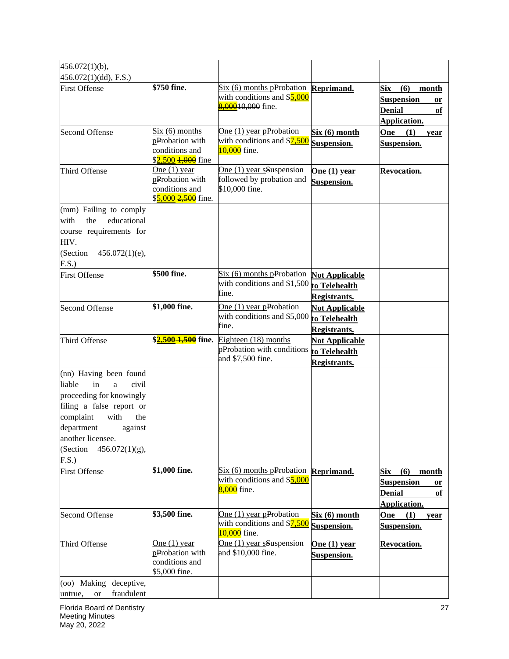| $456.072(1)(b)$ ,                                                                                                                                                                                                                |                                                                                                    |                                                                                    |                                                               |                                                                                       |
|----------------------------------------------------------------------------------------------------------------------------------------------------------------------------------------------------------------------------------|----------------------------------------------------------------------------------------------------|------------------------------------------------------------------------------------|---------------------------------------------------------------|---------------------------------------------------------------------------------------|
| $456.072(1)(dd)$ , F.S.)                                                                                                                                                                                                         |                                                                                                    |                                                                                    |                                                               |                                                                                       |
| <b>First Offense</b>                                                                                                                                                                                                             | \$750 fine.                                                                                        | $Six (6)$ months pProbation<br>with conditions and \$5,000<br>8,00010,000 fine.    | Reprimand.                                                    | Six<br>(6)<br>month<br><b>Suspension</b><br>or<br><b>Denial</b><br>of<br>Application. |
| <b>Second Offense</b>                                                                                                                                                                                                            | Six (6) months<br>pProbation with<br>conditions and<br>\$ <mark>2,500 <del>1,000</del> fine</mark> | One $(1)$ year pProbation<br>with conditions and \$7,500<br><b>10,000</b> fine.    | Six (6) month<br>Suspension.                                  | (1)<br>One<br>year<br>Suspension.                                                     |
| Third Offense                                                                                                                                                                                                                    | One $(1)$ year<br>pProbation with<br>conditions and<br>\$5,000 2,500 fine.                         | One (1) year sSuspension<br>followed by probation and<br>\$10,000 fine.            | One (1) year<br>Suspension.                                   | <b>Revocation.</b>                                                                    |
| (mm) Failing to comply<br>educational<br>with<br>the<br>course requirements for<br>HIV.<br>(Section<br>$456.072(1)(e)$ ,<br>F.S.)                                                                                                |                                                                                                    |                                                                                    |                                                               |                                                                                       |
| <b>First Offense</b>                                                                                                                                                                                                             | \$500 fine.                                                                                        | $Six (6)$ months pProbation<br>with conditions and \$1,500<br>fine.                | <b>Not Applicable</b><br>to Telehealth<br>Registrants.        |                                                                                       |
| <b>Second Offense</b>                                                                                                                                                                                                            | \$1,000 fine.                                                                                      | One $(1)$ year pProbation<br>with conditions and \$5,000<br>fine.                  | <b>Not Applicable</b><br>to Telehealth<br><b>Registrants.</b> |                                                                                       |
| Third Offense                                                                                                                                                                                                                    | \$ <mark>2,500-<del>1,500</del> fine.</mark>                                                       | Eighteen (18) months<br>pProbation with conditions<br>and \$7,500 fine.            | <b>Not Applicable</b><br>to Telehealth<br>Registrants.        |                                                                                       |
| (nn) Having been found<br>in<br>liable<br>civil<br>a<br>proceeding for knowingly<br>filing a false report or<br>with<br>complaint<br>the<br>department<br>against<br>another licensee.<br>(Section<br>$456.072(1)(g)$ ,<br>F.S.) |                                                                                                    |                                                                                    |                                                               |                                                                                       |
| <b>First Offense</b>                                                                                                                                                                                                             | \$1,000 fine.                                                                                      | Six (6) months pProbation Reprimand.<br>with conditions and \$5,000<br>8,000 fine. |                                                               | (6)<br>Six<br>month<br><b>Suspension</b><br>or<br><b>Denial</b><br>of<br>Application. |
| <b>Second Offense</b>                                                                                                                                                                                                            | \$3,500 fine.                                                                                      | One $(1)$ year pProbation<br>with conditions and \$7,500<br>10,000 fine.           | Six(6) month<br>Suspension.                                   | One<br>(1)<br>year<br>Suspension.                                                     |
| Third Offense                                                                                                                                                                                                                    | One $(1)$ year<br>pProbation with<br>conditions and<br>\$5,000 fine.                               | One (1) year sSuspension<br>and \$10,000 fine.                                     | <u>One (1) year</u><br><b>Suspension.</b>                     | Revocation.                                                                           |
| (oo) Making deceptive,<br>fraudulent<br>untrue,<br><b>or</b>                                                                                                                                                                     |                                                                                                    |                                                                                    |                                                               |                                                                                       |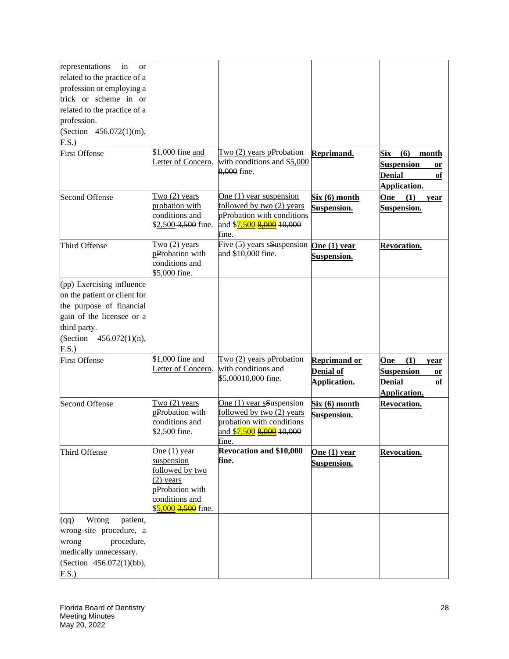| representations<br>in<br>or                        |                               |                                                   |                     |                           |
|----------------------------------------------------|-------------------------------|---------------------------------------------------|---------------------|---------------------------|
| related to the practice of a                       |                               |                                                   |                     |                           |
| profession or employing a                          |                               |                                                   |                     |                           |
| trick or scheme in or                              |                               |                                                   |                     |                           |
| related to the practice of a                       |                               |                                                   |                     |                           |
| profession.                                        |                               |                                                   |                     |                           |
| (Section 456.072(1)(m),                            |                               |                                                   |                     |                           |
| F.S.)                                              |                               |                                                   |                     |                           |
| <b>First Offense</b>                               | \$1,000 fine and              | Two $(2)$ years pProbation                        | Reprimand.          | Six<br>(6)<br>month       |
|                                                    | Letter of Concern.            | with conditions and \$5,000                       |                     | <b>Suspension</b>         |
|                                                    |                               | 8,000 fine.                                       |                     | or<br><b>Denial</b><br>of |
|                                                    |                               |                                                   |                     |                           |
|                                                    | Two $(2)$ years               | One (1) year suspension                           |                     | Application.              |
| <b>Second Offense</b>                              | probation with                | followed by two (2) years                         | Six (6) month       | (1)<br>One<br>year        |
|                                                    | conditions and                | pProbation with conditions                        | Suspension.         | Suspension.               |
|                                                    | \$2,500 3,500 fine.           | and \$ <mark>7,500 <del>8,000</del> 10,000</mark> |                     |                           |
|                                                    |                               | fine.                                             |                     |                           |
| Third Offense                                      | Two $(2)$ years               | Five (5) years sSuspension                        | One $(1)$ year      | Revocation.               |
|                                                    | pProbation with               | and \$10,000 fine.                                | Suspension.         |                           |
|                                                    | conditions and                |                                                   |                     |                           |
|                                                    | \$5,000 fine.                 |                                                   |                     |                           |
| (pp) Exercising influence                          |                               |                                                   |                     |                           |
| on the patient or client for                       |                               |                                                   |                     |                           |
| the purpose of financial                           |                               |                                                   |                     |                           |
| gain of the licensee or a                          |                               |                                                   |                     |                           |
| third party.                                       |                               |                                                   |                     |                           |
| (Section $456.072(1)(n)$ ,                         |                               |                                                   |                     |                           |
| F.S.)                                              |                               |                                                   |                     |                           |
| <b>First Offense</b>                               | \$1,000 fine and              | Two $(2)$ years pProbation                        | <b>Reprimand or</b> | One<br>(1)<br>year        |
|                                                    | Letter of Concern.            | with conditions and                               | Denial of           | <b>Suspension</b><br>or   |
|                                                    |                               | \$5,000 <del>10,000</del> fine.                   | Application.        | <b>Denial</b><br>of       |
|                                                    |                               |                                                   |                     | Application.              |
| <b>Second Offense</b>                              | Two $(2)$ years               | One (1) year sSuspension                          | Six(6) month        | <b>Revocation.</b>        |
|                                                    | pProbation with               | followed by two (2) years                         | Suspension.         |                           |
|                                                    | conditions and                | probation with conditions                         |                     |                           |
|                                                    | \$2,500 fine.                 |                                                   |                     |                           |
|                                                    |                               | fine.                                             |                     |                           |
| Third Offense                                      | One $(1)$ year                | <b>Revocation and \$10,000</b>                    | One $(1)$ year      | <b>Revocation.</b>        |
|                                                    | suspension<br>followed by two | fine.                                             | Suspension.         |                           |
| $(2)$ years                                        |                               |                                                   |                     |                           |
|                                                    | pProbation with               |                                                   |                     |                           |
|                                                    | conditions and                |                                                   |                     |                           |
|                                                    |                               |                                                   |                     |                           |
| Wrong<br>patient,<br>(qq)                          |                               |                                                   |                     |                           |
| wrong-site procedure, a                            | \$5,000 3,500 fine.           |                                                   |                     |                           |
|                                                    |                               |                                                   |                     |                           |
|                                                    |                               |                                                   |                     |                           |
| wrong<br>procedure,                                |                               |                                                   |                     |                           |
| medically unnecessary.<br>(Section 456.072(1)(bb), |                               |                                                   |                     |                           |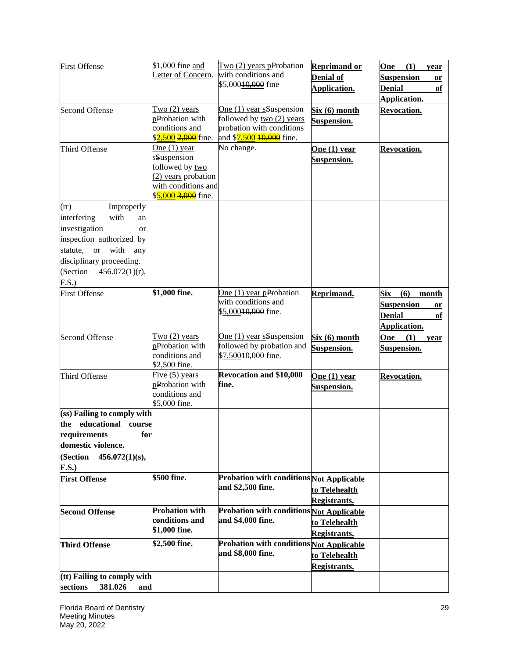| <b>First Offense</b>                                                                                                                                                                                                    | \$1,000 fine and<br>Letter of Concern.                                                                                | Two (2) years pProbation<br>with conditions and<br>\$5,000 <del>10,000</del> fine                                                       | <b>Reprimand or</b><br><b>Denial of</b><br>Application. | One<br>(1)<br>year<br><b>Suspension</b><br>or<br><b>Denial</b><br>of<br>Application.                |
|-------------------------------------------------------------------------------------------------------------------------------------------------------------------------------------------------------------------------|-----------------------------------------------------------------------------------------------------------------------|-----------------------------------------------------------------------------------------------------------------------------------------|---------------------------------------------------------|-----------------------------------------------------------------------------------------------------|
| <b>Second Offense</b>                                                                                                                                                                                                   | Two $(2)$ years<br>pProbation with<br>conditions and<br>\$2,500 <del>2,000</del> fine.                                | One (1) year sSuspension<br>followed by two (2) years<br>probation with conditions<br>and \$ <mark>7,500 <del>10,000</del> fine.</mark> | Six (6) month<br>Suspension.                            | <b>Revocation.</b>                                                                                  |
| Third Offense                                                                                                                                                                                                           | One $(1)$ year<br>sSuspension<br>followed by two<br>(2) years probation<br>with conditions and<br>\$5,000 3,000 fine. | No change.                                                                                                                              | One $(1)$ year<br>Suspension.                           | <b>Revocation.</b>                                                                                  |
| Improperly<br>(rr)<br>interfering<br>with<br>an<br>investigation<br><b>or</b><br>inspection authorized by<br>statute,<br><b>or</b><br>with<br>any<br>disciplinary proceeding.<br>(Section<br>$456.072(1)(r)$ ,<br>F.S.) |                                                                                                                       |                                                                                                                                         |                                                         |                                                                                                     |
| <b>First Offense</b>                                                                                                                                                                                                    | \$1,000 fine.                                                                                                         | One $(1)$ year pProbation<br>with conditions and<br>\$5,00010,000 fine.                                                                 | Reprimand.                                              | <b>Six</b><br>(6)<br>month<br><b>Suspension</b><br><b>or</b><br><b>Denial</b><br>of<br>Application. |
| <b>Second Offense</b>                                                                                                                                                                                                   | Two $(2)$ years<br>pProbation with<br>conditions and<br>\$2,500 fine.                                                 | One (1) year sSuspension<br>followed by probation and<br>\$7,50010,000-fine.                                                            | Six (6) month<br>Suspension.                            | One<br>(1)<br>year<br>Suspension.                                                                   |
| Third Offense                                                                                                                                                                                                           | Five $(5)$ years<br>pProbation with<br>conditions and<br>\$5,000 fine.                                                | <b>Revocation and \$10,000</b><br>fine.                                                                                                 | One $(1)$ year<br><b>Suspension.</b>                    | Revocation.                                                                                         |
| (ss) Failing to comply with<br>the educational course<br>requirements<br>for<br>domestic violence.<br>(Section 456.072(1)(s),<br><b>F.S.)</b>                                                                           |                                                                                                                       |                                                                                                                                         |                                                         |                                                                                                     |
| <b>First Offense</b>                                                                                                                                                                                                    | \$500 fine.                                                                                                           | Probation with conditions Not Applicable<br>and \$2,500 fine.                                                                           | to Telehealth<br><b>Registrants.</b>                    |                                                                                                     |
| <b>Second Offense</b>                                                                                                                                                                                                   | <b>Probation with</b><br>conditions and<br>\$1,000 fine.                                                              | Probation with conditions Not Applicable<br>and \$4,000 fine.                                                                           | to Telehealth<br><b>Registrants.</b>                    |                                                                                                     |
| <b>Third Offense</b>                                                                                                                                                                                                    | \$2,500 fine.                                                                                                         | <b>Probation with conditions Not Applicable</b><br>and \$8,000 fine.                                                                    | to Telehealth<br><b>Registrants.</b>                    |                                                                                                     |
| (tt) Failing to comply with<br>sections<br>381.026<br>and                                                                                                                                                               |                                                                                                                       |                                                                                                                                         |                                                         |                                                                                                     |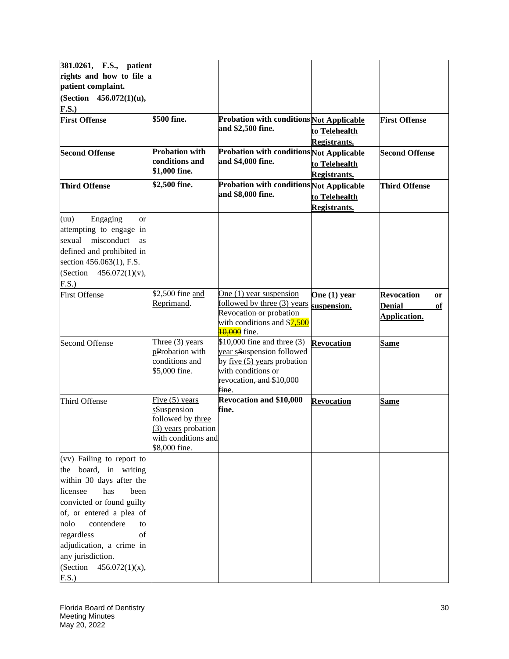| 381.0261, F.S., patient           |                       |                                                        |                     |                         |
|-----------------------------------|-----------------------|--------------------------------------------------------|---------------------|-------------------------|
| rights and how to file a          |                       |                                                        |                     |                         |
| patient complaint.                |                       |                                                        |                     |                         |
| (Section 456.072(1)(u),           |                       |                                                        |                     |                         |
| <b>F.S.)</b>                      |                       |                                                        |                     |                         |
| <b>First Offense</b>              | \$500 fine.           | <b>Probation with conditions Not Applicable</b>        |                     | <b>First Offense</b>    |
|                                   |                       | and \$2,500 fine.                                      | to Telehealth       |                         |
|                                   |                       |                                                        | <b>Registrants.</b> |                         |
| <b>Second Offense</b>             | <b>Probation with</b> | Probation with conditions Not Applicable               |                     | <b>Second Offense</b>   |
|                                   | conditions and        | and \$4,000 fine.                                      | to Telehealth       |                         |
|                                   | \$1,000 fine.         |                                                        | <b>Registrants.</b> |                         |
| <b>Third Offense</b>              | \$2,500 fine.         | <b>Probation with conditions Not Applicable</b>        |                     | <b>Third Offense</b>    |
|                                   |                       | and \$8,000 fine.                                      | to Telehealth       |                         |
|                                   |                       |                                                        | <b>Registrants.</b> |                         |
| Engaging<br>(uu)<br><sub>or</sub> |                       |                                                        |                     |                         |
| attempting to engage in           |                       |                                                        |                     |                         |
| sexual<br>misconduct<br>as        |                       |                                                        |                     |                         |
| defined and prohibited in         |                       |                                                        |                     |                         |
| section 456.063(1), F.S.          |                       |                                                        |                     |                         |
| (Section $456.072(1)(v)$ ,        |                       |                                                        |                     |                         |
| F.S.                              |                       |                                                        |                     |                         |
| <b>First Offense</b>              | \$2,500 fine and      | One $(1)$ year suspension                              | One $(1)$ year      | <b>Revocation</b><br>or |
|                                   | Reprimand.            | followed by three (3) years                            | suspension.         | <b>Denial</b><br>of     |
|                                   |                       | Revocation or probation<br>with conditions and \$7,500 |                     | Application.            |
|                                   |                       | 10,000 fine.                                           |                     |                         |
| <b>Second Offense</b>             | Three $(3)$ years     | $$10,000$ fine and three (3)                           | <b>Revocation</b>   | <b>Same</b>             |
|                                   | pProbation with       | year sSuspension followed                              |                     |                         |
|                                   | conditions and        | by <u>five</u> (5) years probation                     |                     |                         |
|                                   | \$5,000 fine.         | with conditions or                                     |                     |                         |
|                                   |                       | revocation <del>, and \$10,000</del><br>fine.          |                     |                         |
| Third Offense                     | Five $(5)$ years      | <b>Revocation and \$10,000</b>                         | <b>Revocation</b>   |                         |
|                                   | sSuspension           | fine.                                                  |                     | Same                    |
|                                   | followed by three     |                                                        |                     |                         |
|                                   | (3) years probation   |                                                        |                     |                         |
|                                   | with conditions and   |                                                        |                     |                         |
|                                   | \$8,000 fine.         |                                                        |                     |                         |
| (vv) Failing to report to         |                       |                                                        |                     |                         |
| the board, in writing             |                       |                                                        |                     |                         |
| within 30 days after the          |                       |                                                        |                     |                         |
| licensee<br>has<br>been           |                       |                                                        |                     |                         |
| convicted or found guilty         |                       |                                                        |                     |                         |
| of, or entered a plea of          |                       |                                                        |                     |                         |
| contendere<br>nolo<br>to          |                       |                                                        |                     |                         |
| regardless<br>of                  |                       |                                                        |                     |                         |
| adjudication, a crime in          |                       |                                                        |                     |                         |
| any jurisdiction.                 |                       |                                                        |                     |                         |
| (Section<br>$456.072(1)(x)$ ,     |                       |                                                        |                     |                         |
| F.S.)                             |                       |                                                        |                     |                         |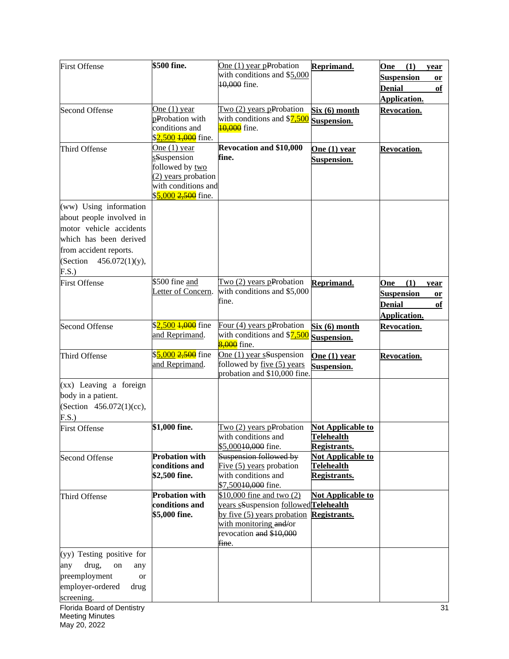| <b>First Offense</b>       | \$500 fine.                    | One $(1)$ year pProbation                        | Reprimand.               | One<br>(1)<br>year      |
|----------------------------|--------------------------------|--------------------------------------------------|--------------------------|-------------------------|
|                            |                                | with conditions and \$5,000                      |                          | <b>Suspension</b><br>or |
|                            |                                | 10,000 fine.                                     |                          | <b>Denial</b><br>of     |
|                            |                                |                                                  |                          | Application.            |
| <b>Second Offense</b>      | One $(1)$ year                 | Two (2) years pProbation                         | Six (6) month            | <b>Revocation.</b>      |
|                            | pProbation with                | with conditions and \$7,500                      | Suspension.              |                         |
|                            | conditions and                 | 10,000 fine.                                     |                          |                         |
|                            | \$2,500 <del>1,000</del> fine. |                                                  |                          |                         |
| Third Offense              | One $(1)$ year                 | <b>Revocation and \$10,000</b>                   | One $(1)$ year           | Revocation.             |
|                            | sSuspension                    | fine.                                            | <b>Suspension.</b>       |                         |
|                            | followed by two                |                                                  |                          |                         |
|                            | (2) years probation            |                                                  |                          |                         |
|                            | with conditions and            |                                                  |                          |                         |
|                            | \$5,000 2,500 fine.            |                                                  |                          |                         |
| (ww) Using information     |                                |                                                  |                          |                         |
| about people involved in   |                                |                                                  |                          |                         |
| motor vehicle accidents    |                                |                                                  |                          |                         |
| which has been derived     |                                |                                                  |                          |                         |
| from accident reports.     |                                |                                                  |                          |                         |
| (Section $456.072(1)(y)$ , |                                |                                                  |                          |                         |
| F.S.                       |                                |                                                  |                          |                         |
| <b>First Offense</b>       | \$500 fine and                 | Two $(2)$ years pProbation                       | Reprimand.               | (1)<br>One<br>year      |
|                            | Letter of Concern.             | with conditions and \$5,000                      |                          | <b>Suspension</b><br>or |
|                            |                                | fine.                                            |                          | <b>Denial</b><br>of     |
|                            |                                |                                                  |                          | Application.            |
| <b>Second Offense</b>      | \$2,500 <del>1,000</del> fine  | Four (4) years pProbation                        | Six(6) month             | Revocation.             |
|                            | and Reprimand.                 | with conditions and \$7,500                      | Suspension.              |                         |
|                            |                                | 8,000 fine.                                      |                          |                         |
| Third Offense              | \$5,000 2,500 fine             | One (1) year sSuspension                         | One $(1)$ year           | Revocation.             |
|                            | and Reprimand.                 | followed by five (5) years                       | Suspension.              |                         |
|                            |                                | probation and \$10,000 fine                      |                          |                         |
| $(xx)$ Leaving a foreign   |                                |                                                  |                          |                         |
| body in a patient.         |                                |                                                  |                          |                         |
| (Section 456.072(1)(cc),   |                                |                                                  |                          |                         |
| F.S.)                      |                                |                                                  |                          |                         |
| <b>First Offense</b>       | \$1,000 fine.                  | Two $(2)$ years pProbation                       | <b>Not Applicable to</b> |                         |
|                            |                                | with conditions and                              | <b>Telehealth</b>        |                         |
|                            |                                | \$5,000 <del>10,000</del> fine.                  | <b>Registrants.</b>      |                         |
| <b>Second Offense</b>      | <b>Probation with</b>          | Suspension followed by                           | Not Applicable to        |                         |
|                            | conditions and                 | Five $(5)$ years probation                       | <b>Telehealth</b>        |                         |
|                            | \$2,500 fine.                  | with conditions and                              | <b>Registrants.</b>      |                         |
|                            | <b>Probation with</b>          | \$7,50010,000 fine.<br>\$10,000 fine and two (2) |                          |                         |
| Third Offense              | conditions and                 | vears sSuspension followed Telehealth            | <b>Not Applicable to</b> |                         |
|                            | \$5,000 fine.                  | by five (5) years probation                      | <b>Registrants.</b>      |                         |
|                            |                                | with monitoring and/or                           |                          |                         |
|                            |                                | revocation and \$10,000                          |                          |                         |
|                            |                                | fine.                                            |                          |                         |
| (yy) Testing positive for  |                                |                                                  |                          |                         |
| drug,<br>any<br>on<br>any  |                                |                                                  |                          |                         |
| preemployment<br>or        |                                |                                                  |                          |                         |
| employer-ordered<br>drug   |                                |                                                  |                          |                         |
| screening.                 |                                |                                                  |                          |                         |
| Florida Board of Dentistry |                                |                                                  |                          | 31                      |
| <b>Meeting Minutes</b>     |                                |                                                  |                          |                         |
| May 20, 2022               |                                |                                                  |                          |                         |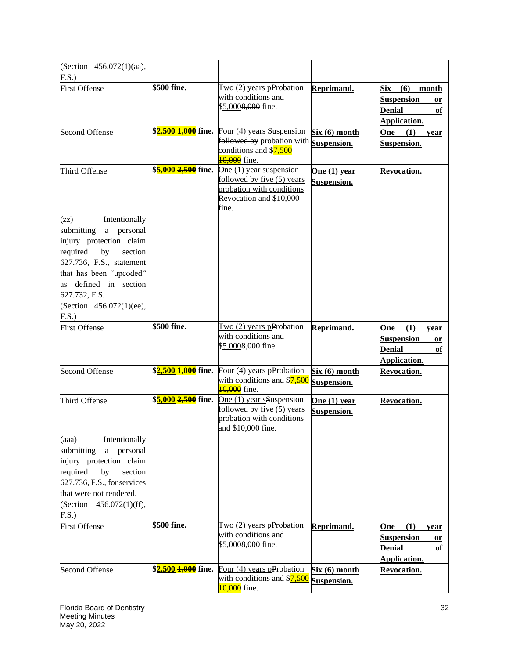| (Section 456.072(1)(aa),                                                                                                                                                                                                                           |                                   |                                                                                                                                             |                               |                                                                                              |
|----------------------------------------------------------------------------------------------------------------------------------------------------------------------------------------------------------------------------------------------------|-----------------------------------|---------------------------------------------------------------------------------------------------------------------------------------------|-------------------------------|----------------------------------------------------------------------------------------------|
| F.S.)<br><b>First Offense</b>                                                                                                                                                                                                                      | \$500 fine.                       | Two (2) years pProbation<br>with conditions and<br>\$5,0008,000 fine.                                                                       | Reprimand.                    | Six<br>(6)<br>month<br><b>Suspension</b><br>or<br><b>Denial</b><br>of<br><b>Application.</b> |
| <b>Second Offense</b>                                                                                                                                                                                                                              |                                   | $$2,500$ $1,000$ fine. Four (4) years Suspension<br><b>Followed by probation with Suspension.</b><br>conditions and \$7,500<br>10,000 fine. | Six (6) month                 | (1)<br>One<br>year<br>Suspension.                                                            |
| Third Offense                                                                                                                                                                                                                                      | \$ <mark>5,000 2,500</mark> fine. | One (1) year suspension<br>followed by five (5) years<br>probation with conditions<br>Revocation and \$10,000<br>fine.                      | One (1) year<br>Suspension.   | <b>Revocation.</b>                                                                           |
| Intentionally<br>(zz)<br>submitting<br>personal<br>a<br>injury protection claim<br>required<br>by<br>section<br>627.736, F.S., statement<br>that has been "upcoded"<br>as defined in section<br>627.732, F.S.<br>(Section 456.072(1)(ee),<br>F.S.) |                                   |                                                                                                                                             |                               |                                                                                              |
| <b>First Offense</b>                                                                                                                                                                                                                               | \$500 fine.                       | $Two (2) years p$ Probation<br>with conditions and<br>\$5,0008,000 fine.                                                                    | Reprimand.                    | (1)<br>One<br>year<br><b>Suspension</b><br>or<br><b>Denial</b><br>of<br><b>Application.</b>  |
| <b>Second Offense</b>                                                                                                                                                                                                                              | \$ <mark>2,500 1,000</mark> fine. | Four (4) years pProbation<br>with conditions and \$7,500<br>10,000 fine.                                                                    | Six(6) month<br>Suspension.   | <b>Revocation.</b>                                                                           |
| Third Offense                                                                                                                                                                                                                                      | \$ <mark>5,000 2,500</mark> fine. | One (1) year sSuspension<br>followed by five (5) years<br>probation with conditions<br>and \$10,000 fine.                                   | One $(1)$ year<br>Suspension. | <b>Revocation.</b>                                                                           |
| (aaa)<br>Intentionally<br>submitting<br>a personal<br>injury protection claim<br>required<br>by<br>section<br>627.736, F.S., for services<br>that were not rendered.<br>(Section 456.072(1)(ff),<br>F.S.)                                          |                                   |                                                                                                                                             |                               |                                                                                              |
| <b>First Offense</b>                                                                                                                                                                                                                               | \$500 fine.                       | $Two (2) years p$ Probation<br>with conditions and<br>\$5,000 <del>8,000</del> fine.                                                        | Reprimand.                    | (1)<br>One<br>year<br><b>Suspension</b><br><b>or</b><br><b>Denial</b><br>оf<br>Application.  |
| <b>Second Offense</b>                                                                                                                                                                                                                              | \$ <mark>2,500 1,000</mark> fine. | Four $(4)$ years pProbation<br>with conditions and \$7,500<br>10,000 fine.                                                                  | Six (6) month<br>Suspension.  | Revocation.                                                                                  |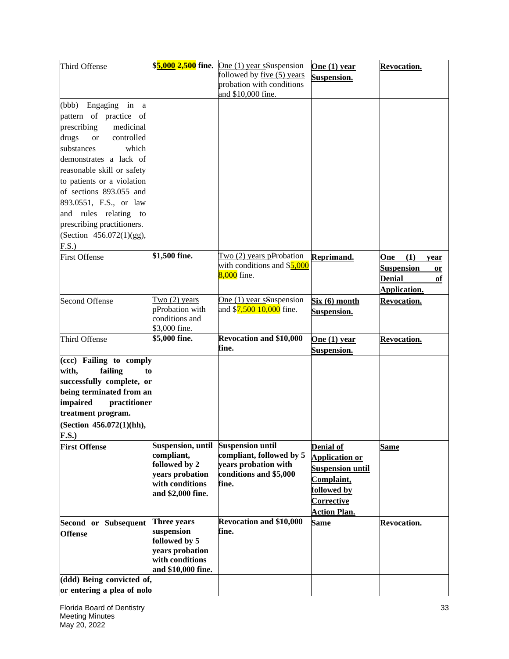| Third Offense                    |                                  | $$5,000$ $2,500$ fine. One (1) year sSuspension | One $(1)$ year          | <b>Revocation.</b>        |
|----------------------------------|----------------------------------|-------------------------------------------------|-------------------------|---------------------------|
|                                  |                                  | followed by five (5) years                      | Suspension.             |                           |
|                                  |                                  | probation with conditions<br>and \$10,000 fine. |                         |                           |
| (bbb) Engaging in a              |                                  |                                                 |                         |                           |
| pattern of practice of           |                                  |                                                 |                         |                           |
| prescribing<br>medicinal         |                                  |                                                 |                         |                           |
| drugs<br><b>or</b><br>controlled |                                  |                                                 |                         |                           |
| substances<br>which              |                                  |                                                 |                         |                           |
| demonstrates a lack of           |                                  |                                                 |                         |                           |
| reasonable skill or safety       |                                  |                                                 |                         |                           |
| to patients or a violation       |                                  |                                                 |                         |                           |
| of sections 893.055 and          |                                  |                                                 |                         |                           |
| 893.0551, F.S., or law           |                                  |                                                 |                         |                           |
| and rules relating to            |                                  |                                                 |                         |                           |
| prescribing practitioners.       |                                  |                                                 |                         |                           |
| (Section 456.072(1)(gg),         |                                  |                                                 |                         |                           |
| F.S.)                            |                                  |                                                 |                         |                           |
| <b>First Offense</b>             | \$1,500 fine.                    | Two $(2)$ years pProbation                      | Reprimand.              | (1)<br>One<br>year        |
|                                  |                                  | with conditions and \$5,000                     |                         | <b>Suspension</b>         |
|                                  |                                  | 8,000 fine.                                     |                         | or<br><b>Denial</b><br>of |
|                                  |                                  |                                                 |                         | <b>Application.</b>       |
| <b>Second Offense</b>            | Two $(2)$ years                  | One (1) year sSuspension                        | Six(6) month            | <b>Revocation.</b>        |
|                                  | pProbation with                  | and \$ <mark>7,500 10,000</mark> fine.          | <b>Suspension.</b>      |                           |
|                                  | conditions and                   |                                                 |                         |                           |
|                                  | \$3,000 fine.                    |                                                 |                         |                           |
| Third Offense                    | \$5,000 fine.                    | <b>Revocation and \$10,000</b>                  | One $(1)$ year          | <b>Revocation.</b>        |
|                                  |                                  | fine.                                           | <b>Suspension.</b>      |                           |
| (ccc) Failing to comply          |                                  |                                                 |                         |                           |
| with,<br>failing<br>to           |                                  |                                                 |                         |                           |
| successfully complete, or        |                                  |                                                 |                         |                           |
| being terminated from an         |                                  |                                                 |                         |                           |
| impaired<br>practitioner         |                                  |                                                 |                         |                           |
| treatment program.               |                                  |                                                 |                         |                           |
| (Section 456.072(1)(hh),         |                                  |                                                 |                         |                           |
| F.S.)                            |                                  |                                                 |                         |                           |
| <b>First Offense</b>             | Suspension, until                | <b>Suspension until</b>                         | <b>Denial of</b>        | <b>Same</b>               |
|                                  | compliant,<br>followed by 2      | compliant, followed by 5                        | <b>Application or</b>   |                           |
|                                  | years probation                  | years probation with<br>conditions and \$5,000  | <b>Suspension until</b> |                           |
|                                  | with conditions                  | fine.                                           | Complaint,              |                           |
|                                  | and \$2,000 fine.                |                                                 | followed by             |                           |
|                                  |                                  |                                                 | Corrective              |                           |
|                                  |                                  |                                                 | <b>Action Plan.</b>     |                           |
| Second or Subsequent             | <b>Three years</b>               | Revocation and \$10,000                         | <b>Same</b>             | <b>Revocation.</b>        |
| <b>Offense</b>                   | suspension                       | fine.                                           |                         |                           |
|                                  | followed by 5<br>years probation |                                                 |                         |                           |
|                                  | with conditions                  |                                                 |                         |                           |
|                                  | and \$10,000 fine.               |                                                 |                         |                           |
| (ddd) Being convicted of,        |                                  |                                                 |                         |                           |
| or entering a plea of nolo       |                                  |                                                 |                         |                           |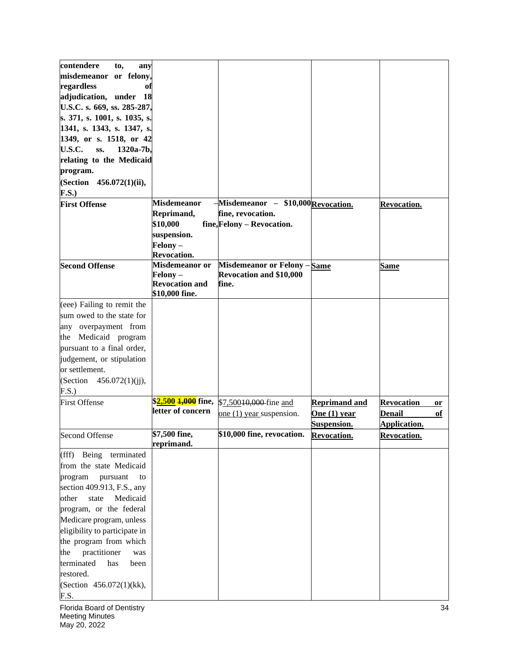| contendere<br>to,<br>any      |                       |                                            |                      |                         |
|-------------------------------|-----------------------|--------------------------------------------|----------------------|-------------------------|
| misdemeanor or felony,        |                       |                                            |                      |                         |
| regardless<br>of              |                       |                                            |                      |                         |
| adjudication, under 18        |                       |                                            |                      |                         |
| U.S.C. s. 669, ss. 285-287,   |                       |                                            |                      |                         |
| s. 371, s. 1001, s. 1035, s.  |                       |                                            |                      |                         |
| 1341, s. 1343, s. 1347, s.    |                       |                                            |                      |                         |
| 1349, or s. 1518, or 42       |                       |                                            |                      |                         |
| U.S.C.<br>SS.<br>1320a-7b.    |                       |                                            |                      |                         |
| relating to the Medicaid      |                       |                                            |                      |                         |
| program.                      |                       |                                            |                      |                         |
| (Section 456.072(1)(ii),      |                       |                                            |                      |                         |
| <b>F.S.)</b>                  |                       |                                            |                      |                         |
| <b>First Offense</b>          | <b>Misdemeanor</b>    | $-Misdemeanor - $10,000$ Revocation.       |                      | <b>Revocation.</b>      |
|                               | Reprimand,            | fine, revocation.                          |                      |                         |
|                               | \$10,000              | fine, Felony - Revocation.                 |                      |                         |
|                               | suspension.           |                                            |                      |                         |
|                               | Felony -              |                                            |                      |                         |
|                               | <b>Revocation.</b>    |                                            |                      |                         |
| <b>Second Offense</b>         | Misdemeanor or        | Misdemeanor or Felony - Same               |                      | <u>Same</u>             |
|                               | Felony –              | <b>Revocation and \$10,000</b>             |                      |                         |
|                               | <b>Revocation and</b> | fine.                                      |                      |                         |
|                               | \$10,000 fine.        |                                            |                      |                         |
| (eee) Failing to remit the    |                       |                                            |                      |                         |
| sum owed to the state for     |                       |                                            |                      |                         |
| any overpayment from          |                       |                                            |                      |                         |
| Medicaid program<br>the       |                       |                                            |                      |                         |
| pursuant to a final order,    |                       |                                            |                      |                         |
| judgement, or stipulation     |                       |                                            |                      |                         |
| or settlement.                |                       |                                            |                      |                         |
| (Section $456.072(1)(ii)$ ),  |                       |                                            |                      |                         |
| F.S.)                         |                       |                                            |                      |                         |
| <b>First Offense</b>          |                       | \$2,500 1,000 fine, \$7,50010,000 fine and | <b>Reprimand and</b> | <b>Revocation</b><br>or |
|                               | letter of concern     | one (1) year suspension.                   | One $(1)$ year       | Denail<br>оf            |
|                               |                       |                                            | Suspension.          | Application.            |
| Second Offense                | \$7,500 fine,         | \$10,000 fine, revocation.                 | <b>Revocation.</b>   | <b>Revocation.</b>      |
|                               | reprimand.            |                                            |                      |                         |
| Being terminated<br>(fff)     |                       |                                            |                      |                         |
| from the state Medicaid       |                       |                                            |                      |                         |
| program<br>pursuant<br>to     |                       |                                            |                      |                         |
| section 409.913, F.S., any    |                       |                                            |                      |                         |
| Medicaid<br>state<br>other    |                       |                                            |                      |                         |
| program, or the federal       |                       |                                            |                      |                         |
| Medicare program, unless      |                       |                                            |                      |                         |
| eligibility to participate in |                       |                                            |                      |                         |
| the program from which        |                       |                                            |                      |                         |
| practitioner<br>the<br>was    |                       |                                            |                      |                         |
| terminated<br>has<br>been     |                       |                                            |                      |                         |
| restored.                     |                       |                                            |                      |                         |
| (Section 456.072(1)(kk),      |                       |                                            |                      |                         |
| F.S.                          |                       |                                            |                      |                         |
| Florida Board of Dentistry    |                       |                                            |                      | 34                      |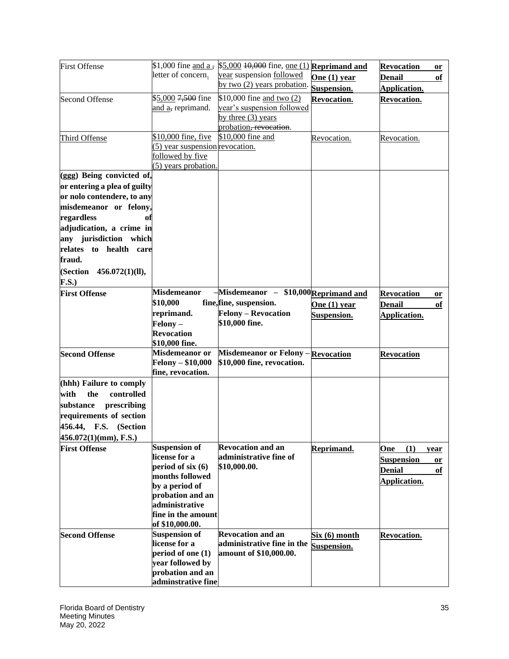| letter of concern.<br>year suspension followed<br>One $(1)$ year<br><b>Denail</b><br>of<br>by two (2) years probation.<br>Suspension.<br>Application.<br>\$5,000 7,500 fine<br>\$10,000 fine and two (2)<br><b>Second Offense</b><br>Revocation.<br><b>Revocation.</b><br>year's suspension followed<br>and a, reprimand.<br>by three $(3)$ years<br>probation, revocation.<br>\$10,000 fine, five<br>\$10,000 fine and<br>Third Offense<br>Revocation.<br>Revocation.<br>(5) year suspension revocation.<br>followed by five<br>(5) years probation.<br>(ggg) Being convicted of,<br>or entering a plea of guilty<br>or nolo contendere, to any<br>misdemeanor or felony,<br>regardless<br>of<br>adjudication, a crime in<br>any jurisdiction which<br>relates to health care<br>(Section 456.072(1)(ll),<br>F.S.<br>Misdemeanor - \$10,000 Reprimand and<br><b>Misdemeanor</b><br><b>First Offense</b><br><b>Revocation</b><br>or<br>\$10,000<br>fine, fine, suspension.<br><b>Denail</b><br>One (1) year<br>of<br><b>Felony - Revocation</b><br>reprimand.<br>Suspension.<br>Application.<br>\$10,000 fine.<br>Felony –<br><b>Revocation</b><br>\$10,000 fine.<br>Misdemeanor or Felony - Revocation<br>Misdemeanor or<br><b>Second Offense</b><br><b>Revocation</b><br><b>Felony – \$10,000</b><br>\$10,000 fine, revocation. | <b>First Offense</b>     | $$1,000$ fine and a, | $$5,000$ $\overline{10,000}$ fine, <u>one (1)</u> Reprimand and | <b>Revocation</b><br>or |
|-----------------------------------------------------------------------------------------------------------------------------------------------------------------------------------------------------------------------------------------------------------------------------------------------------------------------------------------------------------------------------------------------------------------------------------------------------------------------------------------------------------------------------------------------------------------------------------------------------------------------------------------------------------------------------------------------------------------------------------------------------------------------------------------------------------------------------------------------------------------------------------------------------------------------------------------------------------------------------------------------------------------------------------------------------------------------------------------------------------------------------------------------------------------------------------------------------------------------------------------------------------------------------------------------------------------------------------|--------------------------|----------------------|-----------------------------------------------------------------|-------------------------|
|                                                                                                                                                                                                                                                                                                                                                                                                                                                                                                                                                                                                                                                                                                                                                                                                                                                                                                                                                                                                                                                                                                                                                                                                                                                                                                                                   |                          |                      |                                                                 |                         |
|                                                                                                                                                                                                                                                                                                                                                                                                                                                                                                                                                                                                                                                                                                                                                                                                                                                                                                                                                                                                                                                                                                                                                                                                                                                                                                                                   |                          |                      |                                                                 |                         |
|                                                                                                                                                                                                                                                                                                                                                                                                                                                                                                                                                                                                                                                                                                                                                                                                                                                                                                                                                                                                                                                                                                                                                                                                                                                                                                                                   |                          |                      |                                                                 |                         |
|                                                                                                                                                                                                                                                                                                                                                                                                                                                                                                                                                                                                                                                                                                                                                                                                                                                                                                                                                                                                                                                                                                                                                                                                                                                                                                                                   |                          |                      |                                                                 |                         |
|                                                                                                                                                                                                                                                                                                                                                                                                                                                                                                                                                                                                                                                                                                                                                                                                                                                                                                                                                                                                                                                                                                                                                                                                                                                                                                                                   |                          |                      |                                                                 |                         |
|                                                                                                                                                                                                                                                                                                                                                                                                                                                                                                                                                                                                                                                                                                                                                                                                                                                                                                                                                                                                                                                                                                                                                                                                                                                                                                                                   |                          |                      |                                                                 |                         |
|                                                                                                                                                                                                                                                                                                                                                                                                                                                                                                                                                                                                                                                                                                                                                                                                                                                                                                                                                                                                                                                                                                                                                                                                                                                                                                                                   |                          |                      |                                                                 |                         |
|                                                                                                                                                                                                                                                                                                                                                                                                                                                                                                                                                                                                                                                                                                                                                                                                                                                                                                                                                                                                                                                                                                                                                                                                                                                                                                                                   |                          |                      |                                                                 |                         |
|                                                                                                                                                                                                                                                                                                                                                                                                                                                                                                                                                                                                                                                                                                                                                                                                                                                                                                                                                                                                                                                                                                                                                                                                                                                                                                                                   |                          |                      |                                                                 |                         |
|                                                                                                                                                                                                                                                                                                                                                                                                                                                                                                                                                                                                                                                                                                                                                                                                                                                                                                                                                                                                                                                                                                                                                                                                                                                                                                                                   |                          |                      |                                                                 |                         |
|                                                                                                                                                                                                                                                                                                                                                                                                                                                                                                                                                                                                                                                                                                                                                                                                                                                                                                                                                                                                                                                                                                                                                                                                                                                                                                                                   |                          |                      |                                                                 |                         |
|                                                                                                                                                                                                                                                                                                                                                                                                                                                                                                                                                                                                                                                                                                                                                                                                                                                                                                                                                                                                                                                                                                                                                                                                                                                                                                                                   |                          |                      |                                                                 |                         |
|                                                                                                                                                                                                                                                                                                                                                                                                                                                                                                                                                                                                                                                                                                                                                                                                                                                                                                                                                                                                                                                                                                                                                                                                                                                                                                                                   |                          |                      |                                                                 |                         |
|                                                                                                                                                                                                                                                                                                                                                                                                                                                                                                                                                                                                                                                                                                                                                                                                                                                                                                                                                                                                                                                                                                                                                                                                                                                                                                                                   |                          |                      |                                                                 |                         |
|                                                                                                                                                                                                                                                                                                                                                                                                                                                                                                                                                                                                                                                                                                                                                                                                                                                                                                                                                                                                                                                                                                                                                                                                                                                                                                                                   |                          |                      |                                                                 |                         |
|                                                                                                                                                                                                                                                                                                                                                                                                                                                                                                                                                                                                                                                                                                                                                                                                                                                                                                                                                                                                                                                                                                                                                                                                                                                                                                                                   |                          |                      |                                                                 |                         |
|                                                                                                                                                                                                                                                                                                                                                                                                                                                                                                                                                                                                                                                                                                                                                                                                                                                                                                                                                                                                                                                                                                                                                                                                                                                                                                                                   |                          |                      |                                                                 |                         |
|                                                                                                                                                                                                                                                                                                                                                                                                                                                                                                                                                                                                                                                                                                                                                                                                                                                                                                                                                                                                                                                                                                                                                                                                                                                                                                                                   |                          |                      |                                                                 |                         |
|                                                                                                                                                                                                                                                                                                                                                                                                                                                                                                                                                                                                                                                                                                                                                                                                                                                                                                                                                                                                                                                                                                                                                                                                                                                                                                                                   | fraud.                   |                      |                                                                 |                         |
|                                                                                                                                                                                                                                                                                                                                                                                                                                                                                                                                                                                                                                                                                                                                                                                                                                                                                                                                                                                                                                                                                                                                                                                                                                                                                                                                   |                          |                      |                                                                 |                         |
|                                                                                                                                                                                                                                                                                                                                                                                                                                                                                                                                                                                                                                                                                                                                                                                                                                                                                                                                                                                                                                                                                                                                                                                                                                                                                                                                   |                          |                      |                                                                 |                         |
|                                                                                                                                                                                                                                                                                                                                                                                                                                                                                                                                                                                                                                                                                                                                                                                                                                                                                                                                                                                                                                                                                                                                                                                                                                                                                                                                   |                          |                      |                                                                 |                         |
|                                                                                                                                                                                                                                                                                                                                                                                                                                                                                                                                                                                                                                                                                                                                                                                                                                                                                                                                                                                                                                                                                                                                                                                                                                                                                                                                   |                          |                      |                                                                 |                         |
|                                                                                                                                                                                                                                                                                                                                                                                                                                                                                                                                                                                                                                                                                                                                                                                                                                                                                                                                                                                                                                                                                                                                                                                                                                                                                                                                   |                          |                      |                                                                 |                         |
|                                                                                                                                                                                                                                                                                                                                                                                                                                                                                                                                                                                                                                                                                                                                                                                                                                                                                                                                                                                                                                                                                                                                                                                                                                                                                                                                   |                          |                      |                                                                 |                         |
|                                                                                                                                                                                                                                                                                                                                                                                                                                                                                                                                                                                                                                                                                                                                                                                                                                                                                                                                                                                                                                                                                                                                                                                                                                                                                                                                   |                          |                      |                                                                 |                         |
|                                                                                                                                                                                                                                                                                                                                                                                                                                                                                                                                                                                                                                                                                                                                                                                                                                                                                                                                                                                                                                                                                                                                                                                                                                                                                                                                   |                          |                      |                                                                 |                         |
|                                                                                                                                                                                                                                                                                                                                                                                                                                                                                                                                                                                                                                                                                                                                                                                                                                                                                                                                                                                                                                                                                                                                                                                                                                                                                                                                   |                          |                      |                                                                 |                         |
|                                                                                                                                                                                                                                                                                                                                                                                                                                                                                                                                                                                                                                                                                                                                                                                                                                                                                                                                                                                                                                                                                                                                                                                                                                                                                                                                   |                          |                      |                                                                 |                         |
| fine, revocation.                                                                                                                                                                                                                                                                                                                                                                                                                                                                                                                                                                                                                                                                                                                                                                                                                                                                                                                                                                                                                                                                                                                                                                                                                                                                                                                 |                          |                      |                                                                 |                         |
|                                                                                                                                                                                                                                                                                                                                                                                                                                                                                                                                                                                                                                                                                                                                                                                                                                                                                                                                                                                                                                                                                                                                                                                                                                                                                                                                   |                          |                      |                                                                 |                         |
|                                                                                                                                                                                                                                                                                                                                                                                                                                                                                                                                                                                                                                                                                                                                                                                                                                                                                                                                                                                                                                                                                                                                                                                                                                                                                                                                   | (hhh) Failure to comply  |                      |                                                                 |                         |
| the<br>controlled                                                                                                                                                                                                                                                                                                                                                                                                                                                                                                                                                                                                                                                                                                                                                                                                                                                                                                                                                                                                                                                                                                                                                                                                                                                                                                                 | with                     |                      |                                                                 |                         |
| prescribing                                                                                                                                                                                                                                                                                                                                                                                                                                                                                                                                                                                                                                                                                                                                                                                                                                                                                                                                                                                                                                                                                                                                                                                                                                                                                                                       | substance                |                      |                                                                 |                         |
|                                                                                                                                                                                                                                                                                                                                                                                                                                                                                                                                                                                                                                                                                                                                                                                                                                                                                                                                                                                                                                                                                                                                                                                                                                                                                                                                   | requirements of section  |                      |                                                                 |                         |
|                                                                                                                                                                                                                                                                                                                                                                                                                                                                                                                                                                                                                                                                                                                                                                                                                                                                                                                                                                                                                                                                                                                                                                                                                                                                                                                                   | 456.44, F.S. (Section    |                      |                                                                 |                         |
|                                                                                                                                                                                                                                                                                                                                                                                                                                                                                                                                                                                                                                                                                                                                                                                                                                                                                                                                                                                                                                                                                                                                                                                                                                                                                                                                   | $456.072(1)(mm)$ , F.S.) |                      |                                                                 |                         |
| <b>Suspension of</b><br><b>Revocation and an</b><br>Reprimand.<br>(1)<br>One<br>year                                                                                                                                                                                                                                                                                                                                                                                                                                                                                                                                                                                                                                                                                                                                                                                                                                                                                                                                                                                                                                                                                                                                                                                                                                              | <b>First Offense</b>     |                      |                                                                 |                         |
| license for a<br>administrative fine of<br><b>Suspension</b><br>or                                                                                                                                                                                                                                                                                                                                                                                                                                                                                                                                                                                                                                                                                                                                                                                                                                                                                                                                                                                                                                                                                                                                                                                                                                                                |                          |                      |                                                                 |                         |
| period of six $(6)$<br>\$10,000.00.<br><b>Denial</b><br>of                                                                                                                                                                                                                                                                                                                                                                                                                                                                                                                                                                                                                                                                                                                                                                                                                                                                                                                                                                                                                                                                                                                                                                                                                                                                        |                          |                      |                                                                 |                         |
| months followed<br>Application.                                                                                                                                                                                                                                                                                                                                                                                                                                                                                                                                                                                                                                                                                                                                                                                                                                                                                                                                                                                                                                                                                                                                                                                                                                                                                                   |                          |                      |                                                                 |                         |
| by a period of                                                                                                                                                                                                                                                                                                                                                                                                                                                                                                                                                                                                                                                                                                                                                                                                                                                                                                                                                                                                                                                                                                                                                                                                                                                                                                                    |                          |                      |                                                                 |                         |
| probation and an                                                                                                                                                                                                                                                                                                                                                                                                                                                                                                                                                                                                                                                                                                                                                                                                                                                                                                                                                                                                                                                                                                                                                                                                                                                                                                                  |                          |                      |                                                                 |                         |
| administrative                                                                                                                                                                                                                                                                                                                                                                                                                                                                                                                                                                                                                                                                                                                                                                                                                                                                                                                                                                                                                                                                                                                                                                                                                                                                                                                    |                          |                      |                                                                 |                         |
| fine in the amount                                                                                                                                                                                                                                                                                                                                                                                                                                                                                                                                                                                                                                                                                                                                                                                                                                                                                                                                                                                                                                                                                                                                                                                                                                                                                                                |                          |                      |                                                                 |                         |
| of \$10,000.00.                                                                                                                                                                                                                                                                                                                                                                                                                                                                                                                                                                                                                                                                                                                                                                                                                                                                                                                                                                                                                                                                                                                                                                                                                                                                                                                   |                          |                      |                                                                 |                         |
| <b>Suspension of</b><br><b>Revocation and an</b><br>Six (6) month<br><b>Revocation.</b><br>license for a                                                                                                                                                                                                                                                                                                                                                                                                                                                                                                                                                                                                                                                                                                                                                                                                                                                                                                                                                                                                                                                                                                                                                                                                                          | <b>Second Offense</b>    |                      |                                                                 |                         |
| administrative fine in the<br>Suspension.                                                                                                                                                                                                                                                                                                                                                                                                                                                                                                                                                                                                                                                                                                                                                                                                                                                                                                                                                                                                                                                                                                                                                                                                                                                                                         |                          |                      |                                                                 |                         |
| period of one (1)<br>amount of \$10,000.00.<br>year followed by                                                                                                                                                                                                                                                                                                                                                                                                                                                                                                                                                                                                                                                                                                                                                                                                                                                                                                                                                                                                                                                                                                                                                                                                                                                                   |                          |                      |                                                                 |                         |
| probation and an                                                                                                                                                                                                                                                                                                                                                                                                                                                                                                                                                                                                                                                                                                                                                                                                                                                                                                                                                                                                                                                                                                                                                                                                                                                                                                                  |                          |                      |                                                                 |                         |
| adminstrative fine                                                                                                                                                                                                                                                                                                                                                                                                                                                                                                                                                                                                                                                                                                                                                                                                                                                                                                                                                                                                                                                                                                                                                                                                                                                                                                                |                          |                      |                                                                 |                         |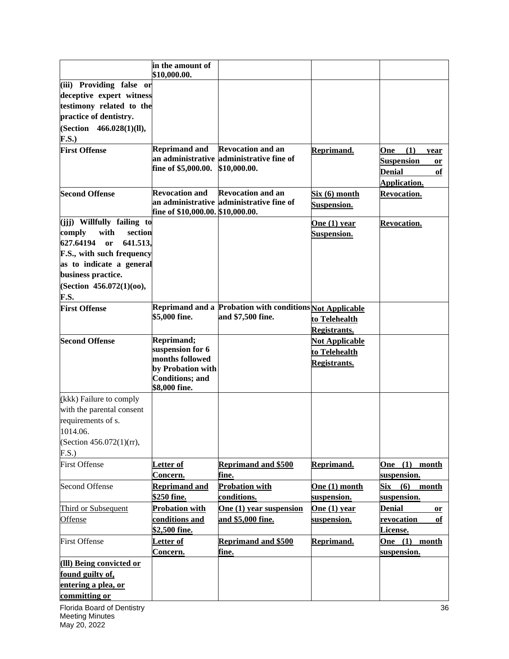|                                                                                                                                                                                                                  | in the amount of<br>\$10,000.00.                                                                                  |                                                                                      |                                                               |                                                                                      |
|------------------------------------------------------------------------------------------------------------------------------------------------------------------------------------------------------------------|-------------------------------------------------------------------------------------------------------------------|--------------------------------------------------------------------------------------|---------------------------------------------------------------|--------------------------------------------------------------------------------------|
| (iii) Providing false or<br>deceptive expert witness<br>testimony related to the<br>practice of dentistry.<br>(Section 466.028(1)(ll),<br><b>F.S.)</b>                                                           |                                                                                                                   |                                                                                      |                                                               |                                                                                      |
| <b>First Offense</b>                                                                                                                                                                                             | <b>Reprimand and</b><br>fine of \$5,000.00.                                                                       | <b>Revocation and an</b><br>an administrative administrative fine of<br>\$10,000.00. | Reprimand.                                                    | One<br>(1)<br>year<br><b>Suspension</b><br>or<br><b>Denial</b><br>of<br>Application. |
| <b>Second Offense</b>                                                                                                                                                                                            | <b>Revocation and</b><br>fine of \$10,000.00. \$10,000.00.                                                        | <b>Revocation and an</b><br>an administrative administrative fine of                 | Six(6) month<br>Suspension.                                   | <b>Revocation.</b>                                                                   |
| (jjj) Willfully failing to<br>comply<br>with<br>section<br>627.64194<br>641.513,<br><b>or</b><br>F.S., with such frequency<br>as to indicate a general<br>business practice.<br>(Section 456.072(1)(00),<br>F.S. |                                                                                                                   |                                                                                      | <b>One (1) year</b><br><b>Suspension.</b>                     | <b>Revocation.</b>                                                                   |
| <b>First Offense</b>                                                                                                                                                                                             | \$5,000 fine.                                                                                                     | Reprimand and a Probation with conditions Not Applicable<br>and \$7,500 fine.        | to Telehealth<br><b>Registrants.</b>                          |                                                                                      |
| <b>Second Offense</b>                                                                                                                                                                                            | Reprimand;<br>suspension for 6<br>months followed<br>by Probation with<br><b>Conditions; and</b><br>\$8,000 fine. |                                                                                      | <b>Not Applicable</b><br>to Telehealth<br><b>Registrants.</b> |                                                                                      |
| (kkk) Failure to comply<br>with the parental consent<br>requirements of s.<br>1014.06.<br>(Section 456.072(1)(rr),<br>F.S.                                                                                       |                                                                                                                   |                                                                                      |                                                               |                                                                                      |
| <b>First Offense</b>                                                                                                                                                                                             | Letter of<br>Concern.                                                                                             | <b>Reprimand and \$500</b><br>fine.                                                  | Reprimand.                                                    | One (1) month<br>suspension.                                                         |
| Second Offense                                                                                                                                                                                                   | <b>Reprimand and</b><br>\$250 fine.                                                                               | <b>Probation with</b><br>conditions.                                                 | One (1) month<br>suspension.                                  | $\text{Six} \quad (6)$<br>month<br>suspension.                                       |
| Third or Subsequent<br>Offense                                                                                                                                                                                   | <b>Probation with</b><br>conditions and<br>\$2,500 fine.                                                          | One (1) year suspension<br>and \$5,000 fine.                                         | One $(1)$ year<br>suspension.                                 | Denial<br>or<br>revocation<br>оf<br>License.                                         |
| <b>First Offense</b>                                                                                                                                                                                             | Letter of<br>Concern.                                                                                             | <b>Reprimand and \$500</b><br>fine.                                                  | Reprimand.                                                    | One (1) month<br>suspension.                                                         |
| (III) Being convicted or<br>found guilty of,<br>entering a plea, or<br>committing or                                                                                                                             |                                                                                                                   |                                                                                      |                                                               |                                                                                      |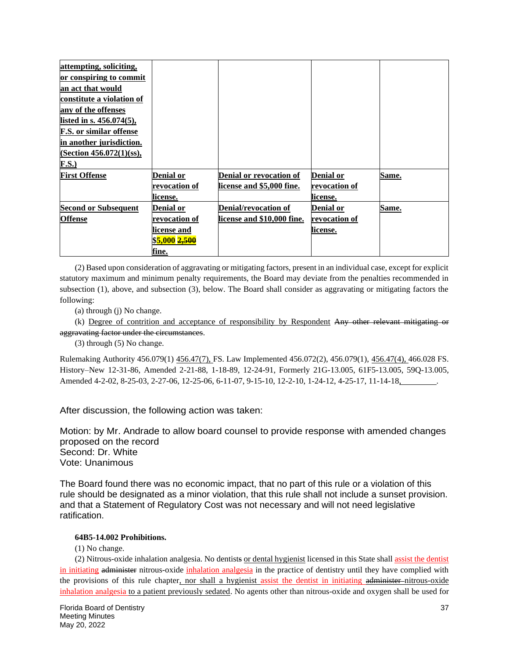| attempting, soliciting,        |                          |                                |               |       |
|--------------------------------|--------------------------|--------------------------------|---------------|-------|
| or conspiring to commit        |                          |                                |               |       |
| an act that would              |                          |                                |               |       |
| constitute a violation of      |                          |                                |               |       |
| any of the offenses            |                          |                                |               |       |
| listed in s. 456.074(5),       |                          |                                |               |       |
| <b>F.S.</b> or similar offense |                          |                                |               |       |
| in another jurisdiction.       |                          |                                |               |       |
| (Section $456.072(1)(ss)$ ,    |                          |                                |               |       |
| F.S.                           |                          |                                |               |       |
| <b>First Offense</b>           | Denial or                | <b>Denial or revocation of</b> | Denial or     | Same. |
|                                | revocation of            | license and \$5,000 fine.      | revocation of |       |
|                                | license.                 |                                | license.      |       |
| <b>Second or Subsequent</b>    | Denial or                | <b>Denial/revocation of</b>    | Denial or     | Same. |
| <b>Offense</b>                 | revocation of            | license and \$10,000 fine.     | revocation of |       |
|                                | license and              |                                | license.      |       |
|                                | \$5,000 <del>2,500</del> |                                |               |       |
|                                | fine.                    |                                |               |       |

(2) Based upon consideration of aggravating or mitigating factors, present in an individual case, except for explicit statutory maximum and minimum penalty requirements, the Board may deviate from the penalties recommended in subsection (1), above, and subsection (3), below. The Board shall consider as aggravating or mitigating factors the following:

(a) through (j) No change.

(k) Degree of contrition and acceptance of responsibility by Respondent Any other relevant mitigating or aggravating factor under the circumstances.

(3) through (5) No change.

Rulemaking Authority 456.079(1) 456.47(7), FS. Law Implemented 456.072(2), 456.079(1), 456.47(4), 466.028 FS. History–New 12-31-86, Amended 2-21-88, 1-18-89, 12-24-91, Formerly 21G-13.005, 61F5-13.005, 59Q-13.005, Amended 4-2-02, 8-25-03, 2-27-06, 12-25-06, 6-11-07, 9-15-10, 12-2-10, 1-24-12, 4-25-17, 11-14-18, .

After discussion, the following action was taken:

Motion: by Mr. Andrade to allow board counsel to provide response with amended changes proposed on the record Second: Dr. White Vote: Unanimous

The Board found there was no economic impact, that no part of this rule or a violation of this rule should be designated as a minor violation, that this rule shall not include a sunset provision. and that a Statement of Regulatory Cost was not necessary and will not need legislative ratification.

#### **64B5-14.002 Prohibitions.**

(1) No change.

(2) Nitrous-oxide inhalation analgesia. No dentists or dental hygienist licensed in this State shall assist the dentist in initiating administer nitrous-oxide inhalation analgesia in the practice of dentistry until they have complied with the provisions of this rule chapter, nor shall a hygienist assist the dentist in initiating administer-nitrous-oxide inhalation analgesia to a patient previously sedated. No agents other than nitrous-oxide and oxygen shall be used for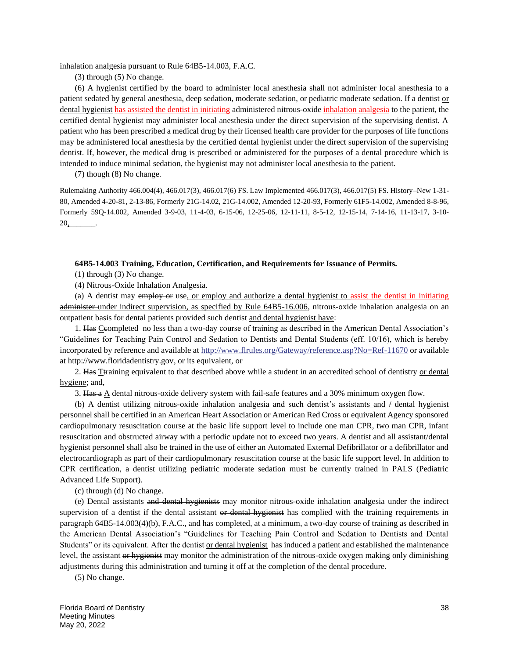inhalation analgesia pursuant to Rule 64B5-14.003, F.A.C.

(3) through (5) No change.

(6) A hygienist certified by the board to administer local anesthesia shall not administer local anesthesia to a patient sedated by general anesthesia, deep sedation, moderate sedation, or pediatric moderate sedation. If a dentist or dental hygienist has assisted the dentist in initiating administered nitrous-oxide inhalation analgesia to the patient, the certified dental hygienist may administer local anesthesia under the direct supervision of the supervising dentist. A patient who has been prescribed a medical drug by their licensed health care provider for the purposes of life functions may be administered local anesthesia by the certified dental hygienist under the direct supervision of the supervising dentist. If, however, the medical drug is prescribed or administered for the purposes of a dental procedure which is intended to induce minimal sedation, the hygienist may not administer local anesthesia to the patient.

(7) though (8) No change.

Rulemaking Authority 466.004(4), 466.017(3), 466.017(6) FS. Law Implemented 466.017(3), 466.017(5) FS. History–New 1-31- 80, Amended 4-20-81, 2-13-86, Formerly 21G-14.02, 21G-14.002, Amended 12-20-93, Formerly 61F5-14.002, Amended 8-8-96, Formerly 59Q-14.002, Amended 3-9-03, 11-4-03, 6-15-06, 12-25-06, 12-11-11, 8-5-12, 12-15-14, 7-14-16, 11-13-17, 3-10- 20,\_\_\_\_\_\_\_*.*

#### **64B5-14.003 Training, Education, Certification, and Requirements for Issuance of Permits.**

(1) through (3) No change.

(4) Nitrous-Oxide Inhalation Analgesia.

(a) A dentist may employ or use, or employ and authorize a dental hygienist to assist the dentist in initiating administer under indirect supervision, as specified by Rule 64B5-16.006, nitrous-oxide inhalation analgesia on an outpatient basis for dental patients provided such dentist and dental hygienist have:

1. Has Ceompleted no less than a two-day course of training as described in the American Dental Association's "Guidelines for Teaching Pain Control and Sedation to Dentists and Dental Students (eff. 10/16), which is hereby incorporated by reference and available at<http://www.flrules.org/Gateway/reference.asp?No=Ref-11670> or available at http://www.floridadentistry.gov, or its equivalent, or

2. Has Ttraining equivalent to that described above while a student in an accredited school of dentistry or dental hygiene; and,

3. Has a  $\triangle$  dental nitrous-oxide delivery system with fail-safe features and a 30% minimum oxygen flow.

(b) A dentist utilizing nitrous-oxide inhalation analgesia and such dentist's assistants and  $\neq$  dental hygienist personnel shall be certified in an American Heart Association or American Red Cross or equivalent Agency sponsored cardiopulmonary resuscitation course at the basic life support level to include one man CPR, two man CPR, infant resuscitation and obstructed airway with a periodic update not to exceed two years. A dentist and all assistant/dental hygienist personnel shall also be trained in the use of either an Automated External Defibrillator or a defibrillator and electrocardiograph as part of their cardiopulmonary resuscitation course at the basic life support level. In addition to CPR certification, a dentist utilizing pediatric moderate sedation must be currently trained in PALS (Pediatric Advanced Life Support).

(c) through (d) No change.

(e) Dental assistants and dental hygienists may monitor nitrous-oxide inhalation analgesia under the indirect supervision of a dentist if the dental assistant or dental hygienist has complied with the training requirements in paragraph 64B5-14.003(4)(b), F.A.C., and has completed, at a minimum, a two-day course of training as described in the American Dental Association's "Guidelines for Teaching Pain Control and Sedation to Dentists and Dental Students" or its equivalent. After the dentist or dental hygienist has induced a patient and established the maintenance level, the assistant or hygienist may monitor the administration of the nitrous-oxide oxygen making only diminishing adjustments during this administration and turning it off at the completion of the dental procedure.

(5) No change.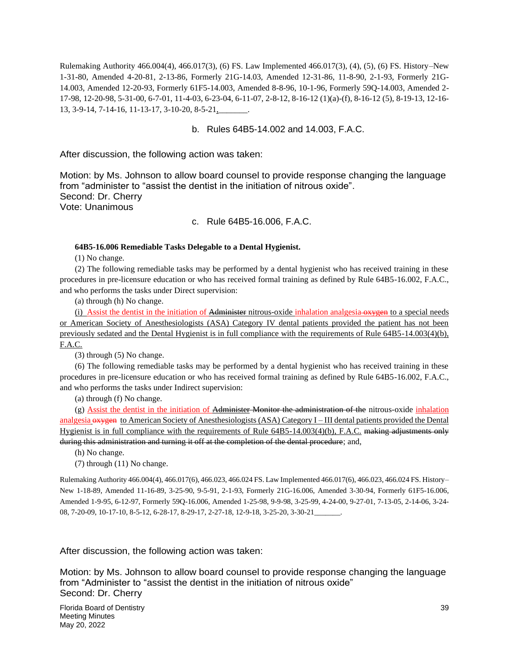Rulemaking Authority 466.004(4), 466.017(3), (6) FS. Law Implemented 466.017(3), (4), (5), (6) FS. History–New 1-31-80, Amended 4-20-81, 2-13-86, Formerly 21G-14.03, Amended 12-31-86, 11-8-90, 2-1-93, Formerly 21G-14.003, Amended 12-20-93, Formerly 61F5-14.003, Amended 8-8-96, 10-1-96, Formerly 59Q-14.003, Amended 2- 17-98, 12-20-98, 5-31-00, 6-7-01, 11-4-03, 6-23-04, 6-11-07, 2-8-12, 8-16-12 (1)(a)-(f), 8-16-12 (5), 8-19-13, 12-16- 13, 3-9-14, 7-14-16, 11-13-17, 3-10-20, 8-5-21,\_\_\_\_\_\_\_.

### b. Rules 64B5-14.002 and 14.003, F.A.C.

After discussion, the following action was taken:

Motion: by Ms. Johnson to allow board counsel to provide response changing the language from "administer to "assist the dentist in the initiation of nitrous oxide". Second: Dr. Cherry Vote: Unanimous

### c. Rule 64B5-16.006, F.A.C.

#### **64B5-16.006 Remediable Tasks Delegable to a Dental Hygienist.**

(1) No change.

(2) The following remediable tasks may be performed by a dental hygienist who has received training in these procedures in pre-licensure education or who has received formal training as defined by Rule 64B5-16.002, F.A.C., and who performs the tasks under Direct supervision:

(a) through (h) No change.

(i) Assist the dentist in the initiation of Administer nitrous-oxide inhalation analgesia oxygen to a special needs or American Society of Anesthesiologists (ASA) Category IV dental patients provided the patient has not been previously sedated and the Dental Hygienist is in full compliance with the requirements of Rule 64B5-14.003(4)(b), F.A.C.

(3) through (5) No change.

(6) The following remediable tasks may be performed by a dental hygienist who has received training in these procedures in pre-licensure education or who has received formal training as defined by Rule 64B5-16.002, F.A.C., and who performs the tasks under Indirect supervision:

(a) through (f) No change.

(g) Assist the dentist in the initiation of Administer Monitor the administration of the nitrous-oxide inhalation analgesia oxygen to American Society of Anesthesiologists (ASA) Category I – III dental patients provided the Dental Hygienist is in full compliance with the requirements of Rule 64B5-14.003(4)(b), F.A.C. making adjustments only during this administration and turning it off at the completion of the dental procedure; and,

(h) No change.

(7) through (11) No change.

Rulemaking Authority 466.004(4), 466.017(6), 466.023, 466.024 FS. Law Implemented 466.017(6), 466.023, 466.024 FS. History– New 1-18-89, Amended 11-16-89, 3-25-90, 9-5-91, 2-1-93, Formerly 21G-16.006, Amended 3-30-94, Formerly 61F5-16.006, Amended 1-9-95, 6-12-97, Formerly 59Q-16.006, Amended 1-25-98, 9-9-98, 3-25-99, 4-24-00, 9-27-01, 7-13-05, 2-14-06, 3-24- 08, 7-20-09, 10-17-10, 8-5-12, 6-28-17, 8-29-17, 2-27-18, 12-9-18, 3-25-20, 3-30-21\_\_\_\_\_\_\_.

After discussion, the following action was taken:

Motion: by Ms. Johnson to allow board counsel to provide response changing the language from "Administer to "assist the dentist in the initiation of nitrous oxide" Second: Dr. Cherry

Florida Board of Dentistry 39 Meeting Minutes May 20, 2022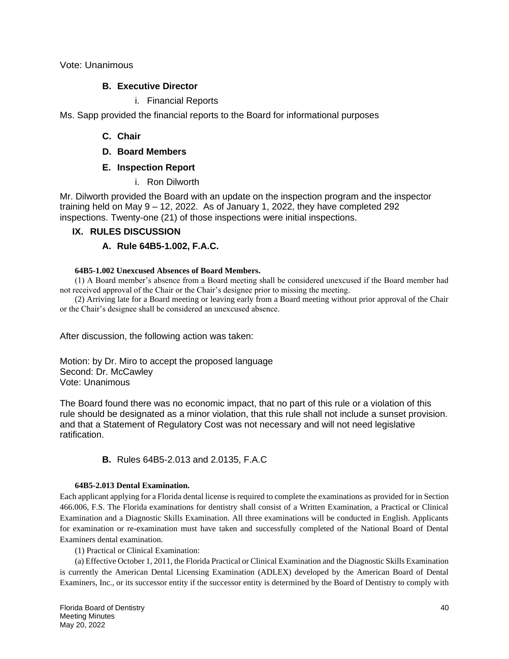Vote: Unanimous

## **B. Executive Director**

## i. Financial Reports

Ms. Sapp provided the financial reports to the Board for informational purposes

# **C. Chair**

**D. Board Members**

# **E. Inspection Report**

i. Ron Dilworth

Mr. Dilworth provided the Board with an update on the inspection program and the inspector training held on May 9 – 12, 2022. As of January 1, 2022, they have completed 292 inspections. Twenty-one (21) of those inspections were initial inspections.

# **IX. RULES DISCUSSION**

# **A. Rule 64B5-1.002, F.A.C.**

## **64B5-1.002 Unexcused Absences of Board Members.**

(1) A Board member's absence from a Board meeting shall be considered unexcused if the Board member had not received approval of the Chair or the Chair's designee prior to missing the meeting.

(2) Arriving late for a Board meeting or leaving early from a Board meeting without prior approval of the Chair or the Chair's designee shall be considered an unexcused absence.

After discussion, the following action was taken:

Motion: by Dr. Miro to accept the proposed language Second: Dr. McCawley Vote: Unanimous

The Board found there was no economic impact, that no part of this rule or a violation of this rule should be designated as a minor violation, that this rule shall not include a sunset provision. and that a Statement of Regulatory Cost was not necessary and will not need legislative ratification.

# **B.** Rules 64B5-2.013 and 2.0135, F.A.C

## **64B5-2.013 Dental Examination.**

Each applicant applying for a Florida dental license is required to complete the examinations as provided for in Section 466.006, F.S. The Florida examinations for dentistry shall consist of a Written Examination, a Practical or Clinical Examination and a Diagnostic Skills Examination. All three examinations will be conducted in English. Applicants for examination or re-examination must have taken and successfully completed of the National Board of Dental Examiners dental examination.

(1) Practical or Clinical Examination:

(a) Effective October 1, 2011, the Florida Practical or Clinical Examination and the Diagnostic Skills Examination is currently the American Dental Licensing Examination (ADLEX) developed by the American Board of Dental Examiners, Inc., or its successor entity if the successor entity is determined by the Board of Dentistry to comply with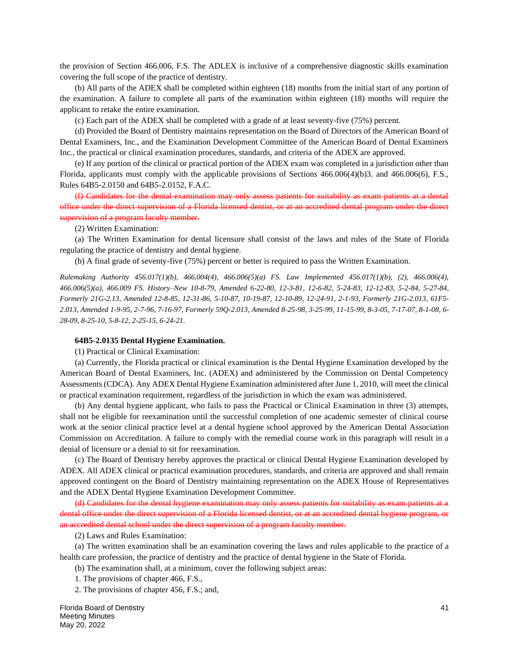the provision of Section 466.006, F.S. The ADLEX is inclusive of a comprehensive diagnostic skills examination covering the full scope of the practice of dentistry.

(b) All parts of the ADEX shall be completed within eighteen (18) months from the initial start of any portion of the examination. A failure to complete all parts of the examination within eighteen (18) months will require the applicant to retake the entire examination.

(c) Each part of the ADEX shall be completed with a grade of at least seventy-five (75%) percent.

(d) Provided the Board of Dentistry maintains representation on the Board of Directors of the American Board of Dental Examiners, Inc., and the Examination Development Committee of the American Board of Dental Examiners Inc., the practical or clinical examination procedures, standards, and criteria of the ADEX are approved.

(e) If any portion of the clinical or practical portion of the ADEX exam was completed in a jurisdiction other than Florida, applicants must comply with the applicable provisions of Sections 466.006(4)(b)3. and 466.006(6), F.S., Rules 64B5-2.0150 and 64B5-2.0152, F.A.C.

(f) Candidates for the dental examination may only assess patients for suitability as exam patients at a dental office under the direct supervision of a Florida licensed dentist, or at an accredited dental program under the direct supervision of a program faculty member.

(2) Written Examination:

(a) The Written Examination for dental licensure shall consist of the laws and rules of the State of Florida regulating the practice of dentistry and dental hygiene.

(b) A final grade of seventy-five (75%) percent or better is required to pass the Written Examination.

*Rulemaking Authority 456.017(1)(b), 466.004(4), 466.006(5)(a) FS. Law Implemented 456.017(1)(b), (2), 466.006(4), 466.006(5)(a), 466.009 FS. History–New 10-8-79, Amended 6-22-80, 12-3-81, 12-6-82, 5-24-83, 12-12-83, 5-2-84, 5-27-84, Formerly 21G-2.13, Amended 12-8-85, 12-31-86, 5-10-87, 10-19-87, 12-10-89, 12-24-91, 2-1-93, Formerly 21G-2.013, 61F5- 2.013, Amended 1-9-95, 2-7-96, 7-16-97, Formerly 59Q-2.013, Amended 8-25-98, 3-25-99, 11-15-99, 8-3-05, 7-17-07, 8-1-08, 6- 28-09, 8-25-10, 5-8-12, 2-25-15, 6-24-21.*

#### **64B5-2.0135 Dental Hygiene Examination.**

(1) Practical or Clinical Examination:

(a) Currently, the Florida practical or clinical examination is the Dental Hygiene Examination developed by the American Board of Dental Examiners, Inc. (ADEX) and administered by the Commission on Dental Competency Assessments (CDCA). Any ADEX Dental Hygiene Examination administered after June 1, 2010, will meet the clinical or practical examination requirement, regardless of the jurisdiction in which the exam was administered.

(b) Any dental hygiene applicant, who fails to pass the Practical or Clinical Examination in three (3) attempts, shall not be eligible for reexamination until the successful completion of one academic semester of clinical course work at the senior clinical practice level at a dental hygiene school approved by the American Dental Association Commission on Accreditation. A failure to comply with the remedial course work in this paragraph will result in a denial of licensure or a denial to sit for reexamination.

(c) The Board of Dentistry hereby approves the practical or clinical Dental Hygiene Examination developed by ADEX. All ADEX clinical or practical examination procedures, standards, and criteria are approved and shall remain approved contingent on the Board of Dentistry maintaining representation on the ADEX House of Representatives and the ADEX Dental Hygiene Examination Development Committee.

(d) Candidates for the dental hygiene examination may only assess patients for suitability as exam patients at a dental office under the direct supervision of a Florida licensed dentist, or at an accredited dental hygiene program, or an accredited dental school under the direct supervision of a program faculty member.

(2) Laws and Rules Examination:

(a) The written examination shall be an examination covering the laws and rules applicable to the practice of a health care profession, the practice of dentistry and the practice of dental hygiene in the State of Florida.

(b) The examination shall, at a minimum, cover the following subject areas:

1. The provisions of chapter 466, F.S.,

2. The provisions of chapter 456, F.S.; and,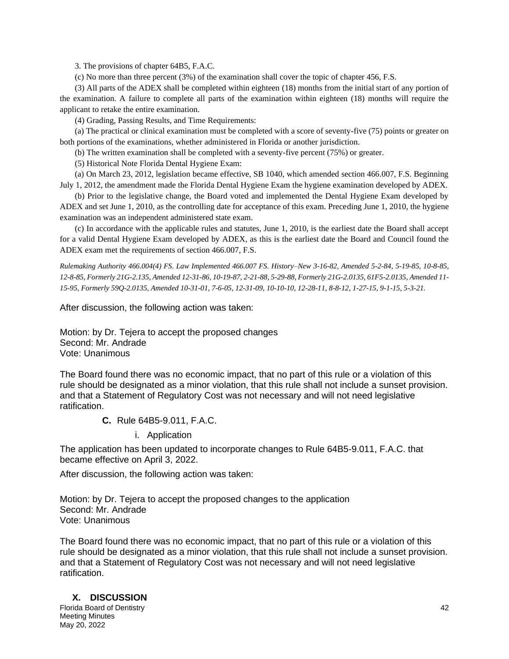3. The provisions of chapter 64B5, F.A.C.

(c) No more than three percent (3%) of the examination shall cover the topic of chapter 456, F.S.

(3) All parts of the ADEX shall be completed within eighteen (18) months from the initial start of any portion of the examination. A failure to complete all parts of the examination within eighteen (18) months will require the applicant to retake the entire examination.

(4) Grading, Passing Results, and Time Requirements:

(a) The practical or clinical examination must be completed with a score of seventy-five (75) points or greater on both portions of the examinations, whether administered in Florida or another jurisdiction.

(b) The written examination shall be completed with a seventy-five percent (75%) or greater.

(5) Historical Note Florida Dental Hygiene Exam:

(a) On March 23, 2012, legislation became effective, SB 1040, which amended section 466.007, F.S. Beginning July 1, 2012, the amendment made the Florida Dental Hygiene Exam the hygiene examination developed by ADEX.

(b) Prior to the legislative change, the Board voted and implemented the Dental Hygiene Exam developed by ADEX and set June 1, 2010, as the controlling date for acceptance of this exam. Preceding June 1, 2010, the hygiene examination was an independent administered state exam.

(c) In accordance with the applicable rules and statutes, June 1, 2010, is the earliest date the Board shall accept for a valid Dental Hygiene Exam developed by ADEX, as this is the earliest date the Board and Council found the ADEX exam met the requirements of section 466.007, F.S.

*Rulemaking Authority 466.004(4) FS. Law Implemented 466.007 FS. History–New 3-16-82, Amended 5-2-84, 5-19-85, 10-8-85, 12-8-85, Formerly 21G-2.135, Amended 12-31-86, 10-19-87, 2-21-88, 5-29-88, Formerly 21G-2.0135, 61F5-2.0135, Amended 11- 15-95, Formerly 59Q-2.0135, Amended 10-31-01, 7-6-05, 12-31-09, 10-10-10, 12-28-11, 8-8-12, 1-27-15, 9-1-15, 5-3-21.*

After discussion, the following action was taken:

Motion: by Dr. Tejera to accept the proposed changes Second: Mr. Andrade Vote: Unanimous

The Board found there was no economic impact, that no part of this rule or a violation of this rule should be designated as a minor violation, that this rule shall not include a sunset provision. and that a Statement of Regulatory Cost was not necessary and will not need legislative ratification.

**C.** Rule 64B5-9.011, F.A.C.

i. Application

The application has been updated to incorporate changes to Rule 64B5-9.011, F.A.C. that became effective on April 3, 2022.

After discussion, the following action was taken:

Motion: by Dr. Tejera to accept the proposed changes to the application Second: Mr. Andrade Vote: Unanimous

The Board found there was no economic impact, that no part of this rule or a violation of this rule should be designated as a minor violation, that this rule shall not include a sunset provision. and that a Statement of Regulatory Cost was not necessary and will not need legislative ratification.

## **X. DISCUSSION**

Florida Board of Dentistry 42 Meeting Minutes May 20, 2022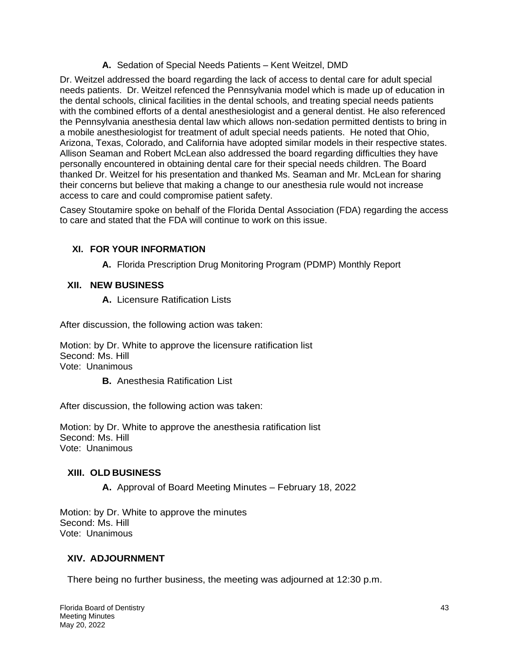# **A.** Sedation of Special Needs Patients – Kent Weitzel, DMD

Dr. Weitzel addressed the board regarding the lack of access to dental care for adult special needs patients. Dr. Weitzel refenced the Pennsylvania model which is made up of education in the dental schools, clinical facilities in the dental schools, and treating special needs patients with the combined efforts of a dental anesthesiologist and a general dentist. He also referenced the Pennsylvania anesthesia dental law which allows non-sedation permitted dentists to bring in a mobile anesthesiologist for treatment of adult special needs patients. He noted that Ohio, Arizona, Texas, Colorado, and California have adopted similar models in their respective states. Allison Seaman and Robert McLean also addressed the board regarding difficulties they have personally encountered in obtaining dental care for their special needs children. The Board thanked Dr. Weitzel for his presentation and thanked Ms. Seaman and Mr. McLean for sharing their concerns but believe that making a change to our anesthesia rule would not increase access to care and could compromise patient safety.

Casey Stoutamire spoke on behalf of the Florida Dental Association (FDA) regarding the access to care and stated that the FDA will continue to work on this issue.

# **XI. FOR YOUR INFORMATION**

**A.** Florida Prescription Drug Monitoring Program (PDMP) Monthly Report

# **XII. NEW BUSINESS**

**A.** Licensure Ratification Lists

After discussion, the following action was taken:

Motion: by Dr. White to approve the licensure ratification list Second: Ms. Hill Vote: Unanimous

**B.** Anesthesia Ratification List

After discussion, the following action was taken:

Motion: by Dr. White to approve the anesthesia ratification list Second: Ms. Hill Vote: Unanimous

## **XIII. OLD BUSINESS**

**A.** Approval of Board Meeting Minutes – February 18, 2022

Motion: by Dr. White to approve the minutes Second: Ms. Hill Vote: Unanimous

# **XIV. ADJOURNMENT**

There being no further business, the meeting was adjourned at 12:30 p.m.